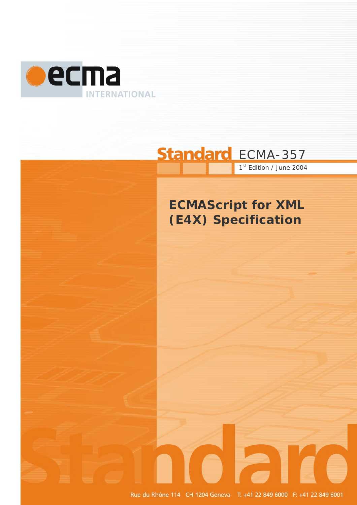

# Standard ECMA-357 1st Edition / June 2004

# **ECMAScript for XML (E4X) Specification**

Rue du Rhône 114 CH-1204 Geneva T: +41 22 849 6000 F: +41 22 849 6001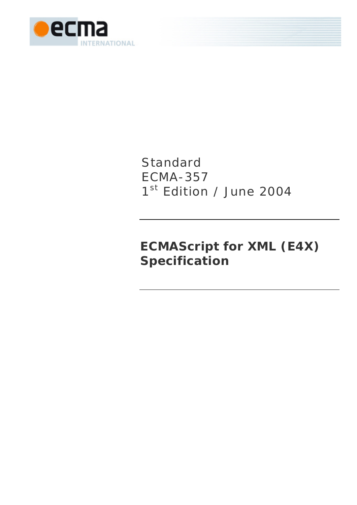

# Standard ECMA-357 1st Edition / June 2004

# **ECMAScript for XML (E4X) Specification**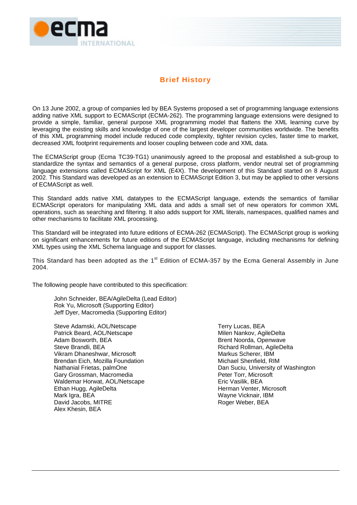

# **Brief History**

On 13 June 2002, a group of companies led by BEA Systems proposed a set of programming language extensions adding native XML support to ECMAScript (ECMA-262). The programming language extensions were designed to provide a simple, familiar, general purpose XML programming model that flattens the XML learning curve by leveraging the existing skills and knowledge of one of the largest developer communities worldwide. The benefits of this XML programming model include reduced code complexity, tighter revision cycles, faster time to market, decreased XML footprint requirements and looser coupling between code and XML data.

The ECMAScript group (Ecma TC39-TG1) unanimously agreed to the proposal and established a sub-group to standardize the syntax and semantics of a general purpose, cross platform, vendor neutral set of programming language extensions called ECMAScript for XML (E4X). The development of this Standard started on 8 August 2002. This Standard was developed as an extension to ECMAScript Edition 3, but may be applied to other versions of ECMAScript as well.

This Standard adds native XML datatypes to the ECMAScript language, extends the semantics of familiar ECMAScript operators for manipulating XML data and adds a small set of new operators for common XML operations, such as searching and filtering. It also adds support for XML literals, namespaces, qualified names and other mechanisms to facilitate XML processing.

This Standard will be integrated into future editions of ECMA-262 (ECMAScript). The ECMAScript group is working on significant enhancements for future editions of the ECMAScript language, including mechanisms for defining XML types using the XML Schema language and support for classes.

This Standard has been adopted as the 1<sup>st</sup> Edition of ECMA-357 by the Ecma General Assembly in June 2004.

The following people have contributed to this specification:

John Schneider, BEA/AgileDelta (Lead Editor) Rok Yu, Microsoft (Supporting Editor) Jeff Dyer, Macromedia (Supporting Editor)

Steve Adamski, AOL/Netscape Patrick Beard, AOL/Netscape Adam Bosworth, BEA Steve Brandli, BEA Vikram Dhaneshwar, Microsoft Brendan Eich, Mozilla Foundation Nathanial Frietas, palmOne Gary Grossman, Macromedia Waldemar Horwat, AOL/Netscape Ethan Hugg, AgileDelta Mark Igra, BEA David Jacobs, MITRE Alex Khesin, BEA

Terry Lucas, BEA Milen Nankov, AgileDelta Brent Noorda, Openwave Richard Rollman, AgileDelta Markus Scherer, IBM Michael Shenfield, RIM Dan Suciu, University of Washington Peter Torr, Microsoft Eric Vasilik, BEA Herman Venter, Microsoft Wayne Vicknair, IBM Roger Weber, BEA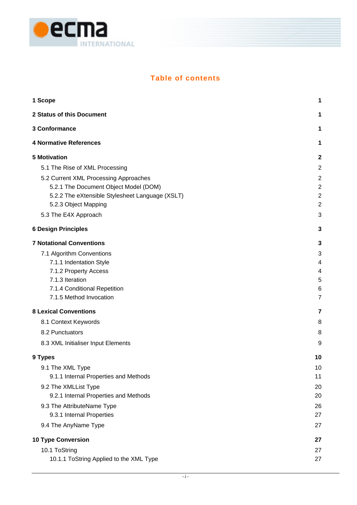

# **Table of contents**

| 1 Scope                                         | 1                       |
|-------------------------------------------------|-------------------------|
| 2 Status of this Document                       | 1                       |
| 3 Conformance                                   | 1                       |
| <b>4 Normative References</b>                   | 1                       |
| <b>5 Motivation</b>                             | $\mathbf 2$             |
| 5.1 The Rise of XML Processing                  | $\overline{2}$          |
| 5.2 Current XML Processing Approaches           | $\overline{\mathbf{c}}$ |
| 5.2.1 The Document Object Model (DOM)           | $\overline{2}$          |
| 5.2.2 The eXtensible Stylesheet Language (XSLT) | $\overline{c}$          |
| 5.2.3 Object Mapping                            | $\overline{2}$          |
| 5.3 The E4X Approach                            | 3                       |
| <b>6 Design Principles</b>                      | 3                       |
| <b>7 Notational Conventions</b>                 | 3                       |
| 7.1 Algorithm Conventions                       | 3                       |
| 7.1.1 Indentation Style                         | 4                       |
| 7.1.2 Property Access                           | 4                       |
| 7.1.3 Iteration                                 | 5                       |
| 7.1.4 Conditional Repetition                    | 6                       |
| 7.1.5 Method Invocation                         | $\overline{7}$          |
| <b>8 Lexical Conventions</b>                    | 7                       |
| 8.1 Context Keywords                            | 8                       |
| 8.2 Punctuators                                 | 8                       |
| 8.3 XML Initialiser Input Elements              | 9                       |
| 9 Types                                         | 10                      |
| 9.1 The XML Type                                | 10                      |
| 9.1.1 Internal Properties and Methods           | 11                      |
| 9.2 The XMLList Type                            | 20                      |
| 9.2.1 Internal Properties and Methods           | 20                      |
| 9.3 The AttributeName Type                      | 26                      |
| 9.3.1 Internal Properties                       | 27                      |
| 9.4 The AnyName Type                            | 27                      |
| <b>10 Type Conversion</b>                       | 27                      |
| 10.1 ToString                                   | 27                      |
| 10.1.1 ToString Applied to the XML Type         | 27                      |
|                                                 |                         |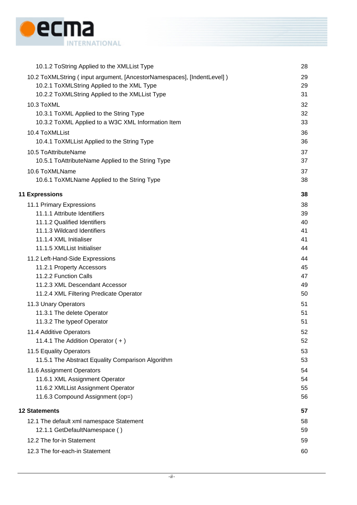

| 10.1.2 ToString Applied to the XMLList Type                            | 28 |
|------------------------------------------------------------------------|----|
| 10.2 ToXMLString (input argument, [AncestorNamespaces], [IndentLevel]) | 29 |
| 10.2.1 ToXMLString Applied to the XML Type                             | 29 |
| 10.2.2 ToXMLString Applied to the XMLList Type                         | 31 |
| 10.3 ToXML                                                             | 32 |
| 10.3.1 ToXML Applied to the String Type                                | 32 |
| 10.3.2 ToXML Applied to a W3C XML Information Item                     | 33 |
| 10.4 ToXMLList                                                         | 36 |
| 10.4.1 ToXMLList Applied to the String Type                            | 36 |
| 10.5 ToAttributeName                                                   | 37 |
| 10.5.1 ToAttributeName Applied to the String Type                      | 37 |
| 10.6 ToXMLName                                                         | 37 |
| 10.6.1 ToXMLName Applied to the String Type                            | 38 |
| <b>11 Expressions</b>                                                  | 38 |
| 11.1 Primary Expressions                                               | 38 |
| 11.1.1 Attribute Identifiers                                           | 39 |
| 11.1.2 Qualified Identifiers                                           | 40 |
| 11.1.3 Wildcard Identifiers                                            | 41 |
| 11.1.4 XML Initialiser                                                 | 41 |
| 11.1.5 XMLList Initialiser                                             | 44 |
| 11.2 Left-Hand-Side Expressions                                        | 44 |
| 11.2.1 Property Accessors                                              | 45 |
| 11.2.2 Function Calls                                                  | 47 |
| 11.2.3 XML Descendant Accessor                                         | 49 |
| 11.2.4 XML Filtering Predicate Operator                                | 50 |
| 11.3 Unary Operators                                                   | 51 |
| 11.3.1 The delete Operator                                             | 51 |
| 11.3.2 The typeof Operator                                             | 51 |
| 11.4 Additive Operators                                                | 52 |
| 11.4.1 The Addition Operator (+)                                       | 52 |
| 11.5 Equality Operators                                                | 53 |
| 11.5.1 The Abstract Equality Comparison Algorithm                      | 53 |
| 11.6 Assignment Operators                                              | 54 |
| 11.6.1 XML Assignment Operator                                         | 54 |
| 11.6.2 XMLList Assignment Operator                                     | 55 |
| 11.6.3 Compound Assignment (op=)                                       | 56 |
| <b>12 Statements</b>                                                   | 57 |
| 12.1 The default xml namespace Statement                               | 58 |
| 12.1.1 GetDefaultNamespace ()                                          | 59 |
| 12.2 The for-in Statement                                              | 59 |
| 12.3 The for-each-in Statement                                         | 60 |
|                                                                        |    |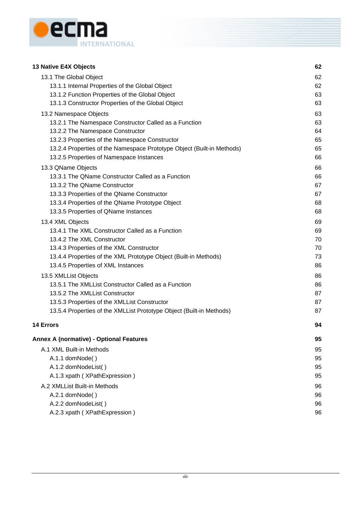

| 13 Native E4X Objects                                                  | 62 |
|------------------------------------------------------------------------|----|
| 13.1 The Global Object                                                 | 62 |
| 13.1.1 Internal Properties of the Global Object                        | 62 |
| 13.1.2 Function Properties of the Global Object                        | 63 |
| 13.1.3 Constructor Properties of the Global Object                     | 63 |
| 13.2 Namespace Objects                                                 | 63 |
| 13.2.1 The Namespace Constructor Called as a Function                  | 63 |
| 13.2.2 The Namespace Constructor                                       | 64 |
| 13.2.3 Properties of the Namespace Constructor                         | 65 |
| 13.2.4 Properties of the Namespace Prototype Object (Built-in Methods) | 65 |
| 13.2.5 Properties of Namespace Instances                               | 66 |
| 13.3 QName Objects                                                     | 66 |
| 13.3.1 The QName Constructor Called as a Function                      | 66 |
| 13.3.2 The QName Constructor                                           | 67 |
| 13.3.3 Properties of the QName Constructor                             | 67 |
| 13.3.4 Properties of the QName Prototype Object                        | 68 |
| 13.3.5 Properties of QName Instances                                   | 68 |
| 13.4 XML Objects                                                       | 69 |
| 13.4.1 The XML Constructor Called as a Function                        | 69 |
| 13.4.2 The XML Constructor                                             | 70 |
| 13.4.3 Properties of the XML Constructor                               | 70 |
| 13.4.4 Properties of the XML Prototype Object (Built-in Methods)       | 73 |
| 13.4.5 Properties of XML Instances                                     | 86 |
| 13.5 XMLList Objects                                                   | 86 |
| 13.5.1 The XMLList Constructor Called as a Function                    | 86 |
| 13.5.2 The XMLList Constructor                                         | 87 |
| 13.5.3 Properties of the XMLList Constructor                           | 87 |
| 13.5.4 Properties of the XMLList Prototype Object (Built-in Methods)   | 87 |
| 14 Errors                                                              | 94 |
| <b>Annex A (normative) - Optional Features</b>                         | 95 |
| A.1 XML Built-in Methods                                               | 95 |
| A.1.1 domNode()                                                        | 95 |
| A.1.2 domNodeList()                                                    | 95 |
| A.1.3 xpath (XPathExpression)                                          | 95 |
| A.2 XMLList Built-in Methods                                           | 96 |
| A.2.1 domNode()                                                        | 96 |
| A.2.2 domNodeList()                                                    | 96 |
| A.2.3 xpath (XPathExpression)                                          | 96 |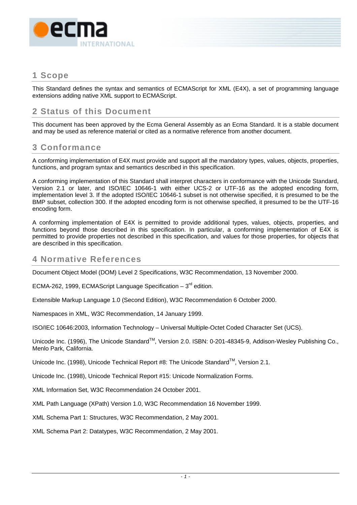<span id="page-10-0"></span>

# **1 Scope**

This Standard defines the syntax and semantics of ECMAScript for XML (E4X), a set of programming language extensions adding native XML support to ECMAScript.

# **2 Status of this Document**

This document has been approved by the Ecma General Assembly as an Ecma Standard. It is a stable document and may be used as reference material or cited as a normative reference from another document.

# **3 Conformance**

A conforming implementation of E4X must provide and support all the mandatory types, values, objects, properties, functions, and program syntax and semantics described in this specification.

A conforming implementation of this Standard shall interpret characters in conformance with the Unicode Standard, Version 2.1 or later, and ISO/IEC 10646-1 with either UCS-2 or UTF-16 as the adopted encoding form, implementation level 3. If the adopted ISO/IEC 10646-1 subset is not otherwise specified, it is presumed to be the BMP subset, collection 300. If the adopted encoding form is not otherwise specified, it presumed to be the UTF-16 encoding form.

A conforming implementation of E4X is permitted to provide additional types, values, objects, properties, and functions beyond those described in this specification. In particular, a conforming implementation of E4X is permitted to provide properties not described in this specification, and values for those properties, for objects that are described in this specification.

# **4 Normative References**

Document Object Model (DOM) Level 2 Specifications, W3C Recommendation, 13 November 2000.

ECMA-262, 1999, ECMAScript Language Specification –  $3^{rd}$  edition.

Extensible Markup Language 1.0 (Second Edition), W3C Recommendation 6 October 2000.

Namespaces in XML, W3C Recommendation, 14 January 1999.

ISO/IEC 10646:2003, Information Technology – Universal Multiple-Octet Coded Character Set (UCS).

Unicode Inc. (1996), The Unicode Standard™, Version 2.0, ISBN: 0-201-48345-9, Addison-Wesley Publishing Co., Menlo Park, California.

Unicode Inc. (1998), Unicode Technical Report #8: The Unicode Standard<sup>TM</sup>, Version 2.1.

Unicode Inc. (1998), Unicode Technical Report #15: Unicode Normalization Forms.

XML Information Set, W3C Recommendation 24 October 2001.

XML Path Language (XPath) Version 1.0, W3C Recommendation 16 November 1999.

XML Schema Part 1: Structures, W3C Recommendation, 2 May 2001.

XML Schema Part 2: Datatypes, W3C Recommendation, 2 May 2001.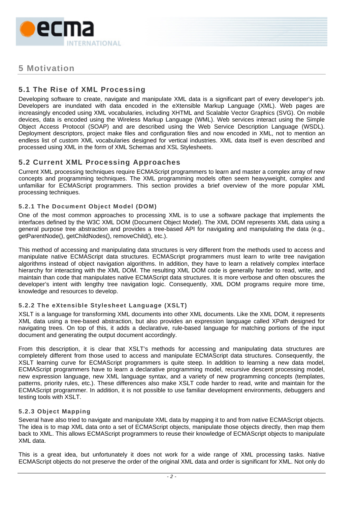<span id="page-11-0"></span>

# **5 Motivation**

# **5.1 The Rise of XML Processing**

Developing software to create, navigate and manipulate XML data is a significant part of every developer's job. Developers are inundated with data encoded in the eXtensible Markup Language (XML). Web pages are increasingly encoded using XML vocabularies, including XHTML and Scalable Vector Graphics (SVG). On mobile devices, data is encoded using the Wireless Markup Language (WML). Web services interact using the Simple Object Access Protocol (SOAP) and are described using the Web Service Description Language (WSDL). Deployment descriptors, project make files and configuration files and now encoded in XML, not to mention an endless list of custom XML vocabularies designed for vertical industries. XML data itself is even described and processed using XML in the form of XML Schemas and XSL Stylesheets.

# **5.2 Current XML Processing Approaches**

Current XML processing techniques require ECMAScript programmers to learn and master a complex array of new concepts and programming techniques. The XML programming models often seem heavyweight, complex and unfamiliar for ECMAScript programmers. This section provides a brief overview of the more popular XML processing techniques.

# **5.2.1 The Document Object Model (DOM)**

One of the most common approaches to processing XML is to use a software package that implements the interfaces defined by the W3C XML DOM (Document Object Model). The XML DOM represents XML data using a general purpose tree abstraction and provides a tree-based API for navigating and manipulating the data (e.g., getParentNode(), getChildNodes(), removeChild(), etc.).

This method of accessing and manipulating data structures is very different from the methods used to access and manipulate native ECMAScript data structures. ECMAScript programmers must learn to write tree navigation algorithms instead of object navigation algorithms. In addition, they have to learn a relatively complex interface hierarchy for interacting with the XML DOM. The resulting XML DOM code is generally harder to read, write, and maintain than code that manipulates native ECMAScript data structures. It is more verbose and often obscures the developer's intent with lengthy tree navigation logic. Consequently, XML DOM programs require more time, knowledge and resources to develop.

# **5.2.2 The eXtensible Stylesheet Language (XSLT)**

XSLT is a language for transforming XML documents into other XML documents. Like the XML DOM, it represents XML data using a tree-based abstraction, but also provides an expression language called XPath designed for navigating trees. On top of this, it adds a declarative, rule-based language for matching portions of the input document and generating the output document accordingly.

From this description, it is clear that XSLT's methods for accessing and manipulating data structures are completely different from those used to access and manipulate ECMAScript data structures. Consequently, the XSLT learning curve for ECMAScript programmers is quite steep. In addition to learning a new data model, ECMAScript programmers have to learn a declarative programming model, recursive descent processing model, new expression language, new XML language syntax, and a variety of new programming concepts (templates, patterns, priority rules, etc.). These differences also make XSLT code harder to read, write and maintain for the ECMAScript programmer. In addition, it is not possible to use familiar development environments, debuggers and testing tools with XSLT.

# **5.2.3 Object Mapping**

Several have also tried to navigate and manipulate XML data by mapping it to and from native ECMAScript objects. The idea is to map XML data onto a set of ECMAScript objects, manipulate those objects directly, then map them back to XML. This allows ECMAScript programmers to reuse their knowledge of ECMAScript objects to manipulate XML data.

This is a great idea, but unfortunately it does not work for a wide range of XML processing tasks. Native ECMAScript objects do not preserve the order of the original XML data and order is significant for XML. Not only do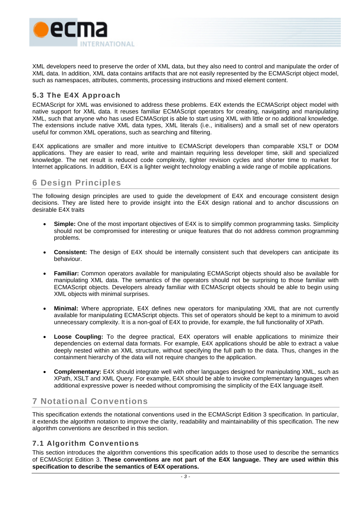<span id="page-12-0"></span>

XML developers need to preserve the order of XML data, but they also need to control and manipulate the order of XML data. In addition, XML data contains artifacts that are not easily represented by the ECMAScript object model, such as namespaces, attributes, comments, processing instructions and mixed element content.

# **5.3 The E4X Approach**

ECMAScript for XML was envisioned to address these problems. E4X extends the ECMAScript object model with native support for XML data. It reuses familiar ECMAScript operators for creating, navigating and manipulating XML, such that anyone who has used ECMAScript is able to start using XML with little or no additional knowledge. The extensions include native XML data types, XML literals (i.e., initialisers) and a small set of new operators useful for common XML operations, such as searching and filtering.

E4X applications are smaller and more intuitive to ECMAScript developers than comparable XSLT or DOM applications. They are easier to read, write and maintain requiring less developer time, skill and specialized knowledge. The net result is reduced code complexity, tighter revision cycles and shorter time to market for Internet applications. In addition, E4X is a lighter weight technology enabling a wide range of mobile applications.

# **6 Design Principles**

The following design principles are used to guide the development of E4X and encourage consistent design decisions. They are listed here to provide insight into the E4X design rational and to anchor discussions on desirable E4X traits

- **Simple:** One of the most important objectives of E4X is to simplify common programming tasks. Simplicity should not be compromised for interesting or unique features that do not address common programming problems.
- **Consistent:** The design of E4X should be internally consistent such that developers can anticipate its behaviour.
- **Familiar:** Common operators available for manipulating ECMAScript objects should also be available for manipulating XML data. The semantics of the operators should not be surprising to those familiar with ECMAScript objects. Developers already familiar with ECMAScript objects should be able to begin using XML objects with minimal surprises.
- **Minimal:** Where appropriate, E4X defines new operators for manipulating XML that are not currently available for manipulating ECMAScript objects. This set of operators should be kept to a minimum to avoid unnecessary complexity. It is a non-goal of E4X to provide, for example, the full functionality of XPath.
- **Loose Coupling:** To the degree practical, E4X operators will enable applications to minimize their dependencies on external data formats. For example, E4X applications should be able to extract a value deeply nested within an XML structure, without specifying the full path to the data. Thus, changes in the containment hierarchy of the data will not require changes to the application.
- **Complementary:** E4X should integrate well with other languages designed for manipulating XML, such as XPath, XSLT and XML Query. For example, E4X should be able to invoke complementary languages when additional expressive power is needed without compromising the simplicity of the E4X language itself.

# **7 Notational Conventions**

This specification extends the notational conventions used in the ECMAScript Edition 3 specification. In particular, it extends the algorithm notation to improve the clarity, readability and maintainability of this specification. The new algorithm conventions are described in this section.

# **7.1 Algorithm Conventions**

This section introduces the algorithm conventions this specification adds to those used to describe the semantics of ECMAScript Edition 3. **These conventions are not part of the E4X language. They are used within this specification to describe the semantics of E4X operations.**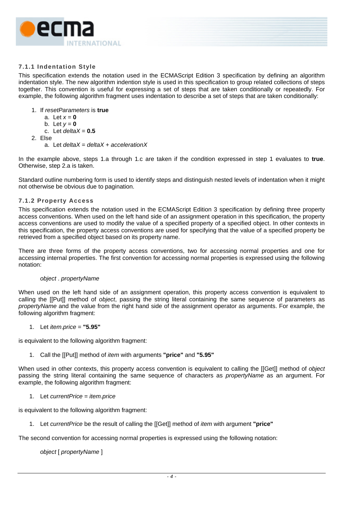<span id="page-13-0"></span>

# <span id="page-13-1"></span>**7.1.1 Indentation Style**

This specification extends the notation used in the ECMAScript Edition 3 specification by defining an algorithm indentation style. The new algorithm indention style is used in this specification to group related collections of steps together. This convention is useful for expressing a set of steps that are taken conditionally or repeatedly. For example, the following algorithm fragment uses indentation to describe a set of steps that are taken conditionally:

- 1. If *resetParameters* is **true**
	- a. Let  $x = 0$
	- b. Let  $y = 0$
	- c. Let  $deltaX = 0.5$
- 2. Else
	- a. Let *deltaX* = *deltaX* + *accelerationX*

In the example above, steps 1.a through 1.c are taken if the condition expressed in step 1 evaluates to **true**. Otherwise, step 2.a is taken.

Standard outline numbering form is used to identify steps and distinguish nested levels of indentation when it might not otherwise be obvious due to pagination.

#### **7.1.2 Property Access**

This specification extends the notation used in the ECMAScript Edition 3 specification by defining three property access conventions. When used on the left hand side of an assignment operation in this specification, the property access conventions are used to modify the value of a specified property of a specified object. In other contexts in this specification, the property access conventions are used for specifying that the value of a specified property be retrieved from a specified object based on its property name.

There are three forms of the property access conventions, two for accessing normal properties and one for accessing internal properties. The first convention for accessing normal properties is expressed using the following notation:

#### *object* . *propertyName*

When used on the left hand side of an assignment operation, this property access convention is equivalent to calling the [[Put]] method of *object*, passing the string literal containing the same sequence of parameters as *propertyName* and the value from the right hand side of the assignment operator as arguments. For example, the following algorithm fragment:

1. Let *item*.*price* = **"5.95"**

is equivalent to the following algorithm fragment:

1. Call the [[Put]] method of *item* with arguments **"price"** and **"5.95"**

When used in other contexts, this property access convention is equivalent to calling the [[Get]] method of *object* passing the string literal containing the same sequence of characters as *propertyName* as an argument. For example, the following algorithm fragment:

# 1. Let *currentPrice* = *item*.*price*

is equivalent to the following algorithm fragment:

1. Let *currentPrice* be the result of calling the [[Get]] method of *item* with argument **"price"**

The second convention for accessing normal properties is expressed using the following notation:

*object* [ *propertyName* ]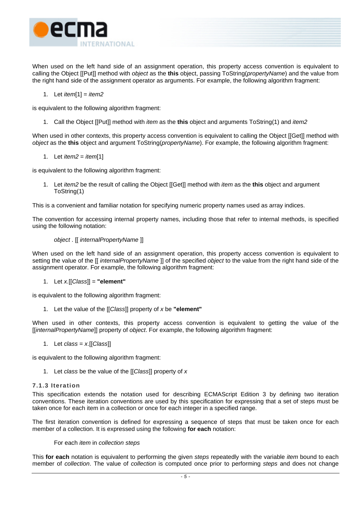<span id="page-14-0"></span>

When used on the left hand side of an assignment operation, this property access convention is equivalent to calling the Object [[Put]] method with *object* as the **this** object, passing ToString(*propertyName*) and the value from the right hand side of the assignment operator as arguments. For example, the following algorithm fragment:

1. Let *item*[1] = *item2*

is equivalent to the following algorithm fragment:

1. Call the Object [[Put]] method with *item* as the **this** object and arguments ToString(1) and *item2*

When used in other contexts, this property access convention is equivalent to calling the Object [[Get]] method with *object* as the **this** object and argument ToString(*propertyName*). For example, the following algorithm fragment:

1. Let *item2* = *item*[1]

is equivalent to the following algorithm fragment:

1. Let *item2* be the result of calling the Object [[Get]] method with *item* as the **this** object and argument ToString(1)

This is a convenient and familiar notation for specifying numeric property names used as array indices.

The convention for accessing internal property names, including those that refer to internal methods, is specified using the following notation:

# *object* . [[ *internalPropertyName* ]]

When used on the left hand side of an assignment operation, this property access convention is equivalent to setting the value of the [[ *internalPropertyName* ]] of the specified *object* to the value from the right hand side of the assignment operator. For example, the following algorithm fragment:

1. Let *x.*[[*Class*]] = **"element"**

is equivalent to the following algorithm fragment:

1. Let the value of the [[*Class*]] property of *x* be **"element"**

When used in other contexts, this property access convention is equivalent to getting the value of the [[*internalPropertyName*]] property of *object*. For example, the following algorithm fragment:

1. Let *class* = *x*.[[*Class*]]

is equivalent to the following algorithm fragment:

1. Let *class* be the value of the [[*Class*]] property of *x*

# **7.1.3 Iteration**

This specification extends the notation used for describing ECMAScript Edition 3 by defining two iteration conventions. These iteration conventions are used by this specification for expressing that a set of steps must be taken once for each item in a collection or once for each integer in a specified range.

The first iteration convention is defined for expressing a sequence of steps that must be taken once for each member of a collection. It is expressed using the following **for each** notation:

#### For each *item* in *collection steps*

This **for each** notation is equivalent to performing the given *steps* repeatedly with the variable *item* bound to each member of *collection*. The value of *collection* is computed once prior to performing *steps* and does not change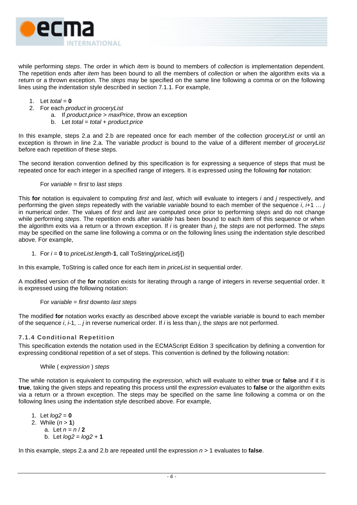<span id="page-15-0"></span>

while performing *steps*. The order in which *item* is bound to members of *collection* is implementation dependent. The repetition ends after *item* has been bound to all the members of *collection* or when the algorithm exits via a return or a thrown exception. The *steps* may be specified on the same line following a comma or on the following lines using the indentation style described in section [7.1.1.](#page-13-1) For example,

- 1. Let *total* = **0**
- 2. For each *product* in *groceryList*
	- a. If *product*.*price* > *maxPrice*, throw an exception
	- b. Let *total* = *total* + *product*.*price*

In this example, steps 2.a and 2.b are repeated once for each member of the collection *groceryList* or until an exception is thrown in line 2.a. The variable *product* is bound to the value of a different member of *groceryList* before each repetition of these steps.

The second iteration convention defined by this specification is for expressing a sequence of steps that must be repeated once for each integer in a specified range of integers. It is expressed using the following **for** notation:

#### For *variable* = *first* to *last steps*

This **for** notation is equivalent to computing *first* and *last*, which will evaluate to integers *i* and *j* respectively, and performing the given *steps* repeatedly with the variable *variable* bound to each member of the sequence *i*, *i*+1 … *j* in numerical order. The values of *first* and *last* are computed once prior to performing *steps* and do not change while performing *steps*. The repetition ends after *variable* has been bound to each item of this sequence or when the algorithm exits via a return or a thrown exception. If *i* is greater than *j*, the *steps* are not performed. The *steps* may be specified on the same line following a comma or on the following lines using the indentation style described above. For example,

1. For *i* = **0** to *priceList*.*length*-**1**, call ToString(*priceList*[*i*])

In this example, ToString is called once for each item in *priceList* in sequential order.

A modified version of the **for** notation exists for iterating through a range of integers in reverse sequential order. It is expressed using the following notation:

#### For *variable* = *first* downto *last steps*

The modified **for** notation works exactly as described above except the variable *variable* is bound to each member of the sequence *i*, *i*-1, .. *j* in reverse numerical order. If *i* is less than *j*, the *steps* are not performed.

# **7.1.4 Conditional Repetition**

This specification extends the notation used in the ECMAScript Edition 3 specification by defining a convention for expressing conditional repetition of a set of steps. This convention is defined by the following notation:

#### While ( *expression* ) *steps*

The while notation is equivalent to computing the *expression*, which will evaluate to either **true** or **false** and if it is **true**, taking the given steps and repeating this process until the *expression* evaluates to **false** or the algorithm exits via a return or a thrown exception. The steps may be specified on the same line following a comma or on the following lines using the indentation style described above. For example,

1. Let  $log2 = 0$ 2. While (*n* > **1**) a. Let  $n = n/2$ b. Let *log2* = *log2* + **1**

In this example, steps 2.a and 2.b are repeated until the expression *n* > 1 evaluates to **false**.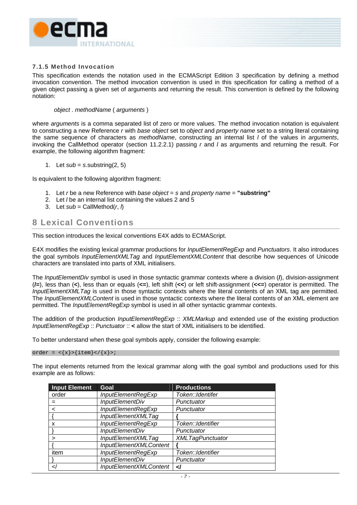<span id="page-16-0"></span>

#### **7.1.5 Method Invocation**

This specification extends the notation used in the ECMAScript Edition 3 specification by defining a method invocation convention. The method invocation convention is used in this specification for calling a method of a given object passing a given set of arguments and returning the result. This convention is defined by the following notation:

#### *object* . *methodName* ( *arguments* )

where *arguments* is a comma separated list of zero or more values. The method invocation notation is equivalent to constructing a new Reference *r* with *base object* set to *object* and *property name* set to a string literal containing the same sequence of characters as *methodName*, constructing an internal list *l* of the values in *arguments*, invoking the CallMethod operator (section [11.2.2.1\)](#page-57-0) passing *r* and *l* as arguments and returning the result. For example, the following algorithm fragment:

1. Let  $sub = s$ .substring(2, 5)

Is equivalent to the following algorithm fragment:

- 1. Let *r* be a new Reference with *base object* = *s* and *property name* = **"substring"**
- 2. Let *l* be an internal list containing the values 2 and 5
- 3. Let  $sub = CallMethod(r, h)$

# **8 Lexical Conventions**

This section introduces the lexical conventions E4X adds to ECMAScript.

E4X modifies the existing lexical grammar productions for *InputElementRegExp* and *Punctuators*. It also introduces the goal symbols *InputElementXMLTag* and *InputElementXMLContent* that describe how sequences of Unicode characters are translated into parts of XML initialisers.

The *InputElementDiv* symbol is used in those syntactic grammar contexts where a division (**/**), division-assignment (**/=**), less than (**<**), less than or equals (**<=**), left shift (**<<**) or left shift-assignment (**<<=**) operator is permitted. The *InputElementXMLTag* is used in those syntactic contexts where the literal contents of an XML tag are permitted. The *InputElementXMLContent* is used in those syntactic contexts where the literal contents of an XML element are permitted. The *InputElementRegExp* symbol is used in all other syntactic grammar contexts.

The addition of the production *InputElementRegExp* :: *XMLMarkup* and extended use of the existing production *InputElementRegExp* :: *Punctuator* :: **<** allow the start of XML initialisers to be identified.

To better understand when these goal symbols apply, consider the following example:

#### order =  $\langle x \rangle > \{\text{item}\}\langle x \rangle > i$

The input elements returned from the lexical grammar along with the goal symbol and productions used for this example are as follows:

| <b>Input Element</b> | Goal                   | <b>Productions</b>      |
|----------------------|------------------------|-------------------------|
| order                | InputElementRegExp     | Token::Identifer        |
|                      | <b>InputElementDiv</b> | Punctuator              |
|                      | InputElementRegExp     | Punctuator              |
|                      | InputElementXMLTag     |                         |
| x                    | InputElementRegExp     | Token:: Identifier      |
|                      | <b>InputElementDiv</b> | Punctuator              |
|                      | InputElementXMLTag     | <b>XMLTagPunctuator</b> |
|                      | InputElementXMLContent |                         |
| item                 | InputElementRegExp     | Token::Identifier       |
|                      | <b>InputElementDiv</b> | Punctuator              |
|                      | InputElementXMLContent | اے                      |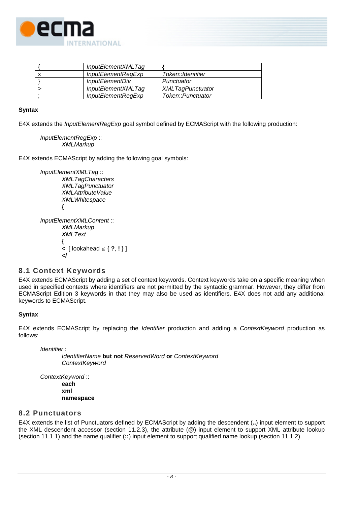<span id="page-17-0"></span>

| InputElementXMLTag        |                         |
|---------------------------|-------------------------|
| <i>InputElementRegExp</i> | Token::Identifier       |
| <i>InputElementDiv</i>    | Punctuator              |
| InputElementXMLTag        | <b>XMLTagPunctuator</b> |
| InputElementRegExp        | Token::Punctuator       |

# **Syntax**

E4X extends the *InputElementRegExp* goal symbol defined by ECMAScript with the following production:

```
InputElementRegExp :: 
XMLMarkup
```
E4X extends ECMAScript by adding the following goal symbols:

*InputElementXMLTag* ::  *XMLTagCharacters XMLTagPunctuator XMLAttributeValue XMLWhitespace*  **{**  *InputElementXMLContent* :: *XMLMarkup XMLText*  **{ <** [ lookahead ∉ { **?**, **!** } ]  **</**

# **8.1 Context Keywords**

E4X extends ECMAScript by adding a set of context keywords. Context keywords take on a specific meaning when used in specified contexts where identifiers are not permitted by the syntactic grammar. However, they differ from ECMAScript Edition 3 keywords in that they may also be used as identifiers. E4X does not add any additional keywords to ECMAScript.

# **Syntax**

E4X extends ECMAScript by replacing the *Identifier* production and adding a *ContextKeyword* production as follows:

*Identifier*::

 *IdentifierName* **but not** *ReservedWord* **or** *ContextKeyword ContextKeyword* 

*ContextKeyword* :: **each xml namespace** 

# **8.2 Punctuators**

E4X extends the list of Punctuators defined by ECMAScript by adding the descendent (**..**) input element to support the XML descendent accessor (section [11.2.3\)](#page-58-1), the attribute (**@**) input element to support XML attribute lookup (section [11.1.1\)](#page-48-1) and the name qualifier (**::**) input element to support qualified name lookup (section [11.1.2\)](#page-49-1).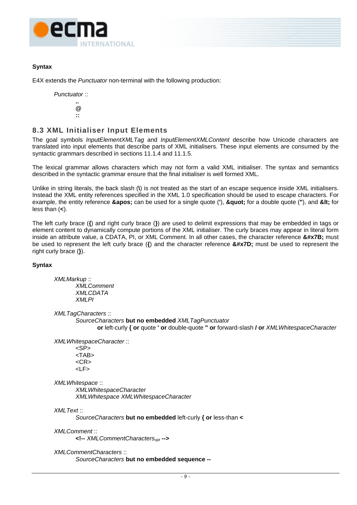<span id="page-18-0"></span>

# **Syntax**

E4X extends the *Punctuator* non-terminal with the following production:

*Punctuator* ::

 **.. @** *<b>::*  $\cdot$  *:*  $\cdot$  **:** 

# **8.3 XML Initialiser Input Elements**

The goal symbols *InputElementXMLTag* and *InputElementXMLContent* describe how Unicode characters are translated into input elements that describe parts of XML initialisers. These input elements are consumed by the syntactic grammars described in sections [11.1.4](#page-50-1) and [11.1.5.](#page-53-1)

The lexical grammar allows characters which may not form a valid XML initialiser. The syntax and semantics described in the syntactic grammar ensure that the final initialiser is well formed XML.

Unlike in string literals, the back slash (**\**) is not treated as the start of an escape sequence inside XML initialisers. Instead the XML entity references specified in the XML 1.0 specification should be used to escape characters. For example, the entity reference **&apos**; can be used for a single quote ('), **&quot**; for a double quote ("), and **&It**; for less than (**<**).

The left curly brace (**{**) and right curly brace (**}**) are used to delimit expressions that may be embedded in tags or element content to dynamically compute portions of the XML initialiser. The curly braces may appear in literal form inside an attribute value, a CDATA, PI, or XML Comment. In all other cases, the character reference **&#x7B**; must be used to represent the left curly brace ({) and the character reference  $\&\#x7D$ ; must be used to represent the right curly brace (**}**).

# **Syntax**

*XMLMarkup* :: *XMLComment XMLCDATA XMLPI* 

*XMLTagCharacters* ::

*SourceCharacters* **but no embedded** *XMLTagPunctuator*

**or** left-curly **{ or** quote **' or** double-quote **" or** forward-slash **/ or** *XMLWhitespaceCharacter*

*XMLWhitespaceCharacter* ::

<SP> <TAB>  $<$ CR $>$ <LF>

*XMLWhitespace* ::

 *XMLWhitespaceCharacter XMLWhitespace XMLWhitespaceCharacter* 

*XMLText* ::

*SourceCharacters* **but no embedded** left-curly **{ or** less-than **<** 

*XMLComment* ::

**<!--** *XMLCommentCharactersopt* **-->**

*XMLCommentCharacters* ::

*SourceCharacters* **but no embedded sequence --**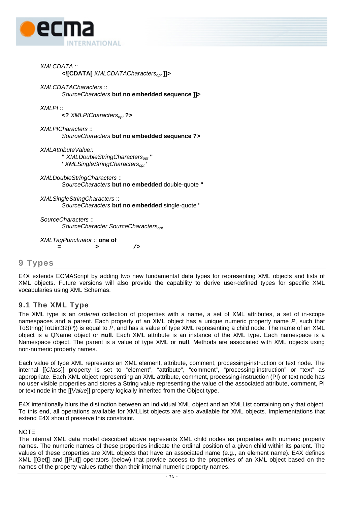<span id="page-19-0"></span>

|         | <b>XMLCDATA::</b><br>XMLCDATACharacters<sub>opt</sub>                                                             |
|---------|-------------------------------------------------------------------------------------------------------------------|
|         | XMLCDATACharacters:<br>SourceCharacters but no embedded sequence ]]>                                              |
| XMLPI:: | $\prec$ ? XMLPICharacters <sub>opt</sub> ?>                                                                       |
|         | <b>XMLPICharacters::</b><br>SourceCharacters but no embedded sequence ?>                                          |
|         | XMLAttributeValue::<br>" XMLDoubleStringCharacters <sub>opt</sub> "<br>' XMLSingleStringCharacters <sub>opt</sub> |
|         | <b>XMLDoubleStringCharacters::</b><br>SourceCharacters but no embedded double-quote "                             |
|         | <b>XMLSingleStringCharacters::</b><br>SourceCharacters but no embedded single-quote '                             |
|         | SourceCharacters::<br>SourceCharacter SourceCharacters <sub>opt</sub>                                             |
|         | XMLTagPunctuator:: one of<br>/><br>>                                                                              |

# **9 Types**

E4X extends ECMAScript by adding two new fundamental data types for representing XML objects and lists of XML objects. Future versions will also provide the capability to derive user-defined types for specific XML vocabularies using XML Schemas.

# **9.1 The XML Type**

The XML type is an *ordered* collection of properties with a name, a set of XML attributes, a set of in-scope namespaces and a parent. Each property of an XML object has a unique numeric property name *P*, such that ToString(ToUint32(*P*)) is equal to *P*, and has a value of type XML representing a child node. The name of an XML object is a QName object or **null**. Each XML attribute is an instance of the XML type. Each namespace is a Namespace object. The parent is a value of type XML or **null**. Methods are associated with XML objects using non-numeric property names.

Each value of type XML represents an XML element, attribute, comment, processing-instruction or text node. The internal [[*Class*]] property is set to "element", "attribute", "comment", "processing-instruction" or "text" as appropriate. Each XML object representing an XML attribute, comment, processing-instruction (PI) or text node has no user visible properties and stores a String value representing the value of the associated attribute, comment, PI or text node in the [[*Value*]] property logically inherited from the Object type.

E4X intentionally blurs the distinction between an individual XML object and an XMLList containing only that object. To this end, all operations available for XMLList objects are also available for XML objects. Implementations that extend E4X should preserve this constraint.

# **NOTE**

The internal XML data model described above represents XML child nodes as properties with numeric property names. The numeric names of these properties indicate the ordinal position of a given child within its parent. The values of these properties are XML objects that have an associated name (e.g., an element name). E4X defines XML [[Get]] and [[Put]] operators (below) that provide access to the properties of an XML object based on the names of the property values rather than their internal numeric property names.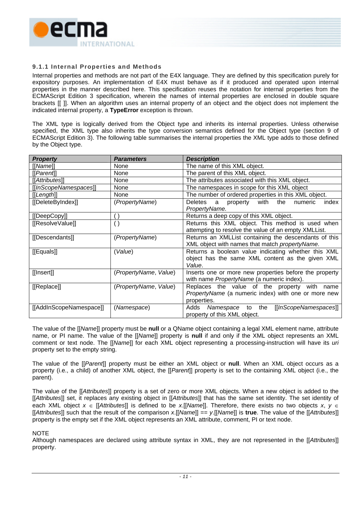<span id="page-20-0"></span>

# **9.1.1 Internal Properties and Methods**

Internal properties and methods are not part of the E4X language. They are defined by this specification purely for expository purposes. An implementation of E4X must behave as if it produced and operated upon internal properties in the manner described here. This specification reuses the notation for internal properties from the ECMAScript Edition 3 specification, wherein the names of internal properties are enclosed in double square brackets [[ ]]. When an algorithm uses an internal property of an object and the object does not implement the indicated internal property, a **TypeError** exception is thrown.

The XML type is logically derived from the Object type and inherits its internal properties. Unless otherwise specified, the XML type also inherits the type conversion semantics defined for the Object type (section 9 of ECMAScript Edition 3). The following table summarises the internal properties the XML type adds to those defined by the Object type.

| <b>Property</b>         | <b>Parameters</b>        | <b>Description</b>                                                        |
|-------------------------|--------------------------|---------------------------------------------------------------------------|
| [[Name]]                | None                     | The name of this XML object.                                              |
| [[Parent]]              | None                     | The parent of this XML object.                                            |
| [[Attributes]]          | None                     | The attributes associated with this XML object.                           |
| [[InScopeNamespaces]]   | None                     | The namespaces in scope for this XML object                               |
| [[Length]]              | None                     | The number of ordered properties in this XML object.                      |
| [[DeleteByIndex]]       | (PropertyName)           | with<br>Deletes<br>a property<br>the<br>numeric<br>index<br>PropertyName. |
| [[DeepCopy]]            | $\overline{\phantom{a}}$ | Returns a deep copy of this XML object.                                   |
| [[ResolveValue]]        | $\left( \ \right)$       | Returns this XML object. This method is used when                         |
|                         |                          | attempting to resolve the value of an empty XMLList.                      |
| [[Descendants]]         | (PropertyName)           | Returns an XMLList containing the descendants of this                     |
|                         |                          | XML object with names that match propertyName.                            |
| [[Equals]]              | (Value)                  | Returns a boolean value indicating whether this XML                       |
|                         |                          | object has the same XML content as the given XML                          |
|                         |                          | Value.                                                                    |
| [[Insert]]              | (PropertyName, Value)    | Inserts one or more new properties before the property                    |
|                         |                          | with name PropertyName (a numeric index).                                 |
| [[Replace]]             | (PropertyName, Value)    | Replaces the value of the property with name                              |
|                         |                          | PropertyName (a numeric index) with one or more new                       |
|                         |                          | properties.                                                               |
| [[AddInScopeNamespace]] | (Namespace)              | Adds<br>the<br>[[InScopeNamespaces]]<br>Namespace<br>to                   |
|                         |                          | property of this XML object.                                              |

The value of the [[*Name*]] property must be **null** or a QName object containing a legal XML element name, attribute name, or PI name. The value of the [[*Name*]] property is **null** if and only if the XML object represents an XML comment or text node. The [[*Name*]] for each XML object representing a processing-instruction will have its *uri* property set to the empty string.

The value of the [[*Parent*]] property must be either an XML object or **null**. When an XML object occurs as a property (i.e., a child) of another XML object, the [[*Parent*]] property is set to the containing XML object (i.e., the parent).

The value of the [[*Attributes*]] property is a set of zero or more XML objects. When a new object is added to the [[*Attributes*]] set, it replaces any existing object in [[*Attributes*]] that has the same set identity. The set identity of each XML object *x* ∈ [[*Attributes*]] is defined to be *x*.[[*Name*]]. Therefore, there exists no two objects *x*, *y* ∈ [[*Attributes*]] such that the result of the comparison *x*.[[*Name*]] == *y*.[[*Name*]] is **true**. The value of the [[*Attributes*]] property is the empty set if the XML object represents an XML attribute, comment, PI or text node.

**NOTE** 

Although namespaces are declared using attribute syntax in XML, they are not represented in the [[*Attributes*]] property.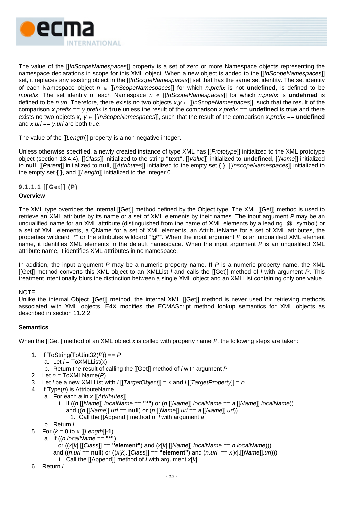

The value of the [[*InScopeNamespaces*]] property is a set of zero or more Namespace objects representing the namespace declarations in scope for this XML object. When a new object is added to the [[*InScopeNamespaces*]] set, it replaces any existing object in the [[*InScopeNamespaces*]] set that has the same set identity. The set identity of each Namespace object *n* ∈ [[*InScopeNamespaces*]] for which *n*.*prefix* is not **undefined**, is defined to be *n*.*prefix*. The set identify of each Namespace *n* ∈ [[*InScopeNamespaces*]] for which *n*.*prefix* is **undefined** is defined to be *n*.*uri*. Therefore, there exists no two objects *x*,*y* ∈ [[*InScopeNamespaces*]], such that the result of the comparison *x*.*prefix* == *y*.*prefix* is **true** unless the result of the comparison *x*.*prefix* == **undefined** is **true** and there exists no two objects *x*, *y* ∈ [[*InScopeNamespaces*]], such that the result of the comparison *x*.*prefix* == **undefined** and *x*.*uri* == *y*.*uri* are both true.

The value of the [[*Length*]] property is a non-negative integer.

Unless otherwise specified, a newly created instance of type XML has [[*Prototype*]] initialized to the XML prototype object (section [13.4.4\)](#page-82-1), [[*Class*]] initialized to the string **"text"**, [[*Value*]] initialized to **undefined**, [[*Name*]] initialized to **null**, [[*Parent*]] initialized to **null**, [[*Attributes*]] initialized to the empty set **{ }**, [[*InscopeNamespaces*]] initialized to the empty set **{ }**, and [[*Length*]] initialized to the integer 0.

**9.1.1.1 [[Get]] (P)** 

# **Overview**

The XML type overrides the internal [[Get]] method defined by the Object type. The XML [[Get]] method is used to retrieve an XML attribute by its name or a set of XML elements by their names. The input argument *P* may be an unqualified name for an XML attribute (distinguished from the name of XML elements by a leading "@" symbol) or a set of XML elements, a QName for a set of XML elements, an AttributeName for a set of XML attributes, the properties wildcard "\*" or the attributes wildcard "@\*". When the input argument *P* is an unqualified XML element name, it identifies XML elements in the default namespace. When the input argument *P* is an unqualified XML attribute name, it identifies XML attributes in no namespace.

In addition, the input argument *P* may be a numeric property name. If *P* is a numeric property name, the XML [[Get]] method converts this XML object to an XMLList *l* and calls the [[Get]] method of *l* with argument *P*. This treatment intentionally blurs the distinction between a single XML object and an XMLList containing only one value.

# NOTE

Unlike the internal Object [[Get]] method, the internal XML [[Get]] method is never used for retrieving methods associated with XML objects. E4X modifies the ECMAScript method lookup semantics for XML objects as described in section [11.2.2.](#page-56-1)

# **Semantics**

When the [[Get]] method of an XML object *x* is called with property name *P*, the following steps are taken:

- 1. If ToString(ToUint32(*P*)) == *P*
	- a. Let  $l = \text{ToXMLList}(x)$
	- b. Return the result of calling the [[Get]] method of *l* with argument *P*
- 2. Let *n* = ToXMLName(*P*)
- 3. Let *l* be a new XMLList with *l*.[[*TargetObject*]] = *x* and *l*.[[*TargetProperty*]] = *n*
- 4. If Type(*n*) is AttributeName
	- a. For each *a* in *x*.[[*Attributes*]]
		- i. If ((*n*.[[*Name*]].*localName* == **"\*"**) or (*n*.[[*Name*]].*localName* == *a.*[[*Name*]].*localName*)) and ((*n*.[[*Name*]].*uri* == **null**) or (*n*.[[*Name*]].*uri* == *a*.[[*Name*]].*uri*))
			- 1. Call the [[Append]] method of *l* with argument *a*
	- b. Return *l*
- 5. For  $(k = 0 \text{ to } x.$  [[*Length*]]-1)
	- a. If ((*n*.*localName* == **"\*"**)
		- or ((*x*[*k*].[[*Class*]] == **"element"**) and (*x*[*k*].[[*Name*]].*localName* == *n*.*localName*)))
		- and  $((n.uri == null)$  or  $((x[k].[[Class]] == "element")$  and  $(n.uri == x[k].[[Name]] . *uri*$ ))
		- i. Call the [[Append]] method of *l* with argument *x*[*k*]
- 6. Return *l*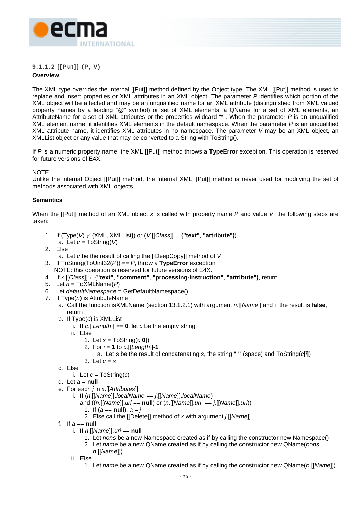

# **9.1.1.2 [[Put]] (P, V)**

# **Overview**

The XML type overrides the internal [[Put]] method defined by the Object type. The XML [[Put]] method is used to replace and insert properties or XML attributes in an XML object. The parameter *P* identifies which portion of the XML object will be affected and may be an unqualified name for an XML attribute (distinguished from XML valued property names by a leading "@" symbol) or set of XML elements, a QName for a set of XML elements, an AttributeName for a set of XML attributes or the properties wildcard "\*". When the parameter *P* is an unqualified XML element name, it identifies XML elements in the default namespace. When the parameter *P* is an unqualified XML attribute name, it identifies XML attributes in no namespace. The parameter *V* may be an XML object, an XMLList object or any value that may be converted to a String with ToString().

If *P* is a numeric property name, the XML [[Put]] method throws a **TypeError** exception. This operation is reserved for future versions of E4X.

# **NOTE**

Unlike the internal Object [[Put]] method, the internal XML [[Put]] method is never used for modifying the set of methods associated with XML objects.

# **Semantics**

When the [[Put]] method of an XML object *x* is called with property name *P* and value *V*, the following steps are taken:

- 1. If  $(Type(V) \notin \{XML, XMLList\})$  or  $(V[[Class]] \in \{"text", "attribute"\})$ 
	- a. Let *c* = ToString(*V*)
- 2. Else
	- a. Let *c* be the result of calling the [[DeepCopy]] method of *V*
- 3. If ToString(ToUint32(*P*)) == *P*, throw a **TypeError** exception
	- NOTE: this operation is reserved for future versions of E4X.
- 4. If *x*.[[*Class*]] ∈ {**"text"**, **"comment"**, **"processing-instruction"**, **"attribute"**}, return
- 5. Let *n* = ToXMLName(*P*)
- 6. Let *defaultNamespace* = GetDefaultNamespace()
- 7. If Type(*n*) is AttributeName
	- a. Call the function isXMLName (section [13.1.2.1\)](#page-72-1) with argument *n*.[[*Name*]] and if the result is **false**, return
	- b. If Type(*c*) is XMLList
		- i. If *c*.[[*Length*]] == **0**, let *c* be the empty string
		- ii. Else
			- 1. Let *s* = ToString(*c*[**0**])
			- 2. For  $i = 1$  to *c*. [[Length]]-1
				- a. Let s be the result of concatenating *s*, the string **" "** (space) and ToString(*c*[*i*])
			- 3. Let *c* = *s*
	- c. Else
		- i. Let  $c = \text{ToString}(c)$
	- d. Let  $a = null$
	- e. For each *j* in *x*.[[*Attributes*]]
		- i. If (*n*.[[*Name*]].*localName* == *j*.[[*Name*]].*localName*)
			- and ((*n*.[[*Name*]].*uri* == **null**) or (*n*.[[*Name*]].*uri* == *j*.[[*Name*]].*uri*))
				- 1. If  $(a == null)$ ,  $a = j$
				- 2. Else call the [[Delete]] method of *x* with argument *j*.[[*Name*]]
	- f. If *a* == **null**
		- i. If *n*.[[*Name*]].*uri* == **null**
			- 1. Let *nons* be a new Namespace created as if by calling the constructor new Namespace()
			- 2. Let *name* be a new QName created as if by calling the constructor new QName(*nons*,
			- *n*.[[*Name*]])
		- ii. Else
			- 1. Let *name* be a new QName created as if by calling the constructor new QName(*n*.[[*Name*]])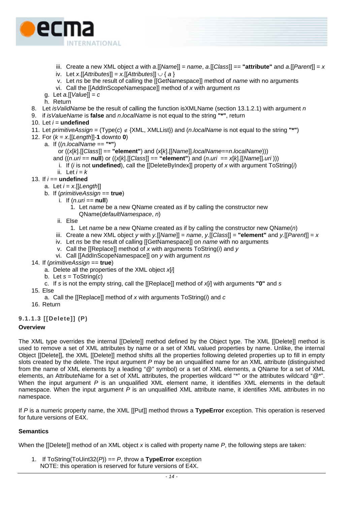

- iii. Create a new XML object *a* with *a*.[[*Name*]] = *name*, *a*.[[*Class*]] == **"attribute"** and *a*.[[*Parent*]] = *x*
- iv. Let *x*.[[*Attributes*]] = *x.*[[*Attributes*]] ∪ { *a* }
- v. Let *ns* be the result of calling the [[GetNamespace]] method of *name* with no arguments
- vi. Call the [[AddInScopeNamespace]] method of *x* with argument *ns*
- g. Let *a.*[[*Value*]] = *c*
- h. Return
- 8. Let *isValidName* be the result of calling the function isXMLName (section [13.1.2.1\)](#page-72-1) with argument *n*
- 9. if *isValueName* is **false** and *n*.*localName* is not equal to the string **"\*"**, return
- 10. Let  $i =$ **undefined**
- 11. Let *primitiveAssign* = (Type(*c*) ∉ {XML, XMLList}) and (*n*.*localName* is not equal to the string **"\*"**)
- 12. For (*k* = *x*.[[*Length*]]-**1** downto **0**)
	- a. If ((*n.localName* == **"\*"**)
		- or ((*x*[*k*].[[*Class*]] == **"element"**) and (*x*[*k*].[[*Name*]].*localName*==*n*.*localName*)))
		- and  $((n.uri == null)$  or  $((x[k] \cdot [[Class]] == "element")$  and  $(n.uri == x[k] \cdot [[Name]] .uri)))$ 
			- i. If (*i* is not **undefined**), call the [[DeleteByIndex]] property of *x* with argument ToString(*i*)
	- ii. Let  $i = k$
- 13. If *i* == **undefined**
	- a. Let *i* = *x*.[[*Length*]]
	- b. If (*primitiveAssign* == **true**)
		- i. If  $(n.uri == null)$ 
			- 1. Let *name* be a new QName created as if by calling the constructor new QName(*defaultNamespace*, *n*)
		- ii. Else
			- 1. Let *name* be a new QName created as if by calling the constructor new QName(*n*)
		- iii. Create a new XML object *y* with *y.*[[*Name*]] = *name*, *y*.[[*Class*]] = **"element"** and *y.*[[*Parent*]] = *x*
		- iv. Let *ns* be the result of calling [[GetNamespace]] on *name* with no arguments
		- v. Call the [[Replace]] method of *x* with arguments ToString(*i*) and *y*
		- vi. Call [[AddInScopeNamespace]] on *y* with argument *ns*
- 14. If (*primitiveAssign* == **true**)
	- a. Delete all the properties of the XML object *x*[*i*]
	- b. Let *s* = ToString(*c*)
	- c. If *s* is not the empty string, call the [[Replace]] method of *x*[*i*] with arguments **"0"** and *s*
- 15. Else
	- a. Call the [[Replace]] method of *x* with arguments ToString(*i*) and *c*
- 16. Return

# **9.1.1.3 [[Delete]] (P)**

# **Overview**

The XML type overrides the internal [[Delete]] method defined by the Object type. The XML [[Delete]] method is used to remove a set of XML attributes by name or a set of XML valued properties by name. Unlike, the internal Object [[Delete]], the XML [[Delete]] method shifts all the properties following deleted properties up to fill in empty slots created by the delete. The input argument *P* may be an unqualified name for an XML attribute (distinguished from the name of XML elements by a leading "@" symbol) or a set of XML elements, a QName for a set of XML elements, an AttributeName for a set of XML attributes, the properties wildcard "\*" or the attributes wildcard "@\*". When the input argument *P* is an unqualified XML element name, it identifies XML elements in the default namespace. When the input argument *P* is an unqualified XML attribute name, it identifies XML attributes in no namespace.

If *P* is a numeric property name, the XML [[Put]] method throws a **TypeError** exception. This operation is reserved for future versions of E4X.

# **Semantics**

When the [[Delete]] method of an XML object *x* is called with property name *P*, the following steps are taken:

1. If ToString(ToUint32(*P*)) == *P*, throw a **TypeError** exception NOTE: this operation is reserved for future versions of E4X.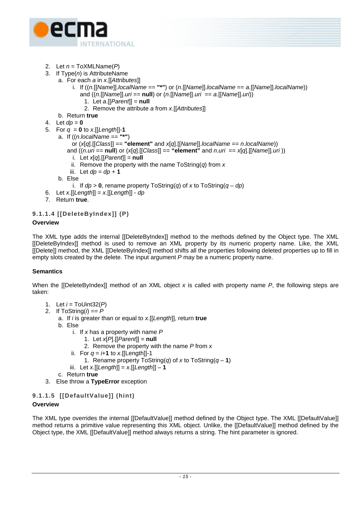

- 2. Let *n* = ToXMLName(*P*)
- 3. If Type(*n*) is AttributeName
	- a. For each *a* in *x*.[[*Attributes*]]
		- i. If ((*n*.[[*Name*]].*localName* == **"\*"**) or (*n*.[[*Name*]].*localName* == *a.*[[*Name*]].*localName*))
			- and ((*n*.[[*Name*]].*uri* == **null**) or (*n*.[[*Name*]].*uri* == *a*.[[*Name*]].*uri*))
				- 1. Let *a*.[[*Parent*]] = **null**
				- 2. Remove the attribute *a* from *x*.[[*Attributes*]]
		- b. Return **true**
- 4. Let  $dp = 0$
- 5. For  $q = 0$  to *x*. [[Length]]-1
	- a. If ((*n*.*localName* == **"\*"**)
		- or (*x*[*q*].[[*Class*]] == **"element"** and *x*[*q*].[[*Name*]].*localName* == *n*.*localName*))
		- and  $((n.uri == null)$  or  $(x[q][Class]] == "element"$  and  $n.uri == x[q][Name]].uri)$
		- i. Let *x*[*q*].[[*Parent*]] = **null**
		- ii. Remove the property with the name ToString(*q*) from *x*
		- iii. Let  $dp = dp + 1$
		- b. Else
			- i. If  $dp > 0$ , rename property ToString(*q*) of *x* to ToString(*q dp*)
- 6. Let *x*.[[*Length*]] = *x*.[[*Length*]] *dp*
- 7. Return **true**.

# **9.1.1.4 [[DeleteByIndex]] (P)**

# **Overview**

The XML type adds the internal [[DeleteByIndex]] method to the methods defined by the Object type. The XML [[DeleteByIndex]] method is used to remove an XML property by its numeric property name. Like, the XML [[Delete]] method, the XML [[DeleteByIndex]] method shifts all the properties following deleted properties up to fill in empty slots created by the delete. The input argument *P* may be a numeric property name.

# **Semantics**

When the [[DeleteByIndex]] method of an XML object *x* is called with property name *P*, the following steps are taken:

- 1. Let *i* = ToUint32(*P*)
- 2. If  $ToString(i) == P$ 
	- a. If *i* is greater than or equal to *x*.[[*Length*]], return **true**
	- b. Else
		- i. If *x* has a property with name *P*
			- 1. Let *x*[*P*].[[*Parent*]] = **null**
			- 2. Remove the property with the name *P* from *x*
		- ii. For  $q = i+1$  to *x*. [[Length]]-1
			- 1. Rename property ToString(*q*) of *x* to ToString( $q 1$ )
		- iii. Let *x*.[[*Length*]] = *x*.[[*Length*]] **1**
	- c. Return **true**
- 3. Else throw a **TypeError** exception

# **9.1.1.5 [[DefaultValue]] (hint)**

# **Overview**

The XML type overrides the internal [[DefaultValue]] method defined by the Object type. The XML [[DefaultValue]] method returns a primitive value representing this XML object. Unlike, the [[DefaultValue]] method defined by the Object type, the XML [[DefaultValue]] method always returns a string. The hint parameter is ignored.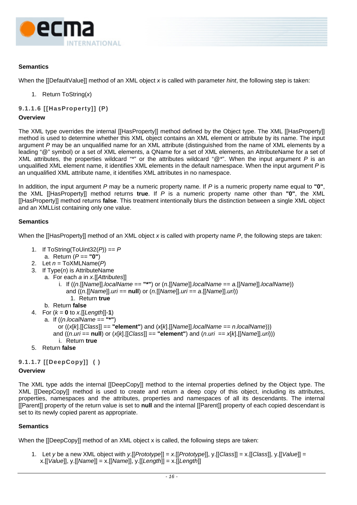

# **Semantics**

When the [[DefaultValue]] method of an XML object *x* is called with parameter *hint*, the following step is taken:

- 1. Return ToString(*x*)
- **9.1.1.6 [[HasProperty]] (P)**

#### **Overview**

The XML type overrides the internal [[HasProperty]] method defined by the Object type. The XML [[HasProperty]] method is used to determine whether this XML object contains an XML element or attribute by its name. The input argument *P* may be an unqualified name for an XML attribute (distinguished from the name of XML elements by a leading "@" symbol) or a set of XML elements, a QName for a set of XML elements, an AttributeName for a set of XML attributes, the properties wildcard "\*" or the attributes wildcard "@\*". When the input argument *P* is an unqualified XML element name, it identifies XML elements in the default namespace. When the input argument *P* is an unqualified XML attribute name, it identifies XML attributes in no namespace.

In addition, the input argument *P* may be a numeric property name. If *P* is a numeric property name equal to **"0"**, the XML [[HasProperty]] method returns **true**. If *P* is a numeric property name other than **"0"**, the XML [[HasProperty]] method returns **false**. This treatment intentionally blurs the distinction between a single XML object and an XMLList containing only one value.

# **Semantics**

When the [[HasProperty]] method of an XML object *x* is called with property name *P*, the following steps are taken:

- 1. If ToString(ToUint32(*P*)) == *P* a. Return (*P* == **"0"**)
- 2. Let *n* = ToXMLName(*P*)
- 3. If Type(*n*) is AttributeName
	- a. For each *a* in *x*.[[*Attributes*]]
		- i. If ((*n*.[[*Name*]].*localName* == **"\*"**) or (*n*.[[*Name*]].*localName* == *a.*[[*Name*]].*localName*)) and ((*n*.[[*Name*]].*uri* == **null**) or (*n*.[[*Name*]].*uri* == *a*.[[*Name*]].*uri*)) 1. Return **true**
		-
	- b. Return **false**
- 4. For  $(k = 0 \text{ to } x.[[Length]]-1)$ 
	- a. If ((*n*.*localName* == **"\*"**)
		- or ((*x*[*k*].[[*Class*]] == **"element"**) and (*x*[*k*].[[*Name*]].*localName* == *n*.*localName*)))
		- and ((*n*.*uri* == **null**) or (*x*[*k*].[[*Class*]] == **"element"**) and (*n*.*uri* == *x*[*k*].[[*Name*]].*uri*)))
		- i. Return **true**
- 5. Return **false**

# **9.1.1.7 [[DeepCopy]] ( )**

#### **Overview**

The XML type adds the internal [[DeepCopy]] method to the internal properties defined by the Object type. The XML [[DeepCopy]] method is used to create and return a deep copy of this object, including its attributes, properties, namespaces and the attributes, properties and namespaces of all its descendants. The internal [[Parent]] property of the return value is set to **null** and the internal [[Parent]] property of each copied descendant is set to its newly copied parent as appropriate.

# **Semantics**

When the [[DeepCopy]] method of an XML object x is called, the following steps are taken:

1. Let *y* be a new XML object with *y*.[[*Prototype*]] = *x*.[[*Prototype*]], y.[[*Class*]] = x.[[*Class*]], y.[[*Value*]] = x.[[*Value*]], y.[[*Name*]] = x.[[*Name*]], y.[[*Length*]] = x.[[*Length*]]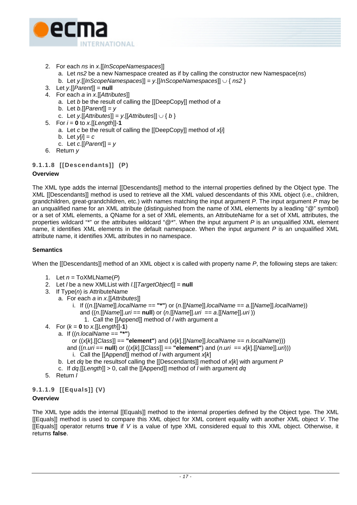

- 2. For each *ns* in *x*.[[*InScopeNamespaces*]]
	- a. Let *ns2* be a new Namespace created as if by calling the constructor new Namespace(*ns*)
	- b. Let *y*.[[*InScopeNamespaces*]] = *y*.[[*InScopeNamespaces*]] ∪ { *ns2* }
- 3. Let *y*.[[*Parent*]] = **null**
- 4. For each *a* in *x*.[[*Attributes*]]
	- a. Let *b* be the result of calling the [[DeepCopy]] method of *a*
	- b. Let *b*.[[*Parent*]] = *y*
	- c. Let *y*.[[*Attributes*]] = *y*.[[*Attributes*]] ∪ { *b* }
- 5. For  $i = 0$  to  $x$ . [[Length]]-1
	- a. Let *c* be the result of calling the [[DeepCopy]] method of *x*[*i*]
	- b. Let  $y[i] = c$
	- c. Let *c*.[[*Parent*]] = *y*
- 6. Return *y*

# **9.1.1.8 [[Descendants]] (P)**

# **Overview**

The XML type adds the internal [[Descendants]] method to the internal properties defined by the Object type. The XML [[Descendants]] method is used to retrieve all the XML valued descendants of this XML object (i.e., children, grandchildren, great-grandchildren, etc.) with names matching the input argument *P*. The input argument *P* may be an unqualified name for an XML attribute (distinguished from the name of XML elements by a leading "@" symbol) or a set of XML elements, a QName for a set of XML elements, an AttributeName for a set of XML attributes, the properties wildcard "\*" or the attributes wildcard "@\*". When the input argument *P* is an unqualified XML element name, it identifies XML elements in the default namespace. When the input argument *P* is an unqualified XML attribute name, it identifies XML attributes in no namespace.

# **Semantics**

When the [[Descendants]] method of an XML object x is called with property name *P*, the following steps are taken:

- 1. Let  $n = \text{ToXMLName}(P)$
- 2. Let *l* be a new XMLList with *l*.[[*TargetObject*]] = **null**
- 3. If Type(*n*) is AttributeName
	- a. For each *a* in *x*.[[*Attributes*]]
		- i. If ((*n*.[[*Name*]].*localName* == **"\*"**) or (*n*.[[*Name*]].*localName* == *a.*[[*Name*]].*localName*)) and ((*n*.[[*Name*]].*uri* == **null**) or (*n*.[[*Name*]].*uri* == *a*.[[*Name*]].*uri* ))
			- 1. Call the [[Append]] method of *l* with argument *a*
- 4. For  $(k = 0 \text{ to } x.[[Length]]-1)$ 
	- a. If ((*n.localName* == **"\*"**)
		- or ((*x*[*k*].[[*Class*]] == **"element"**) and (*x*[*k*].[[*Name*]].*localName* == *n*.*localName*)))
		- and  $((n.uri == null)$  or  $((x[k].[[Class]] == "element")$  and  $(n.uri == x[k].[[Name]], *un*]))$
		- i. Call the [[Append]] method of *l* with argument *x*[*k*]
	- b. Let *dq* be the resultsof calling the [[Descendants]] method of *x*[*k*] with argument *P*
	- c. If *dq*.[[*Length*]] > 0, call the [[Append]] method of *l* with argument *dq*
- 5. Return *l*

# **9.1.1.9 [[Equals]] (V)**

# **Overview**

The XML type adds the internal [[Equals]] method to the internal properties defined by the Object type. The XML [[Equals]] method is used to compare this XML object for XML content equality with another XML object *V*. The [[Equals]] operator returns **true** if *V* is a value of type XML considered equal to this XML object. Otherwise, it returns **false**.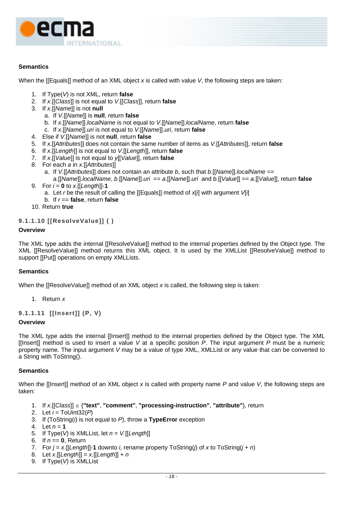

# **Semantics**

When the [[Equals]] method of an XML object *x* is called with value *V*, the following steps are taken:

- 1. If Type(*V*) is not XML, return **false**
- 2. If *x*.[[*Class*]] is not equal to *V*.[[*Class*]], return **false**
- 3. If *x*.[[*Name*]] is not **null**
	- a. If *V*.[[*Name*]] is **null**, return **false**
	- b. If *x*.[[*Name*]].*localName* is not equal to *V*.[[*Name*]].*localName*, return **false**
	- c. If *x*.[[*Name*]].*uri* is not equal to *V*.[[*Name*]].*uri*, return **false**
- 4. Else if *V*.[[*Name*]] is not **null**, return **false**
- 5. If *x*.[[*Attributes*]] does not contain the same number of items as *V*.[[*Attributes*]], return **false**
- 6. If *x*.[[*Length*]] is not equal to *V*.[[*Length*]], return **false**
- 7. If *x*.[[*Value*]] is not equal to *y*[[*Value*]], return **false**
- 8. For each *a* in *x*.[[*Attributes*]]
	- a. If *V*.[[*Attributes*]] does not contain an attribute *b*, such that *b*.[[*Name*]].*localName* ==
- *a*.[[*Name*]].*localName*, *b*.[[*Name*]].*uri* == *a*.[[*Name*]].*uri* and *b.*[[*Value*]] == *a*.[[*Value*]], return **false** 9. For *i* = **0** to *x*.[[*Length*]]-**1**
	- a. Let *r* be the result of calling the [[Equals]] method of *x*[*i*] with argument *V*[*i*]
	- b. If *r* == **false**, return **false**
- 10. Return **true**

# **9.1.1.10 [[ResolveValue]] ( )**

# **Overview**

The XML type adds the internal [[ResolveValue]] method to the internal properties defined by the Object type. The XML [[ResolveValue]] method returns this XML object. It is used by the XMLList [[ResolveValue]] method to support [[Put]] operations on empty XMLLists.

# **Semantics**

When the [[ResolveValue]] method of an XML object *x* is called, the following step is taken:

1. Return *x*

**9.1.1.11 [[Insert]] (P, V)** 

# **Overview**

The XML type adds the internal [[Insert]] method to the internal properties defined by the Object type. The XML [[Insert]] method is used to insert a value *V* at a specific position *P*. The input argument *P* must be a numeric property name. The input argument *V* may be a value of type XML, XMLList or any value that can be converted to a String with ToString().

# **Semantics**

When the [[Insert]] method of an XML object *x* is called with property name *P* and value *V*, the following steps are taken:

- 1. If *x*.[[*Class*]] ∈ {**"text"**, **"comment"**, **"processing-instruction"**, **"attribute"**}, return
- 2. Let *i* = ToUint32(*P*)
- 3. If (ToString(*i*) is not equal to *P*), throw a **TypeError** exception
- 4. Let  $n = 1$
- 5. If  $Type(V)$  is XMLList, let  $n = V$ . [[Length]]
- 6. If *n* == **0**, Return
- 7. For *j* = *x*.[[*Length*]]-**1** downto *i*, rename property ToString(*j*) of *x* to ToString(*j* + *n*)
- 8. Let *x*.[[*Length*]] = *x*.[[*Length*]] + *n*
- 9. If Type(*V*) is XMLList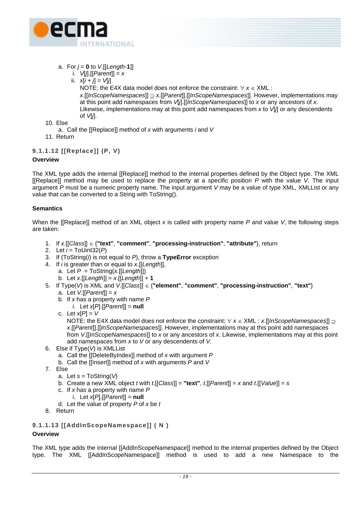

- a. For  $j = 0$  to  $V$ . [[Length-1]]
	- i. *V*[*j*].[[*Parent*]] = *x*
	- ii.  $x[i + j] = V[j]$

NOTE: the E4X data model does not enforce the constraint: ∀ *x* ∈ XML : *x*.[[*InScopeNamespaces*]] ⊇ *x*.[[*Parent*]].[[*InScopeNamespaces*]]. However, implementations may at this point add namespaces from *V*[*j*].[[*InScopeNamespaces*]] to *x* or any ancestors of *x*. Likewise, implementations may at this point add namespaces from *x* to *V*[*j*] or any descendents of *V*[*j*].

- 10. Else
	- a. Call the [[Replace]] method of *x* with arguments *i* and *V*
- 11. Return

# **9.1.1.12 [[Replace]] (P, V)**

# **Overview**

The XML type adds the internal [[Replace]] method to the internal properties defined by the Object type. The XML [[Replace]] method may be used to replace the property at a specific position *P* with the value *V*. The input argument *P* must be a numeric property name. The input argument *V* may be a value of type XML, XMLList or any value that can be converted to a String with ToString().

# **Semantics**

When the [[Replace]] method of an XML object *x* is called with property name *P* and value *V*, the following steps are taken:

- 1. If *x*.[[*Class*]] ∈ {**"text"**, **"comment"**, **"processing-instruction"**, **"attribute"**}, return
- 2. Let *i* = ToUint32(*P*)
- 3. If (ToString(*i*) is not equal to *P*), throw a **TypeError** exception
- 4. If *i* is greater than or equal to *x*.[[*Length*]],
	- a. Let *P* = ToString(*x.*[[*Length*]])
	- b. Let *x*.[[*Length*]] = *x*.[[*Length*]] + **1**
- 5. If Type(*V*) is XML and *V*.[[*Class*]] ∈ {**"element"**, **"comment"**, **"processing-instruction"**, **"text"**} a. Let *V.*[[*Parent*]] = *x* 
	- b. If *x* has a property with name *P*
		- i. Let  $x[P][[Parent]] = null$
	- c. Let *x*[*P*] = *V* NOTE: the E4X data model does not enforce the constraint: ∀ *x* ∈ XML : *x*.[[*InScopeNamespaces*]] ⊇ *x*.[[*Parent*]].[[*InScopeNamespaces*]]. However, implementations may at this point add namespaces from *V*.[[*InScopeNamespaces*]] to *x* or any ancestors of *x*. Likewise, implementations may at this point add namespaces from *x* to *V* or any descendents of *V*.
- 6. Else if Type(*V*) is XMLList
	- a. Call the [[DeleteByIndex]] method of *x* with argument *P*
	- b. Call the [[Insert]] method of *x* with arguments *P* and *V*
- 7. Else
	- a. Let *s* = ToString(*V*)
	- b. Create a new XML object *t* with *t*.[[*Class*]] = **"text"**, *t*.[[*Parent*]] = *x* and *t*.[[*Value*]] = *s*
	- c. If *x* has a property with name *P*
	- i. Let *x*[*P*].[[*Parent*]] = **null**
	- d. Let the value of property *P* of *x* be *t*
- 8. Return

# **9.1.1.13 [[AddInScopeNamespace]] ( N )**

# **Overview**

The XML type adds the internal [[AddInScopeNamespace]] method to the internal properties defined by the Object type. The XML [[AddInScopeNamespace]] method is used to add a new Namespace to the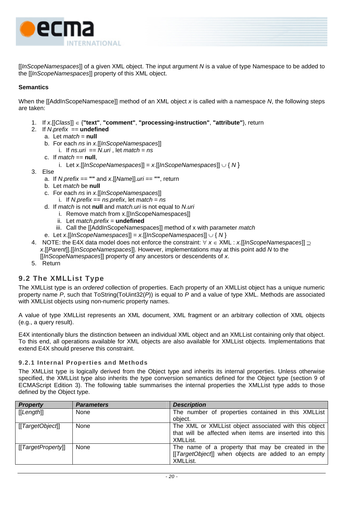<span id="page-29-0"></span>

[[*InScopeNamespaces*]] of a given XML object. The input argument *N* is a value of type Namespace to be added to the [[*InScopeNamespaces*]] property of this XML object.

# **Semantics**

When the [[AddInScopeNamespace]] method of an XML object *x* is called with a namespace *N*, the following steps are taken:

- 1. If *x*.[[*Class*]] ∈ {**"text"**, **"comment"**, **"processing-instruction"**, **"attribute"**}, return
- 2. If *N*.*prefix* == **undefined**
	- a. Let *match* = **null**
	- b. For each *ns* in *x*.[[*InScopeNamespaces*]]
		- i. If  $ns.uri == N.uri$ , let  $match = ns$
	- c. If *match* == **null**,
		- i. Let *x*.[[*InScopeNamespaces*]] = *x*.[[*InScopeNamespaces*]] ∪ { *N* }
- 3. Else
	- a. If *N*.*prefix* == **""** and *x*.[[*Name*]].*uri* == **""**, return
	- b. Let *match* be **null**
	- c. For each *ns* in *x*.[[*InScopeNamespaces*]]
		- i. If *N*.*prefix* == *ns*.*prefix*, let *match* = *ns*
	- d. If *match* is not **null** and *match.uri* is not equal to *N*.*uri*
		- i. Remove match from x.[[InScopeNamespaces]]
		- ii. Let *match*.*prefix* = **undefined**
		- iii. Call the [[AddInScopeNamespaces]] method of x with parameter *match*
	- e. Let *x*.[[*InScopeNamespaces*]] = *x*.[[*InScopeNamespaces*]] ∪ { *N* }
- 4. NOTE: the E4X data model does not enforce the constraint: ∀ *x* ∈ XML : *x*.[[*InScopeNamespaces*]] ⊇ *x*.[[*Parent*]].[[*InScopeNamespaces*]]. However, implementations may at this point add *N* to the [[*InScopeNamespaces*]] property of any ancestors or descendents of *x*.
- 5. Return

# **9.2 The XMLList Type**

The XMLList type is an *ordered* collection of properties. Each property of an XMLList object has a unique numeric property name *P*, such that ToString(ToUint32(*P*)) is equal to *P* and a value of type XML. Methods are associated with XMLList objects using non-numeric property names.

A value of type XMLList represents an XML document, XML fragment or an arbitrary collection of XML objects (e.g., a query result).

E4X intentionally blurs the distinction between an individual XML object and an XMLList containing only that object. To this end, all operations available for XML objects are also available for XMLList objects. Implementations that extend E4X should preserve this constraint.

# **9.2.1 Internal Properties and Methods**

The XMLList type is logically derived from the Object type and inherits its internal properties. Unless otherwise specified, the XMLList type also inherits the type conversion semantics defined for the Object type (section 9 of ECMAScript Edition 3). The following table summarises the internal properties the XMLList type adds to those defined by the Object type.

| <b>Property</b>  | <b>Parameters</b> | <b>Description</b>                                      |
|------------------|-------------------|---------------------------------------------------------|
| [[Length]]       | None              | The number of properties contained in this XMLList      |
|                  |                   | object.                                                 |
| [[TargetObjecf]] | None              | The XML or XMLList object associated with this object   |
|                  |                   | that will be affected when items are inserted into this |
|                  |                   | XMLList.                                                |
| [TargetProperty] | None              | The name of a property that may be created in the       |
|                  |                   | [[TargetObject]] when objects are added to an empty     |
|                  |                   | XMLList.                                                |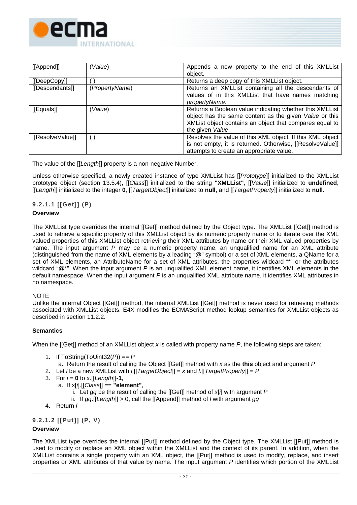

| [[Append]]      | Value)         | Appends a new property to the end of this XMLList<br>object.                                                                                                                                     |
|-----------------|----------------|--------------------------------------------------------------------------------------------------------------------------------------------------------------------------------------------------|
| [[DeepCopy]]    |                | Returns a deep copy of this XMLList object.                                                                                                                                                      |
| [[Descendants]] | (PropertyName) | Returns an XMLList containing all the descendants of<br>values of in this XMLList that have names matching<br>propertyName.                                                                      |
| [[Equals]]      | Value)         | Returns a Boolean value indicating whether this XMLList<br>object has the same content as the given Value or this<br>XMList object contains an object that compares equal to<br>the given Value. |
| [ResolveValue]] |                | Resolves the value of this XML object. If this XML object<br>is not empty, it is returned. Otherwise, [[ResolveValue]]<br>attempts to create an appropriate value.                               |

The value of the [[*Length*]] property is a non-negative Number.

Unless otherwise specified, a newly created instance of type XMLList has [[*Prototype*]] initialized to the XMLList prototype object (section [13.5.4\)](#page-96-1), [[*Class*]] initialized to the string **"XMLList"**, [[*Value*]] initialized to **undefined**, [[*Length*]] initialized to the integer **0**, [[*TargetObject*]] initialized to **null**, and [[*TargetProperty*]] initialized to **null**.

# **9.2.1.1 [[Get]] (P)**

# **Overview**

The XMLList type overrides the internal [[Get]] method defined by the Object type. The XMLList [[Get]] method is used to retrieve a specific property of this XMLList object by its numeric property name or to iterate over the XML valued properties of this XMLList object retrieving their XML attributes by name or their XML valued properties by name. The input argument *P* may be a numeric property name, an unqualified name for an XML attribute (distinguished from the name of XML elements by a leading "@" symbol) or a set of XML elements, a QName for a set of XML elements, an AttributeName for a set of XML attributes, the properties wildcard "\*" or the attributes wildcard "@\*". When the input argument *P* is an unqualified XML element name, it identifies XML elements in the default namespace. When the input argument *P* is an unqualified XML attribute name, it identifies XML attributes in no namespace.

# **NOTE**

Unlike the internal Object [[Get]] method, the internal XMLList [[Get]] method is never used for retrieving methods associated with XMLList objects. E4X modifies the ECMAScript method lookup semantics for XMLList objects as described in section [11.2.2.](#page-56-1)

# **Semantics**

When the [[Get]] method of an XMLList object *x* is called with property name *P*, the following steps are taken:

- 1. If ToString(ToUint32(*P*)) == *P*
	- a. Return the result of calling the Object [[Get]] method with *x* as the **this** object and argument *P*
- 2. Let *l* be a new XMLList with *l*.[[*TargetObject*]] = *x* and *l*.[[*TargetProperty*]] = *P*
- 3. For *i* = **0** to *x*.[[*Length*]]-**1**,
	- a. If x[*i*].[[*Class*]] == **"element"**,
		- i. Let *gq* be the result of calling the [[Get]] method of *x*[*i*] with argument *P*
		- ii. If *gq*.[[*Length*]] > 0, call the [[Append]] method of *l* with argument *gq*
- 4. Return *l*

**9.2.1.2 [[Put]] (P, V)** 

# **Overview**

The XMLList type overrides the internal [[Put]] method defined by the Object type. The XMLList [[Put]] method is used to modify or replace an XML object within the XMLList and the context of its parent. In addition, when the XMLList contains a single property with an XML object, the [[Put]] method is used to modify, replace, and insert properties or XML attributes of that value by name. The input argument *P* identifies which portion of the XMLList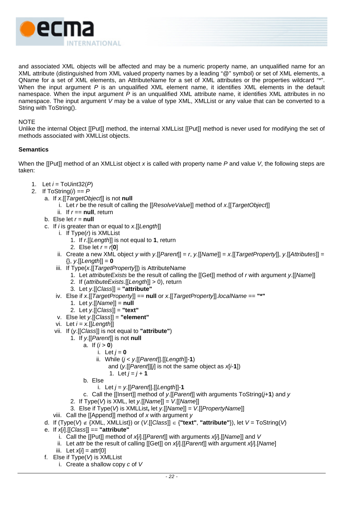

and associated XML objects will be affected and may be a numeric property name, an unqualified name for an XML attribute (distinguished from XML valued property names by a leading "@" symbol) or set of XML elements, a QName for a set of XML elements, an AttributeName for a set of XML attributes or the properties wildcard "\*". When the input argument *P* is an unqualified XML element name, it identifies XML elements in the default namespace. When the input argument *P* is an unqualified XML attribute name, it identifies XML attributes in no namespace. The input argument *V* may be a value of type XML, XMLList or any value that can be converted to a String with ToString().

#### **NOTE**

Unlike the internal Object [[Put]] method, the internal XMLList [[Put]] method is never used for modifying the set of methods associated with XMLList objects.

# **Semantics**

When the [[Put]] method of an XMLList object *x* is called with property name *P* and value *V*, the following steps are taken:

- 1. Let *i* = ToUint32(*P*)
- 2. If  $T$ oString( $i$ ) ==  $P$ 
	- a. If *x*.[[*TargetObject*]] is not **null**
		- i. Let *r* be the result of calling the [[*ResolveValue*]] method of *x*.[[*TargetObject*]]
		- ii. If  $r ==$  **null**, return
	- b. Else let  $r = \textbf{null}$
	- c. If *i* is greater than or equal to *x*.[[*Length*]]
		- i. If Type(*r*) is XMLList
			- 1. If *r*.[[*Length*]] is not equal to **1**, return
			- 2. Else let *r* = *r*[**0**]
		- ii. Create a new XML object *y* with *y*.[[*Parent*]] = *r*, *y.*[[*Name*]] = *x*.[[*TargetProperty*]], *y*.[[*Attributes*]] = {}, *y*.[[*Length*]] = **0**
		- iii. If Type(*x*.[[*TargetProperty*]]) is AttributeName
			- 1. Let *attributeExists* be the result of calling the [[Get]] method of *r* with argument *y*.[[*Name*]]
			- 2. If (*attributeExists*.[[*Length*]] > 0), return
			- 3. Let *y*.[[*Class*]] = **"attribute"**
		- iv. Else if *x*.[[*TargetProperty*]] == **null** or *x*.[[*TargetProperty*]].*localName* == **"\*"**
			- 1. Let *y*.[[*Name*]] = **null**
			- 2. Let *y*.[[*Class*]] = **"text"**
		- v. Else let *y*.[[*Class*]] = **"element"**
		- vi. Let *i = x.*[[*Length*]]
		- vii. If (*y*.[[*Class*]] is not equal to **"attribute"**)
			- 1. If *y*.[[*Parent*]] is not **null**
				- a. If  $(i > 0)$ 
					- i. Let  $i = 0$
					- ii. While (*j* < *y*.[[*Parent*]].[[*Length*]]-**1**)
						- and (*y*.[[*Parent*]][*j*] is not the same object as *x*[*i*-**1**])
							- 1. Let  $j = j + 1$
				- b. Else
					- i. Let *j* = *y*.[[*Parent*]].[[*Length*]]-**1**
				- c. Call the [[Insert]] method of *y*.[[*Parent*]] with arguments ToString(*j*+**1**) and *y*
			- 2. If Type(*V*) is XML, let *y*.[[*Name*]] = *V*.[[*Name*]]
			- 3. Else if Type(*V*) is XMLList**,** let *y*.[[*Name*]] = *V*.[[*PropertyName*]]
		- viii. Call the [[Append]] method of *x* with argument *y*
	- d. If (Type(*V*) ∉ {XML, XMLList}) or (*V*.[[*Class*]] ∈ {**"text"**, **"attribute"**}), let *V* = ToString(*V*)
	- e. If *x*[*i*].[[*Class*]] == **"attribute"**
		- i. Call the [[Put]] method of *x*[*i*].[[*Parent*]] with arguments *x*[*i*].[[*Name*]] and *V*
		- ii. Let *attr* be the result of calling [[Get]] on *x*[*i*].[[*Parent*]] with argument *x*[*i*].[*Name*]
		- iii. Let *x*[*i*] = *attr*[0]
	- f. Else if Type(*V*) is XMLList
		- i. Create a shallow copy *c* of *V*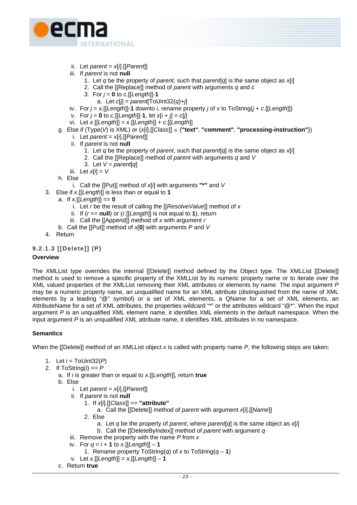

- ii. Let *parent* = *x*[*i*].[[*Parent*]]
- iii. If *parent* is not **null**
	- 1. Let *q* be the property of *parent*, such that *parent*[*q*] is the same object as *x*[*i*]
	- 2. Call the [[Replace]] method of *parent* with arguments *q* and *c*
	- 3. For  $j = 0$  to  $c$ . [[Length]]-1
		- a. Let *c*[*j*] = *parent*[ToUint32(*q*)+*j*]
- iv. For *j* = *x.*[[*Length*]]-**1** downto *i*, rename property *j* of *x* to ToString(*j* + *c*.[[*Length*]])
- v. For  $j = 0$  to  $c.[[Length]]-1$ , let  $x[i + j] = c[j]$
- vi. Let *x*.[[*Length*]] = *x*.[[*Length*]] + *c*.[[*Length*]]

# g. Else if (Type(*V*) is XML) or (*x*[*i*].[[*Class*]] ∈ {**"text"**, **"comment"**, **"processing-instruction"**})

- i. Let *parent* = *x*[*i*].[[*Parent*]]
- ii. If *parent* is not **null**
	- 1. Let *q* be the property of *parent*, such that *parent*[*q*] is the same object as *x*[*i*]
	- 2. Call the [[Replace]] method of *parent* with arguments *q* and *V*
	- 3. Let *V = parent*[*q*]
- iii. Let *x*[*i*] = *V*

h. Else

- i. Call the [[Put]] method of *x*[*i*] with arguments **"\*"** and *V*
- 3. Else if *x*.[[*Length*]] is less than or equal to **1**
	- a. If *x*.[[*Length*]] == **0**
		- i. Let *r* be the result of calling the [[*ResolveValue*]] method of *x*
		- ii. If (*r* == **null**) or (*r*.[[*Length*]] is not equal to **1**), return
		- iii. Call the [[Append]] method of *x* with argument *r*
	- b. Call the [[Put]] method of *x*[**0**] with arguments *P* and *V*
- 4. Return

# **9.2.1.3 [[Delete]] (P)**

# **Overview**

The XMLList type overrides the internal [[Delete]] method defined by the Object type. The XMLList [[Delete]] method is used to remove a specific property of the XMLList by its numeric property name or to iterate over the XML valued properties of the XMLList removing their XML attributes or elements by name. The input argument *P* may be a numeric property name, an unqualified name for an XML attribute (distinguished from the name of XML elements by a leading "@" symbol) or a set of XML elements, a QName for a set of XML elements, an AttributeName for a set of XML attributes, the properties wildcard "\*" or the attributes wildcard "@\*". When the input argument *P* is an unqualified XML element name, it identifies XML elements in the default namespace. When the input argument *P* is an unqualified XML attribute name, it identifies XML attributes in no namespace.

# **Semantics**

When the [[Delete]] method of an XMLList object *x* is called with property name *P*, the following steps are taken:

- 1. Let *i* = ToUint32(*P*)
- 2. If ToString(*i*) == *P*
	- a. If *i* is greater than or equal to *x*.[[*Length*]], return **true**
	- b. Else
		- i. Let *parent* = *x*[*i*].[[*Parent*]]
		- ii. If *parent* is not **null**
			- 1. If *x*[*i*].[[*Class*]] == **"attribute"**
				- a. Call the [[Delete]] method of *parent* with argument *x*[*i*].[[*Name*]]
			- 2. Else
				- a. Let *q* be the property of *parent*, where *parent*[*q*] is the same object as *x*[*i*]
				- b. Call the [[DeleteByIndex]] method of *parent* with argument *q*
		- iii. Remove the property with the name *P* from *x*
		- iv. For  $q = i + 1$  to  $x$ . [[Length]] 1
			- 1. Rename property ToString(*q*) of *x* to ToString(*q* **1**)
		- v. Let *x*.[[*Length*]] = *x*.[[*Length*]] **1**
	- c. Return **true**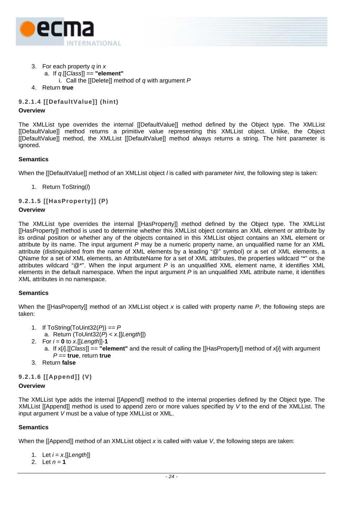

- 3. For each property *q* in *x*
	- a. If *q*.[[*Class*]] == **"element"**
		- i. Call the [[Delete]] method of *q* with argument *P*
- 4. Return **true**

# **9.2.1.4 [[DefaultValue]] (hint)**

#### **Overview**

The XMLList type overrides the internal [[DefaultValue]] method defined by the Object type. The XMLList [[DefaultValue]] method returns a primitive value representing this XMLList object. Unlike, the Object [[DefaultValue]] method, the XMLList [[DefaultValue]] method always returns a string. The hint parameter is ignored.

# **Semantics**

When the [[DefaultValue]] method of an XMLList object *l* is called with parameter *hint*, the following step is taken:

1. Return ToString(*l*)

# **9.2.1.5 [[HasProperty]] (P)**

# **Overview**

The XMLList type overrides the internal [[HasProperty]] method defined by the Object type. The XMLList [[HasProperty]] method is used to determine whether this XMLList object contains an XML element or attribute by its ordinal position or whether any of the objects contained in this XMLList object contains an XML element or attribute by its name. The input argument *P* may be a numeric property name, an unqualified name for an XML attribute (distinguished from the name of XML elements by a leading "@" symbol) or a set of XML elements, a QName for a set of XML elements, an AttributeName for a set of XML attributes, the properties wildcard "\*" or the attributes wildcard "@\*". When the input argument *P* is an unqualified XML element name, it identifies XML elements in the default namespace. When the input argument *P* is an unqualified XML attribute name, it identifies XML attributes in no namespace.

# **Semantics**

When the [[HasProperty]] method of an XMLList object *x* is called with property name *P*, the following steps are taken:

- 1. If ToString(ToUint32(*P*)) == *P*
	- a. Return (ToUint32(*P*) < *x*.[[*Length*]])
- 2. For  $i = 0$  to  $x$ . [[Length]]-1
	- a. If x[*i*].[[*Class*]] == **"element"** and the result of calling the [[HasProperty]] method of *x*[*i*] with argument *P* == **true**, return **true**
- 3. Return **false**

# **9.2.1.6 [[Append]] (V)**

#### **Overview**

The XMLList type adds the internal [[Append]] method to the internal properties defined by the Object type. The XMLList [[Append]] method is used to append zero or more values specified by *V* to the end of the XMLList. The input argument *V* must be a value of type XMLList or XML.

# **Semantics**

When the [[Append]] method of an XMLList object *x* is called with value *V*, the following steps are taken:

- 1. Let *i* = *x*.[[*Length*]]
- 2. Let  $n = 1$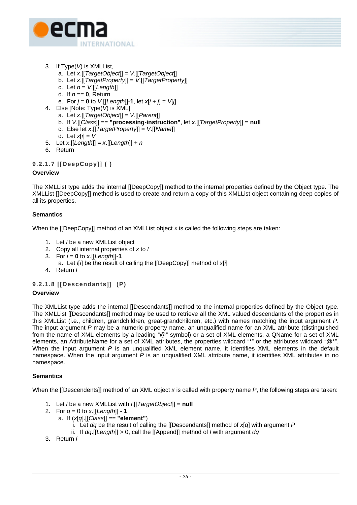

- 3. If Type(*V*) is XMLList,
	- a. Let *x*.[[*TargetObject*]] = *V*.[[*TargetObject*]]
	- b. Let *x*.[[*TargetProperty*]] = *V*.[[*TargetProperty*]]
	- c. Let *n* = *V*.[[*Length*]]
	- d. If *n* == **0**, Return
	- e. For  $j = 0$  to  $V$ . [[Length]]-1, let  $x[i + j] = V[j]$
- 4. Else [Note: Type(*V*) is XML]
	- a. Let *x*.[[*TargetObject*]] = *V*.[[*Parent*]]
	- b. If *V*.[[*Class*]] == **"processing-instruction"**, let *x*.[[*TargetProperty*]] = **null**
	- c. Else let *x*.[[*TargetProperty*]] = *V*.[[*Name*]]
	- d. Let *x*[*i*] = *V*
- 5. Let *x*.[[*Length*]] = *x*.[[*Length*]] + *n*
- 6. Return

# **9.2.1.7 [[DeepCopy]] ( )**

# **Overview**

The XMLList type adds the internal [[DeepCopy]] method to the internal properties defined by the Object type. The XMLList [[DeepCopy]] method is used to create and return a copy of this XMLList object containing deep copies of all its properties.

# **Semantics**

When the [[DeepCopy]] method of an XMLList object *x* is called the following steps are taken:

- 1. Let *l* be a new XMLList object
- 2. Copy all internal properties of *x* to *l*
- 3. For  $i = 0$  to  $x$ . [[Length]]-1
	- a. Let *l*[*i*] be the result of calling the [[DeepCopy]] method of *x*[*i*]
- 4. Return *l*

# **9.2.1.8 [[Descendants]] (P)**

# **Overview**

The XMLList type adds the internal [[Descendants]] method to the internal properties defined by the Object type. The XMLList [[Descendants]] method may be used to retrieve all the XML valued descendants of the properties in this XMLList (i.e., children, grandchildren, great-grandchildren, etc.) with names matching the input argument *P*. The input argument *P* may be a numeric property name, an unqualified name for an XML attribute (distinguished from the name of XML elements by a leading "@" symbol) or a set of XML elements, a QName for a set of XML elements, an AttributeName for a set of XML attributes, the properties wildcard "\*" or the attributes wildcard "@\*". When the input argument *P* is an unqualified XML element name, it identifies XML elements in the default namespace. When the input argument *P* is an unqualified XML attribute name, it identifies XML attributes in no namespace.

# **Semantics**

When the [[Descendents]] method of an XML object *x* is called with property name *P*, the following steps are taken:

- 1. Let *l* be a new XMLList with *l*.[[*TargetObject*]] = **null**
- 2. For *q* = 0 to *x*.[[*Length*]] **1**
	- a. If (*x*[*q*].[[*Class*]] == **"element"**)
		- i. Let *dq* be the result of calling the [[Descendants]] method of *x*[*q*] with argument *P*
		- ii. If *dq*.[[*Length*]] > 0, call the [[Append]] method of *l* with argument *dq*
- 3. Return *l*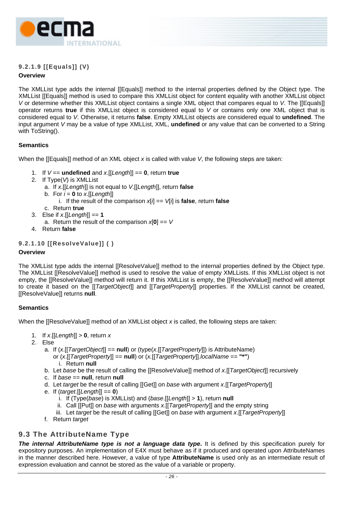<span id="page-35-0"></span>

# **9.2.1.9 [[Equals]] (V)**

# **Overview**

The XMLList type adds the internal [[Equals]] method to the internal properties defined by the Object type. The XMLList [[Equals]] method is used to compare this XMLList object for content equality with another XMLList object *V* or determine whether this XMLList object contains a single XML object that compares equal to *V*. The [[Equals]] operator returns **true** if this XMLList object is considered equal to *V* or contains only one XML object that is considered equal to *V*. Otherwise, it returns **false**. Empty XMLList objects are considered equal to **undefined**. The input argument *V* may be a value of type XMLList, XML, **undefined** or any value that can be converted to a String with ToString().

# **Semantics**

When the [[Equals]] method of an XML object *x* is called with value *V*, the following steps are taken:

- 1. If *V* == **undefined** and *x*.[[*Length*]] == **0**, return **true**
- 2. If Type(*V*) is XMLList
	- a. If *x*.[[*Length*]] is not equal to *V*.[[*Length*]], return **false**
	- b. For  $i = 0$  to *x*. [[Length]]
		- i. If the result of the comparison  $x[i] == v[i]$  is **false**, return **false**
	- c. Return **true**
- 3. Else if *x*.[[*Length*]] == **1**
	- a. Return the result of the comparison *x*[**0**] == *V*
- 4. Return **false**

# **9.2.1.10 [[ResolveValue]] ( )**

# **Overview**

The XMLList type adds the internal [[ResolveValue]] method to the internal properties defined by the Object type. The XMLList [[ResolveValue]] method is used to resolve the value of empty XMLLists. If this XMLList object is not empty, the [[ResolveValue]] method will return it. If this XMLList is empty, the [[ResolveValue]] method will attempt to create it based on the [[*TargetObject*]] and [[*TargetProperty*]] properties. If the XMLList cannot be created, [[ResolveValue]] returns **null**.

# **Semantics**

When the [[ResolveValue]] method of an XMLList object *x* is called, the following steps are taken:

- 1. If *x*.[[*Length*]] > **0**, return *x*
- 2. Else
	- a. If (*x*.[[*TargetObject*]] == **null**) or (type(*x*.[[*TargetProperty*]]) is AttributeName) or (*x*.[[*TargetProperty*]] == **null**) or (*x.*[[*TargetProperty*]].*localName* == **"\*"**)
		- i. Return **null**
	- b. Let *base* be the result of calling the [[ResolveValue]] method of *x.*[[*TargetObject*]] recursively
	- c. If *base* == **null**, return **null**
	- d. Let *target* be the result of calling [[Get]] on *base* with argument *x*.[[*TargetProperty*]]
	- e. If (*target*.[[*Length*]] == **0**)
		- i. If (Type(*base*) is XMLList) and (*base*.[[*Length*]] > **1**), return **null**
		- ii. Call [[Put]] on *base* with arguments *x*.[[*TargetProperty*]] and the empty string
		- iii. Let *target* be the result of calling [[Get]] on *base* with argument *x*.[[*TargetProperty*]]
	- f. Return *target*

# **9.3 The AttributeName Type**

**The internal AttributeName type is not a language data type.** It is defined by this specification purely for expository purposes. An implementation of E4X must behave as if it produced and operated upon AttributeNames in the manner described here. However, a value of type **AttributeName** is used only as an intermediate result of expression evaluation and cannot be stored as the value of a variable or property.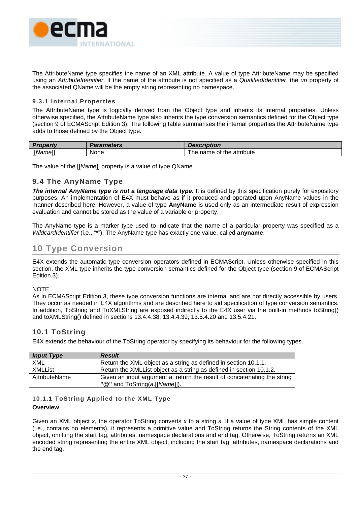

The AttributeName type specifies the name of an XML attribute. A value of type AttributeName may be specified using an *AttributeIdentifier*. If the name of the attribute is not specified as a *QualifiedIdentifier*, the *uri* property of the associated QName will be the empty string representing no namespace.

# **9.3.1 Internal Properties**

The AttributeName type is logically derived from the Object type and inherits its internal properties. Unless otherwise specified, the AttributeName type also inherits the type conversion semantics defined for the Object type (section 9 of ECMAScript Edition 3). The following table summarises the internal properties the AttributeName type adds to those defined by the Object type.

| Pronarty        | Parameters | <b>Description</b>                |
|-----------------|------------|-----------------------------------|
| <b>I</b> Mamel. | None       | attribute<br>name<br>of the<br>ne |

The value of the [[*Name*]] property is a value of type QName.

# **9.4 The AnyName Type**

*The internal AnyName type is not a language data type***.** It is defined by this specification purely for expository purposes. An implementation of E4X must behave as if it produced and operated upon AnyName values in the manner described here. However, a value of type **AnyName** is used only as an intermediate result of expression evaluation and cannot be stored as the value of a variable or property.

The AnyName type is a marker type used to indicate that the name of a particular property was specified as a *WildcardIdentifier* (i.e., "\*"). The AnyName type has exactly one value, called **anyname**.

# **10 Type Conversion**

E4X extends the automatic type conversion operators defined in ECMAScript. Unless otherwise specified in this section, the XML type inherits the type conversion semantics defined for the Object type (section 9 of ECMAScript Edition 3).

### **NOTE**

As in ECMAScript Edition 3, these type conversion functions are internal and are not directly accessible by users. They occur as needed in E4X algorithms and are described here to aid specification of type conversion semantics. In addition, ToString and ToXMLString are exposed indirectly to the E4X user via the built-in methods toString() and toXMLString() defined in sections [13.4.4.38,](#page-94-0) [13.4.4.39,](#page-95-0) [13.5.4.20](#page-102-0) and [13.5.4.21.](#page-102-1)

# **10.1 ToString**

E4X extends the behaviour of the ToString operator by specifying its behaviour for the following types.

| <b>Input Type</b> | <b>Result</b>                                                            |
|-------------------|--------------------------------------------------------------------------|
| XML               | Return the XML object as a string as defined in section 10.1.1.          |
| <b>XMLList</b>    | Return the XMLList object as a string as defined in section 10.1.2.      |
| AttributeName     | Given an input argument a, return the result of concatenating the string |
|                   | "@" and ToString(a.[[Name]]).                                            |

# <span id="page-36-0"></span>**10.1.1 ToString Applied to the XML Type**

### **Overview**

Given an XML object *x*, the operator ToString converts *x* to a string *s*. If a value of type XML has simple content (i.e., contains no elements), it represents a primitive value and ToString returns the String contents of the XML object, omitting the start tag, attributes, namespace declarations and end tag. Otherwise, ToString returns an XML encoded string representing the entire XML object, including the start tag, attributes, namespace declarations and the end tag.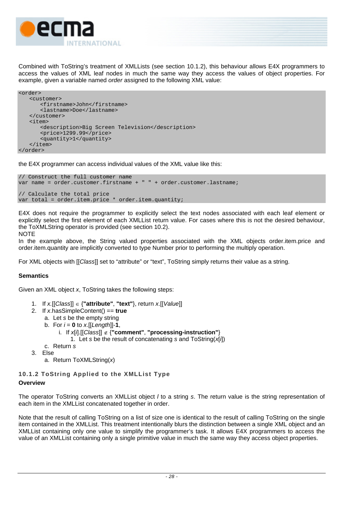

Combined with ToString's treatment of XMLLists (see section [10.1.2\)](#page-37-0), this behaviour allows E4X programmers to access the values of XML leaf nodes in much the same way they access the values of object properties. For example, given a variable named *order* assigned to the following XML value:

```
<order> 
    <customer> 
        <firstname>John</firstname> 
        <lastname>Doe</lastname> 
    </customer> 
    <item> 
        <description>Big Screen Television</description> 
        <price>1299.99</price> 
        <quantity>1</quantity> 
    </item> 
</order>
```
the E4X programmer can access individual values of the XML value like this:

```
// Construct the full customer name 
var name = order.customer.firstname + " " + order.customer.lastname; 
// Calculate the total price 
var total = order.item.price * order.item.quantity;
```
E4X does not require the programmer to explicitly select the text nodes associated with each leaf element or explicitly select the first element of each XMLList return value. For cases where this is not the desired behaviour, the ToXMLString operator is provided (see section [10.2\)](#page-38-0). **NOTE** 

In the example above, the String valued properties associated with the XML objects order.item.price and order.item.quantity are implicitly converted to type Number prior to performing the multiply operation.

For XML objects with [[*Class*]] set to "attribute" or "text", ToString simply returns their value as a string.

### **Semantics**

Given an XML object *x*, ToString takes the following steps:

- 1. If *x.*[[*Class*]] ∈ {**"attribute"**, **"text"**}, return *x*.[[*Value*]]
- 2. If *x*.hasSimpleContent() == **true**
	- a. Let *s* be the empty string
	- b. For  $i = 0$  to  $x$ . [[Length]]-1,
		- i. If *x*[*i*].[[*Class*]] ∉ {**"comment"**, **"processing-instruction"**}
			- 1. Let *s* be the result of concatenating *s* and ToString(*x*[*i*])
	- c. Return *s*
- 3. Else
	- a. Return ToXMLString(*x*)

# <span id="page-37-0"></span>**10.1.2 ToString Applied to the XMLList Type Overview**

The operator ToString converts an XMLList object *l* to a string *s*. The return value is the string representation of each item in the XMLList concatenated together in order.

Note that the result of calling ToString on a list of size one is identical to the result of calling ToString on the single item contained in the XMLList. This treatment intentionally blurs the distinction between a single XML object and an XMLList containing only one value to simplify the programmer's task. It allows E4X programmers to access the value of an XMLList containing only a single primitive value in much the same way they access object properties.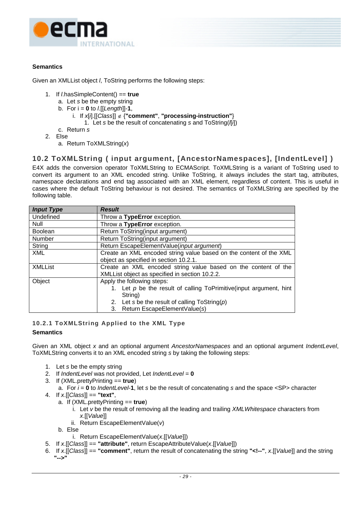

# **Semantics**

Given an XMLList object *l*, ToString performs the following steps:

- 1. If *l*.hasSimpleContent() == **true**
	- a. Let *s* be the empty string
	- b. For i = **0** to *l*.[[*Length*]]-**1**,
		- i. If *x*[*i*].[[*Class*]] ∉ {**"comment"**, **"processing-instruction"**}
			- 1. Let *s* be the result of concatenating *s* and ToString(*l*[*i*])
	- c. Return *s*
- 2. Else
	- a. Return ToXMLString(*x*)

# <span id="page-38-0"></span>**10.2 ToXMLString ( input argument, [AncestorNamespaces], [IndentLevel] )**

E4X adds the conversion operator ToXMLString to ECMAScript. ToXMLString is a variant of ToString used to convert its argument to an XML encoded string. Unlike ToString, it always includes the start tag, attributes, namespace declarations and end tag associated with an XML element, regardless of content. This is useful in cases where the default ToString behaviour is not desired. The semantics of ToXMLString are specified by the following table.

| <b>Input Type</b> | <b>Result</b>                                                         |  |  |
|-------------------|-----------------------------------------------------------------------|--|--|
| Undefined         | Throw a TypeError exception.                                          |  |  |
| Null              | Throw a TypeError exception.                                          |  |  |
| <b>Boolean</b>    | Return ToString(input argument)                                       |  |  |
| Number            | Return ToString(input argument)                                       |  |  |
| String            | Return EscapeElementValue(input argument)                             |  |  |
| XML               | Create an XML encoded string value based on the content of the XML    |  |  |
|                   | object as specified in section 10.2.1.                                |  |  |
| <b>XMLList</b>    | Create an XML encoded string value based on the content of the        |  |  |
|                   | XMLList object as specified in section 10.2.2.                        |  |  |
| Object            | Apply the following steps:                                            |  |  |
|                   | 1. Let $p$ be the result of calling ToPrimitive (input argument, hint |  |  |
|                   | String)                                                               |  |  |
|                   | 2. Let s be the result of calling $T$ oString( $p$ )                  |  |  |
|                   | 3. Return EscapeElementValue(s)                                       |  |  |

# <span id="page-38-1"></span>**10.2.1 ToXMLString Applied to the XML Type**

### **Semantics**

Given an XML object *x* and an optional argument *AncestorNamespaces* and an optional argument *IndentLevel*, ToXMLString converts it to an XML encoded string *s* by taking the following steps:

- 1. Let *s* be the empty string
- 2. If *IndentLevel* was not provided, Let *IndentLevel* = **0**
- 3. If (XML.prettyPrinting == **true**)
- a. For *i* = **0** to *IndentLevel*-**1**, let *s* be the result of concatenating *s* and the space <SP> character
- 4. If *x*.[[*Class*]] == **"text"**,
	- a. If (XML.prettyPrinting == **true**)
		- i. Let *v* be the result of removing all the leading and trailing *XMLWhitespace* characters from *x*.[[*Value*]]
		- ii. Return EscapeElementValue(*v*)

b. Else

- i. Return EscapeElementValue(*x*.[[*Value*]])
- 5. If *x*.[[*Class*]] == **"attribute"**, return EscapeAttributeValue(*x*.[[*Value*]])
- 6. If *x*.[[*Class*]] == **"comment"**, return the result of concatenating the string **"<!--"**, *x*.[[*Value*]] and the string **"-->"**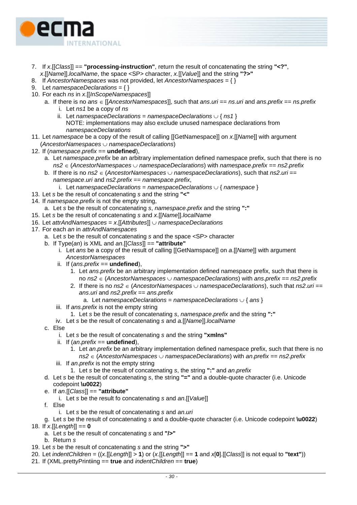

- 7. If *x*.[[*Class*]] == **"processing-instruction"**, return the result of concatenating the string **"<?"**, *x*.[[*Name*]].*localName*, the space <SP> character, *x.*[[*Value*]] and the string **"?>"**
- 8. If *AncestorNamespaces* was not provided, let *AncestorNamespaces* = { }
- 9. Let *namespaceDeclarations* = { }
- 10. For each *ns* in *x*.[[*InScopeNamespaces*]]
	- a. If there is no *ans* ∈ [[*AncestorNamespaces*]], such that *ans*.*uri* == *ns*.*uri* and *ans*.*prefix* == *ns*.*prefix*
		- i. Let *ns1* be a copy of *ns*
		- ii. Let *namespaceDeclarations* = *namespaceDeclarations* ∪ { *ns1* } NOTE: implementations may also exclude unused namespace declarations from *namespaceDeclarations*
- 11. Let *namespace* be a copy of the result of calling [[GetNamespace]] on *x*.[[*Name*]] with argument (*AncestorNamespaces* ∪ *namespaceDeclarations*)
- 12. If (*namespace*.*prefix* == **undefined**),
	- a. Let *namespace*.*prefix* be an arbitrary implementation defined namespace prefix, such that there is no *ns2* ∈ (*AncestorNamespaces* ∪ *namespaceDeclarations*) with *namespace*.*prefix* == *ns2*.*prefix*
	- b. If there is no *ns2* ∈ (*AncestorNamespaces* ∪ *namespaceDeclarations*), such that *ns2*.*uri* == *namespace*.*uri* and *ns2*.*prefix* == *namespace*.*prefix*,
		- i. Let *namespaceDeclarations* = *namespaceDeclarations* ∪ { *namespace* }
- 13. Let *s* be the result of concatenating *s* and the string **"<"**
- 14. If *namespace*.*prefix* is not the empty string,
	- a. Let *s* be the result of concatenating *s*, *namespace*.*prefix* and the string **":"**
- 15. Let *s* be the result of concatenating *s* and *x*.[[*Name*]].*localName*
- 16. Let *attrAndNamespaces* = *x*.[[*Attributes*]] ∪ *namespaceDeclarations*
- 17. For each *an* in *attrAndNamespaces*
	- a. Let *s* be the result of concatenating *s* and the space <SP> character
	- b. If Type(*an*) is XML and *an*.[[*Class*]] == **"attribute"**
		- i. Let *ans* be a copy of the result of calling [[GetNamspace]] on *a*.[[*Name*]] with argument *AncestorNamespaces*
		- ii. If (*ans*.*prefix* == **undefined**),
			- 1. Let *ans*.*prefix* be an arbitrary implementation defined namespace prefix, such that there is no *ns2* ∈ (*AncestorNamespaces* ∪ *namespaceDeclarations*) with *ans*.*prefix* == *ns2*.*prefix*
			- 2. If there is no *ns2* ∈ (*AncestorNamespaces* ∪ *namespaceDeclarations*), such that *ns2*.*uri* == *ans*.*uri* and *ns2*.*prefix* == *ans*.*prefix*
				- a. Let *namespaceDeclarations* = *namespaceDeclarations* ∪ { *ans* }
		- iii. If *ans*.*prefix* is not the empty string
			- 1. Let *s* be the result of concatenating *s*, *namespace*.*prefix* and the string **":"**
		- iv. Let *s* be the result of concatenating *s* and *a.*[[*Name*]].*localName*
	- c. Else
		- i. Let *s* be the result of concatenating *s* and the string **"xmlns"**
		- ii. If (*an*.*prefix* == **undefined**),
			- 1. Let *an*.*prefix* be an arbitrary implementation defined namespace prefix, such that there is no *ns2* ∈ (*AncestorNamespaces* ∪ *namespaceDeclarations*) with *an*.*prefix* == *ns2*.*prefix*
		- iii. If *an*.*prefix* is not the empty string
			- 1. Let *s* be the result of concatenating *s*, the string **":"** and *an*.*prefix*
	- d. Let *s* be the result of concatenating *s*, the string **"="** and a double-quote character (i.e. Unicode codepoint **\u0022**)
	- e. If *an*.[[*Class*]] == **"attribute"**
		- i. Let *s* be the result fo concatenating *s* and *an*.[[*Value*]]
	- f. Else
		- i. Let *s* be the result of concatenating *s* and *an*.*uri*
- g. Let *s* be the result of concatenating *s* and a double-quote character (i.e. Unicode codepoint **\u0022**)
- 18. If *x*.[[*Length*]] == **0**
	- a. Let *s* be the result of concatenating *s* and **"/>"**
	- b. Return *s*
- 19. Let *s* be the result of concatenating *s* and the string **">"**
- 20. Let *indentChildren* = ((*x*.[[*Length*]] > **1**) or (*x*.[[*Length*]] == **1** and *x*[**0**].[[*Class*]] is not equal to **"text"**))
- 21. If (XML.prettyPrintiing == **true** and *indentChildren* == **true**)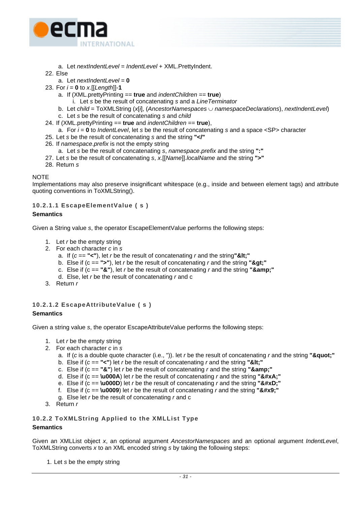

- a. Let *nextIndentLevel* = *IndentLevel* + XML.PrettyIndent.
- 22. Else
	- a. Let *nextIndentLevel* = **0**
- 23. For  $i = 0$  to  $x$ . [[Length]]-1
	- a. If (XML.prettyPrinting == **true** and *indentChildren* == **true**)
		- i. Let *s* be the result of concatenating *s* and a *LineTerminator*
	- b. Let *child* = ToXMLString (*x*[*i*], (*AncestorNamespaces* ∪ *namespaceDeclarations*), *nextIndentLevel*)
	- c. Let *s* be the result of concatenating *s* and *child*
- 24. If (XML.prettyPrinting == **true** and *indentChildren* == **true**),
	- a. For *i* = **0** to *IndentLevel*, let *s* be the result of concatenating *s* and a space <SP> character
- 25. Let *s* be the result of concatenating *s* and the string **"</"**
- 26. If *namespace*.*prefix* is not the empty string
	- a. Let *s* be the result of concatenating *s*, *namespace*.*prefix* and the string **":"**
- 27. Let *s* be the result of concatenating *s*, *x*.[[*Name*]].*localName* and the string **">"**
- 28. Return *s*

#### **NOTE**

Implementations may also preserve insignificant whitespace (e.g., inside and between element tags) and attribute quoting conventions in ToXMLString().

### **10.2.1.1 EscapeElementValue ( s )**

#### **Semantics**

Given a String value *s*, the operator EscapeElementValue performs the following steps:

- 1. Let *r* be the empty string
- 2. For each character *c* in *s*
	- a. If  $(c == "<")$ , let *r* be the result of concatenating *r* and the string"&It;"
	- b. Else if  $(c == ">")$ , let *r* be the result of concatenating *r* and the string ">"
	- c. Else if  $(c == "&")$ , let *r* be the result of concatenating *r* and the string " $&;$ "
	- d. Else, let *r* be the result of concatenating *r* and c
- 3. Return *r*

### **10.2.1.2 EscapeAttributeValue ( s )**

#### **Semantics**

Given a string value *s*, the operator EscapeAttributeValue performs the following steps:

- 1. Let *r* be the empty string
- 2. For each character *c* in *s*
	- a. If (*c* is a double quote character (i.e., ")), let *r* be the result of concatenating *r* and the string **"&quot:"**
	- b. Else if  $(c == "<")$  let *r* be the result of concatenating *r* and the string "&It;"
	- c. Else if  $(c == "&")$  let *r* be the result of concatenating *r* and the string " $&;$ "
	- d. Else if  $(c == \text{u000A})$  let *r* be the result of concatenating *r* and the string " $\&\#xA$ ;"
	- e. Else if  $(c == \text{u000D})$  let *r* be the result of concatenating *r* and the string " $$ ;"
	- f. Else if  $(c == \textbf{10009})$  let *r* be the result of concatenating *r* and the string " $\&\#x9$ ;"
	- g. Else let *r* be the result of concatenating *r* and c
- <span id="page-40-0"></span>3. Return *r*

### **10.2.2 ToXMLString Applied to the XMLList Type**

#### **Semantics**

Given an XMLList object *x*, an optional argument *AncestorNamespaces* and an optional argument *IndentLevel*, ToXMLString converts *x* to an XML encoded string *s* by taking the following steps:

1. Let *s* be the empty string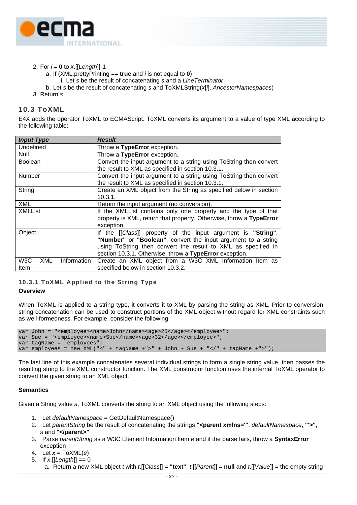

- 2. For *i* = **0** to *x*.[[*Length*]]-**1**
	- a. If (XML.prettyPrinting == **true** and *i* is not equal to **0**)
	- i. Let *s* be the result of concatenating *s* and a *LineTerminator*
	- b. Let *s* be the result of concatenating *s* and ToXMLString(*x*[*i*], *AncestorNamespaces*)
- 3. Return *s*

# **10.3 ToXML**

E4X adds the operator ToXML to ECMAScript. ToXML converts its argument to a value of type XML according to the following table:

| <b>Input Type</b>                             | <b>Result</b>                                                                                                           |  |  |
|-----------------------------------------------|-------------------------------------------------------------------------------------------------------------------------|--|--|
| Undefined                                     | Throw a TypeError exception.                                                                                            |  |  |
| Null                                          | Throw a TypeError exception.                                                                                            |  |  |
| <b>Boolean</b>                                | Convert the input argument to a string using ToString then convert<br>the result to XML as specified in section 10.3.1. |  |  |
| <b>Number</b>                                 | Convert the input argument to a string using ToString then convert<br>the result to XML as specified in section 10.3.1. |  |  |
| String                                        | Create an XML object from the String as specified below in section<br>10.3.1.                                           |  |  |
| <b>XML</b>                                    | Return the input argument (no conversion).                                                                              |  |  |
| <b>XMLList</b>                                | If the XMLList contains only one property and the type of that                                                          |  |  |
|                                               | property is XML, return that property. Otherwise, throw a TypeError                                                     |  |  |
|                                               | exception.                                                                                                              |  |  |
| Object                                        | If the [[Class]] property of the input argument is "String",                                                            |  |  |
|                                               | "Number" or "Boolean", convert the input argument to a string                                                           |  |  |
|                                               | using ToString then convert the result to XML as specified in                                                           |  |  |
|                                               | section 10.3.1. Otherwise, throw a TypeError exception.                                                                 |  |  |
| W <sub>3</sub> C<br><b>XML</b><br>Information | Create an XML object from a W3C XML Information Item as                                                                 |  |  |
| Item                                          | specified below in section 10.3.2.                                                                                      |  |  |

### <span id="page-41-0"></span>**10.3.1 ToXML Applied to the String Type**

#### **Overview**

When ToXML is applied to a string type, it converts it to XML by parsing the string as XML. Prior to conversion, string concatenation can be used to construct portions of the XML object without regard for XML constraints such as well-formedness. For example, consider the following.

```
var John = "<employee><name>John</name><age>25</age></employee>";
var Sue = "<employee><name>Sue</name><age>32</age></employee>";
var tagName = "employees"; 
var employees = new XML("<" + tagName +">" + John + Sue + "</" + tagName +">");
```
The last line of this example concatenates several individual strings to form a single string value, then passes the resulting string to the XML constructor function. The XML constructor function uses the internal ToXML operator to convert the given string to an XML object.

### **Semantics**

Given a String value *s*, ToXML converts the string to an XML object using the following steps:

- 1. Let *defaultNamespace* = GetDefaultNamespace()
- 2. Let *parentString* be the result of concatenating the strings **"<parent xmlns='"**, *defaultNamespace*, **"'>"**, *s* and **"</parent>"**
- 3. Parse *parentString* as a W3C Element Information Item *e* and if the parse fails, throw a **SyntaxError**  exception
- 4. Let *x* = ToXML(*e*)
- 5. If *x*.[[*Length*]] == 0
	- a. Return a new XML object *t* with *t*.[[*Class*]] = **"text"**, *t*.[[*Parent*]] = **null** and *t*.[[*Value*]] = the empty string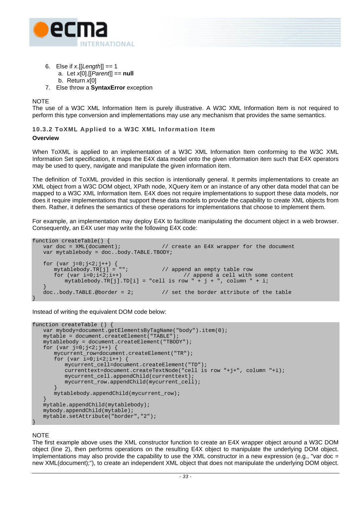

- 6. Else if *x*.[[*Length*]] == 1
	- a. Let *x*[0].[[*Parent*]] == **null**
	- b. Return *x*[0]
- 7. Else throw a **SyntaxError** exception

**NOTE** 

The use of a W3C XML Information Item is purely illustrative. A W3C XML Information Item is not required to perform this type conversion and implementations may use any mechanism that provides the same semantics.

# <span id="page-42-0"></span>**10.3.2 ToXML Applied to a W3C XML Information Item**

#### **Overview**

When ToXML is applied to an implementation of a W3C XML Information Item conforming to the W3C XML Information Set specification, it maps the E4X data model onto the given information item such that E4X operators may be used to query, navigate and manipulate the given information item.

The definition of ToXML provided in this section is intentionally general. It permits implementations to create an XML object from a W3C DOM object, XPath node, XQuery item or an instance of any other data model that can be mapped to a W3C XML Information Item. E4X does not require implementations to support these data models, nor does it require implementations that support these data models to provide the capability to create XML objects from them. Rather, it defines the semantics of these operations for implementations that choose to implement them.

For example, an implementation may deploy E4X to facilitate manipulating the document object in a web browser. Consequently, an E4X user may write the following E4X code:

```
function createTable() { 
   var doc = XML(document); \frac{1}{2} // create an E4X wrapper for the document
   var mytablebody = doc..body.TABLE.TBODY; 
   for (var_j=0; j<2; j++) {<br>
mytablebody.TR[j] = "";
                                           // append an empty table row
       for (var i=0;i<2;i++) // append a cell with some content 
          mytablebody.FR[j].TD[i] = "cell is row " + j + ", column " + i;\left\{\begin{array}{c} \end{array}\right\}doc. body.TABLE.@border = 2; // set the border attribute of the table
}
```
Instead of writing the equivalent DOM code below:

```
function createTable () { 
   var mybody=document.getElementsByTagName("body").item(0);
   mytable = document.createElement("TABLE"); 
   mytablebody = document.createElement("TBODY"); 
   for (var_j=0; j<2; j++) {
        mycurrent_row=document.createElement("TR"); 
       for (var i=0; i<2; i++) {
           mycurrent_cell=document.createElement("TD"); 
           currenttext=document.createTextNode("cell is row "+j+", column "+i); 
            mycurrent_cell.appendChild(currenttext); 
            mycurrent_row.appendChild(mycurrent_cell); 
 }
        mytablebody.appendChild(mycurrent_row); 
\left\{\begin{array}{c} \end{array}\right\} mytable.appendChild(mytablebody); 
    mybody.appendChild(mytable); 
    mytable.setAttribute("border","2");
```
### **NOTE**

}

The first example above uses the XML constructor function to create an E4X wrapper object around a W3C DOM object (line 2), then performs operations on the resulting E4X object to manipulate the underlying DOM object. Implementations may also provide the capability to use the XML constructor in a new expression (e.g., "var doc  $=$ new XML(document);"), to create an independent XML object that does not manipulate the underlying DOM object.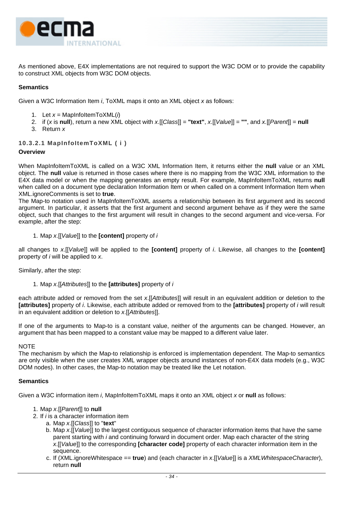

As mentioned above, E4X implementations are not required to support the W3C DOM or to provide the capability to construct XML objects from W3C DOM objects.

# **Semantics**

Given a W3C Information Item *i*, ToXML maps it onto an XML object *x* as follows:

- 1. Let *x* = MapInfoItemToXML(*i*)
- 2. if (*x* is **null**), return a new XML object with *x*.[[*Class*]] = **"text"**, *x*.[[*Value*]] = **""**, and *x.*[[*Parent*]] = **null**
- 3. Return *x*

### **10.3.2.1 MapInfoItemToXML ( i )**

### **Overview**

When MapInfoItemToXML is called on a W3C XML Information Item, it returns either the **null** value or an XML object. The **null** value is returned in those cases where there is no mapping from the W3C XML information to the E4X data model or when the mapping generates an empty result. For example, MapInfoItemToXML returns **null**  when called on a document type declaration Information Item or when called on a comment Information Item when XML.ignoreComments is set to **true**.

The Map-to notation used in MapInfoItemToXML asserts a relationship between its first argument and its second argument. In particular, it asserts that the first argument and second argument behave as if they were the same object, such that changes to the first argument will result in changes to the second argument and vice-versa. For example, after the step:

1. Map *x*.[[*Value*]] to the **[content]** property of *i*

all changes to *x*.[[*Value*]] will be applied to the **[content]** property of *i*. Likewise, all changes to the **[content]** property of *i* will be applied to *x*.

Similarly, after the step:

1. Map *x*.[[*Attributes*]] to the **[attributes]** property of *i*

each attribute added or removed from the set *x*.[[*Attributes*]] will result in an equivalent addition or deletion to the **[attributes]** property of *i*. Likewise, each attribute added or removed from to the **[attributes]** property of *i* will result in an equivalent addition or deletion to *x*.[[*Attributes*]].

If one of the arguments to Map-to is a constant value, neither of the arguments can be changed. However, an argument that has been mapped to a constant value may be mapped to a different value later.

#### **NOTE**

The mechanism by which the Map-to relationship is enforced is implementation dependent. The Map-to semantics are only visible when the user creates XML wrapper objects around instances of non-E4X data models (e.g., W3C DOM nodes). In other cases, the Map-to notation may be treated like the Let notation.

## **Semantics**

Given a W3C information item *i*, MapInfoItemToXML maps it onto an XML object *x* or **null** as follows:

- 1. Map *x*.[[*Parent*]] to **null**
- 2. If *i* is a character information item
	- a. Map *x*.[[*Class*]] to "**text**"
	- b. Map *x*.[[*Value*]] to the largest contiguous sequence of character information items that have the same parent starting with *i* and continuing forward in document order. Map each character of the string *x*.[[*Value*]] to the corresponding **[character code]** property of each character information item in the sequence.
	- c. If (XML.ignoreWhitespace == **true**) and (each character in *x*.[[*Value*]] is a *XMLWhitespaceCharacter*), return **null**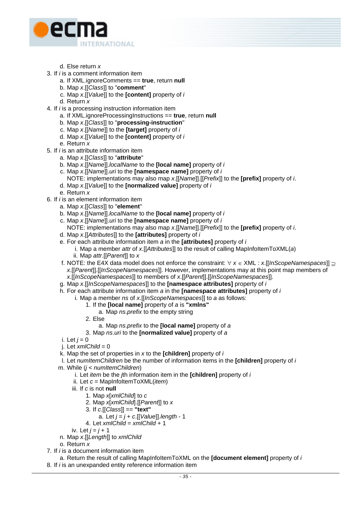

- d. Else return *x*
- 3. If *i* is a comment information item
	- a. If XML.ignoreComments == **true**, return **null**
		- b. Map *x*.[[*Class*]] to "**comment**"
		- c. Map *x*.[[*Value*]] to the **[content]** property of *i*
	- d. Return *x*
- 4. If *i* is a processing instruction information item
	- a. If XML.ignoreProcessingInstructions == **true**, return **null**
	- b. Map *x*.[[*Class*]] to "**processing-instruction**"
	- c. Map *x*.[[*Name*]] to the **[target]** property of *i*
	- d. Map *x*.[[*Value*]] to the **[content]** property of *i*
	- e. Return *x*
- 5. If *i* is an attribute information item
	- a. Map *x*.[[*Class*]] to "**attribute**"
	- b. Map *x*.[[*Name*]].*localName* to the **[local name]** property of *i*
	- c. Map *x*.[[*Name*]].*uri* to the **[namespace name]** property of *i* 
		- NOTE: implementations may also map *x*.[[*Name*]].[[*Prefix*]] to the **[prefix]** property of *i*.
	- d. Map *x*.[[*Value*]] to the **[normalized value]** property of *i*
	- e. Return *x*
- 6. If *i* is an element information item
	- a. Map *x*.[[*Class*]] to "**element**"
	- b. Map *x*.[[*Name*]].*localName* to the **[local name]** property of *i*
	- c. Map *x*.[[*Name*]].*uri* to the **[namespace name]** property of *i* 
		- NOTE: implementations may also map *x*.[[*Name*]].[[*Prefix*]] to the **[prefix]** property of *i*.
	- d. Map *x*.[[*Attributes*]] to the **[attributes]** property of *i*
	- e. For each attribute information item *a* in the **[attributes]** property of *i*
		- i. Map a member *attr* of *x*.[[*Attributes*]] to the result of calling MapInfoItemToXML(*a*) ii. Map *attr*.[[*Parent*]] to *x*
	- f. NOTE: the E4X data model does not enforce the constraint: ∀ *x* ∈ XML : *x*.[[*InScopeNamespaces*]] ⊇ *x*.[[*Parent*]].[[*InScopeNamespaces*]]. However, implementations may at this point map members of *x*.[[*InScopeNamespaces*]] to members of *x*.[[*Parent*]].[[*InScopeNamespaces*]].
	- g. Map *x*.[[*InScopeNamespaces*]] to the **[namespace attributes]** property of *i*
	- h. For each attribute information item *a* in the **[namespace attributes]** property of *i*
		- i. Map a member *ns* of *x*.[[*InScopeNamespaces*]] to *a* as follows:
			- 1. If the **[local name]** property of *a* is **"xmlns"**
				- a. Map *ns*.*prefix* to the empty string
			- 2. Else
				- a. Map *ns*.*prefix* to the **[local name]** property of *a*
			- 3. Map *ns*.*uri* to the **[normalized value]** property of *a*
	- i. Let  $j = 0$
	- j. Let *xmlChild* = 0
	- k. Map the set of properties in *x* to the **[children]** property of *i*
	- l. Let *numItemChildren* be the number of information items in the **[children]** property of *i*
	- m. While (*j* < *numItemChildren*)
		- i. Let *item* be the *j*th information item in the **[children]** property of *i*
		- ii. Let *c* = MapInfoItemToXML(*item*)
		- iii. If *c* is not **null**
			- 1. Map *x*[*xmlChild*] to *c*
			- 2. Map *x*[*xmlChild*].[[*Parent*]] to *x*
			- 3. If *c*.[[*Class*]] == **"text"**
				- a. Let *j* = *j* + *c*.[[*Value*]].*length* 1
			- 4. Let *xmlChild* = *xmlChild* + 1

iv. Let *j* = *j* + 1

- n. Map *x*.[[*Length*]] to *xmlChild*
- o. Return *x*
- 7. If *i* is a document information item
- a. Return the result of calling MapInfoItemToXML on the **[document element]** property of *i* 8. If *i* is an unexpanded entity reference information item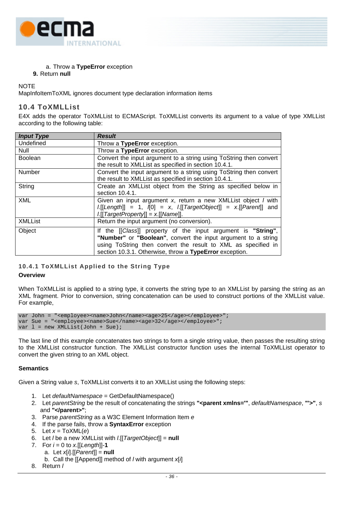

a. Throw a **TypeError** exception

# **9.** Return **null**

**NOTE** 

MapInfoItemToXML ignores document type declaration information items

# **10.4 ToXMLList**

E4X adds the operator ToXMLList to ECMAScript. ToXMLList converts its argument to a value of type XMLList according to the following table:

| <b>Input Type</b> | <b>Result</b>                                                                                                                                                                                                                                             |
|-------------------|-----------------------------------------------------------------------------------------------------------------------------------------------------------------------------------------------------------------------------------------------------------|
| Undefined         | Throw a TypeError exception.                                                                                                                                                                                                                              |
| <b>Null</b>       | Throw a TypeError exception.                                                                                                                                                                                                                              |
| <b>Boolean</b>    | Convert the input argument to a string using ToString then convert<br>the result to XMLList as specified in section 10.4.1.                                                                                                                               |
| Number            | Convert the input argument to a string using ToString then convert<br>the result to XMLList as specified in section 10.4.1.                                                                                                                               |
| String            | Create an XMLList object from the String as specified below in<br>section 10.4.1.                                                                                                                                                                         |
| <b>XML</b>        | Given an input argument x, return a new XMLList object / with<br>$l[[Length]] = 1, [0] = x, l[[TargetObject]] = x[[Parent]]$ and<br>$l[[TargetProperty]] = x[[Name]].$                                                                                    |
| <b>XMLList</b>    | Return the input argument (no conversion).                                                                                                                                                                                                                |
| Object            | If the [[Class]] property of the input argument is "String",<br>"Number" or "Boolean", convert the input argument to a string<br>using ToString then convert the result to XML as specified in<br>section 10.3.1. Otherwise, throw a TypeError exception. |

# <span id="page-45-0"></span>**10.4.1 ToXMLList Applied to the String Type**

### **Overview**

When ToXMLList is applied to a string type, it converts the string type to an XMLList by parsing the string as an XML fragment. Prior to conversion, string concatenation can be used to construct portions of the XMLList value. For example,

var John = "<employee><name>John</name><age>25</age></employee>"; var Sue = "<employee><name>Sue</name><age>32</age></employee>"; var  $l$  = new XMLList(John + Sue);

The last line of this example concatenates two strings to form a single string value, then passes the resulting string to the XMLList constructor function. The XMLList constructor function uses the internal ToXMLList operator to convert the given string to an XML object.

### **Semantics**

Given a String value *s*, ToXMLList converts it to an XMLList using the following steps:

- 1. Let *defaultNamespace* = GetDefaultNamespace()
- 2. Let *parentString* be the result of concatenating the strings **"<parent xmlns='"**, *defaultNamespace*, **"'>"**, *s*  and **"</parent>"**;
- 3. Parse *parentString* as a W3C Element Information Item *e*
- 4. If the parse fails, throw a **SyntaxError** exception
- 5. Let *x* = ToXML(*e*)
- 6. Let *l* be a new XMLList with *l*.[[*TargetObject*]] = **null**
- 7. For *i* = 0 to *x*.[[*Length*]]-**1**
	- a. Let *x*[*i*].[[*Parent*]] = **null**
		- b. Call the [[Append]] method of *l* with argument *x*[*i*]
- 8. Return *l*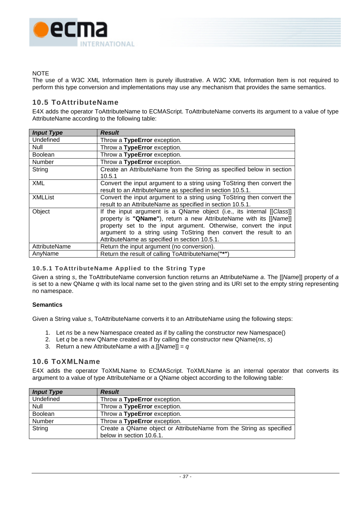

# **NOTE**

The use of a W3C XML Information Item is purely illustrative. A W3C XML Information Item is not required to perform this type conversion and implementations may use any mechanism that provides the same semantics.

# **10.5 ToAttributeName**

E4X adds the operator ToAttributeName to ECMAScript. ToAttributeName converts its argument to a value of type AttributeName according to the following table:

| <b>Input Type</b> | <b>Result</b>                                                                                                                                                                                                                                                                                                                         |
|-------------------|---------------------------------------------------------------------------------------------------------------------------------------------------------------------------------------------------------------------------------------------------------------------------------------------------------------------------------------|
| Undefined         | Throw a TypeError exception.                                                                                                                                                                                                                                                                                                          |
| Null              | Throw a TypeError exception.                                                                                                                                                                                                                                                                                                          |
| <b>Boolean</b>    | Throw a TypeError exception.                                                                                                                                                                                                                                                                                                          |
| Number            | Throw a TypeError exception.                                                                                                                                                                                                                                                                                                          |
| String            | Create an AttributeName from the String as specified below in section<br>10.5.1                                                                                                                                                                                                                                                       |
| <b>XML</b>        | Convert the input argument to a string using ToString then convert the<br>result to an AttributeName as specified in section 10.5.1.                                                                                                                                                                                                  |
| <b>XMLList</b>    | Convert the input argument to a string using ToString then convert the<br>result to an AttributeName as specified in section 10.5.1.                                                                                                                                                                                                  |
| Object            | If the input argument is a QName object (i.e., its internal [[Class]]<br>property is "QName"), return a new AttributeName with its [[Name]]<br>property set to the input argument. Otherwise, convert the input<br>argument to a string using ToString then convert the result to an<br>AttributeName as specified in section 10.5.1. |
| AttributeName     | Return the input argument (no conversion).                                                                                                                                                                                                                                                                                            |
| AnyName           | Return the result of calling ToAttributeName("*")                                                                                                                                                                                                                                                                                     |

# <span id="page-46-0"></span>**10.5.1 ToAttributeName Applied to the String Type**

Given a string *s*, the ToAttributeName conversion function returns an AttributeName *a*. The [[*Name*]] property of *a* is set to a new QName *q* with its local name set to the given string and its URI set to the empty string representing no namespace.

### **Semantics**

Given a String value *s*, ToAttributeName converts it to an AttributeName using the following steps:

- 1. Let *ns* be a new Namespace created as if by calling the constructor new Namespace()
- 2. Let *q* be a new QName created as if by calling the constructor new QName(*ns*, *s*)
- 3. Return a new AttributeName *a* with *a*.[[*Name*]] = *q*

# **10.6 ToXMLName**

E4X adds the operator ToXMLName to ECMAScript. ToXMLName is an internal operator that converts its argument to a value of type AttributeName or a QName object according to the following table:

| <b>Input Type</b> | <b>Result</b>                                                       |
|-------------------|---------------------------------------------------------------------|
| Undefined         | Throw a TypeError exception.                                        |
| Null              | Throw a TypeError exception.                                        |
| Boolean           | Throw a TypeError exception.                                        |
| Number            | Throw a TypeError exception.                                        |
| String            | Create a QName object or AttributeName from the String as specified |
|                   | below in section 10.6.1.                                            |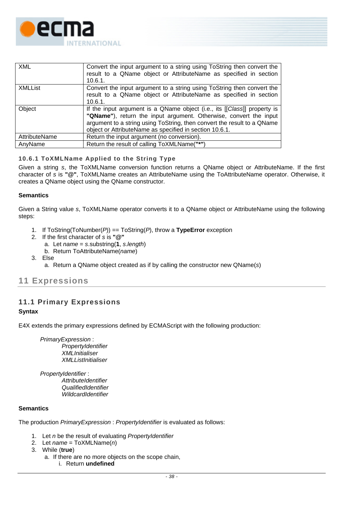

| <b>XML</b>     | Convert the input argument to a string using ToString then convert the<br>result to a QName object or AttributeName as specified in section<br>10.6.1.                                                                                                                              |
|----------------|-------------------------------------------------------------------------------------------------------------------------------------------------------------------------------------------------------------------------------------------------------------------------------------|
| <b>XMLList</b> | Convert the input argument to a string using ToString then convert the<br>result to a QName object or AttributeName as specified in section<br>$10.6.1$ .                                                                                                                           |
| Object         | If the input argument is a QName object (i.e., its [[Class]] property is<br>"QName"), return the input argument. Otherwise, convert the input<br>argument to a string using ToString, then convert the result to a QName<br>object or AttributeName as specified in section 10.6.1. |
| AttributeName  | Return the input argument (no conversion).                                                                                                                                                                                                                                          |
| AnvName        | Return the result of calling ToXMLName("*")                                                                                                                                                                                                                                         |

# <span id="page-47-0"></span>**10.6.1 ToXMLName Applied to the String Type**

Given a string *s*, the ToXMLName conversion function returns a QName object or AttributeName. If the first character of *s* is **"@"**, ToXMLName creates an AttributeName using the ToAttributeName operator. Otherwise, it creates a QName object using the QName constructor.

### **Semantics**

Given a String value *s*, ToXMLName operator converts it to a QName object or AttributeName using the following steps:

- 1. If ToString(ToNumber(*P*)) == ToString(*P*), throw a **TypeError** exception
- 2. If the first character of *s* is **"@"**
	- a. Let *name* = *s*.substring(**1**, *s*.*length*)
	- b. Return ToAttributeName(*name*)
- 3. Else
	- a. Return a QName object created as if by calling the constructor new QName(*s*)

# **11 Expressions**

# **11.1 Primary Expressions**

### **Syntax**

E4X extends the primary expressions defined by ECMAScript with the following production:

*PrimaryExpression* : *PropertyIdentifier XMLInitialiser XMLListInitialiser* 

 *PropertyIdentifier* : *AttributeIdentifier QualifiedIdentifier WildcardIdentifier* 

# **Semantics**

The production *PrimaryExpression* : *PropertyIdentifier* is evaluated as follows:

- 1. Let *n* be the result of evaluating *PropertyIdentifier*
- 2. Let *name* = ToXMLName(*n*)
- 3. While (**true**)
	- a. If there are no more objects on the scope chain, i. Return **undefined**
		-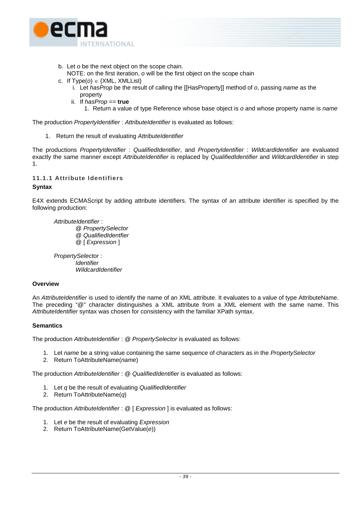

- b. Let *o* be the next object on the scope chain.
- NOTE: on the first iteration, *o* will be the first object on the scope chain
- c. If Type(*o*) ∈ {XML, XMLList}
	- i. Let *hasProp* be the result of calling the [[HasProperty]] method of *o*, passing *name* as the property
	- ii. If *hasProp* == **true**
		- 1. Return a value of type Reference whose base object is *o* and whose property name is *name*

The production *PropertyIdentifier* : *AttributeIdentifier* is evaluated as follows:

1. Return the result of evaluating *AttributeIdentifier*

The productions *PropertyIdentifier* : *QualifiedIdentifier*, and *PropertyIdentifier* : *WildcardIdentifier* are evaluated exactly the same manner except *AttributeIdentifier* is replaced by *QualifiedIdentifier* and *WildcardIdentifier* in step 1.

# **11.1.1 Attribute Identifiers**

# **Syntax**

E4X extends ECMAScript by adding attribute identifiers. The syntax of an attribute identifier is specified by the following production:

 *AttributeIdentifier* :

 @ *PropertySelector* @ *QualifiedIdentfier* @ [ *Expression* ]

*PropertySelector* : *Identifier WildcardIdentifier* 

#### **Overview**

An *AttributeIdentifier* is used to identify the name of an XML attribute. It evaluates to a value of type AttributeName. The preceding "@" character distinguishes a XML attribute from a XML element with the same name. This *AttributeIdentifier* syntax was chosen for consistency with the familiar XPath syntax.

### **Semantics**

The production *AttributeIdentifier* : *@ PropertySelector* is evaluated as follows:

- 1. Let *name* be a string value containing the same sequence of characters as in the *PropertySelector*
- 2. Return ToAttributeName(*name*)

The production *AttributeIdentifier* : @ *QualifiedIdentifier* is evaluated as follows:

- 1. Let *q* be the result of evaluating *QualifiedIdentifier*
- 2. Return ToAttributeName(*q*)

The production *AttributeIdentifier* : @ [ *Expression* ] is evaluated as follows:

- 1. Let *e* be the result of evaluating *Expression*
- 2. Return ToAttributeName(GetValue(*e*))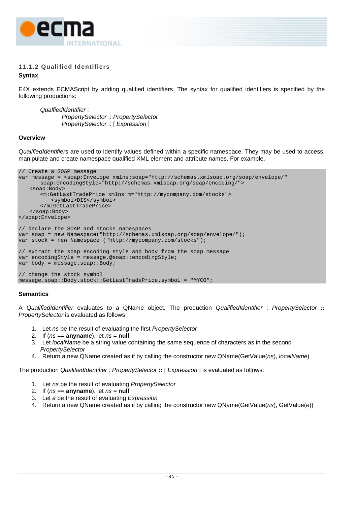

# **11.1.2 Qualified Identifiers**

# **Syntax**

E4X extends ECMAScript by adding qualified identifiers. The syntax for qualified identifiers is specified by the following productions:

*QualfiedIdentifier* : *PropertySelector* :: *PropertySelector PropertySelector* :: [ *Expression* ]

### **Overview**

*QualifiedIdentifiers* are used to identify values defined within a specific namespace. They may be used to access, manipulate and create namespace qualified XML element and attribute names. For example,

```
// Create a SOAP message 
var message = <soap:Envelope xmlns:soap="http://schemas.xmlsoap.org/soap/envelope/" 
       soap:encodingStyle="http://schemas.xmlsoap.org/soap/encoding/"> 
    <soap:Body> 
       <m:GetLastTradePrice xmlns:m="http://mycompany.com/stocks"> 
           <symbol>DIS</symbol> 
       </m:GetLastTradePrice> 
    </soap:Body> 
</soap:Envelope> 
// declare the SOAP and stocks namespaces 
var soap = new Namespace("http://schemas.xmlsoap.org/soap/envelope/"); 
var stock = new Namespace ("http://mycompany.com/stocks"); 
// extract the soap encoding style and body from the soap message 
var encodingStyle = message.@soap::encodingStyle; 
var body = message.soap::Body;
// change the stock symbol 
message.soap::Body.stock::GetLastTradePrice.symbol = "MYCO";
```
### **Semantics**

A *QualifiedIdentifier* evaluates to a QName object. The production *QualifiedIdentifier* : *PropertySelector* **::** *PropertySelector* is evaluated as follows:

- 1. Let *ns* be the result of evaluating the first *PropertySelector*
- 2. If  $(ns ==$  **anyname**), let  $ns = null$
- 3. Let *localName* be a string value containing the same sequence of characters as in the second *PropertySelector*
- 4. Return a new QName created as if by calling the constructor new QName(GetValue(*ns*), *localName*)

The production *QualifiedIdentifier* : *PropertySelector* **::** [ *Expression* ] is evaluated as follows:

- 1. Let *ns* be the result of evaluating *PropertySelector*
- 2. If  $(ns ==$  **anyname**), let  $ns = null$
- 3. Let *e* be the result of evaluating *Expression*
- 4. Return a new QName created as if by calling the constructor new QName(GetValue(*ns*), GetValue(*e*))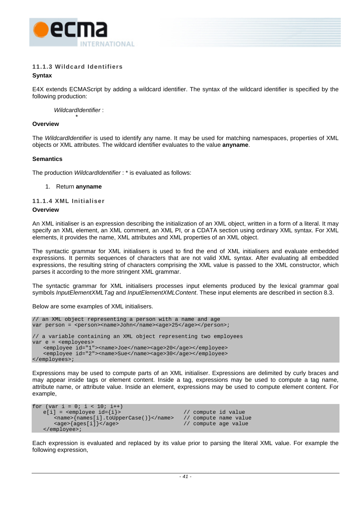

# **11.1.3 Wildcard Identifiers**

# **Syntax**

E4X extends ECMAScript by adding a wildcard identifier. The syntax of the wildcard identifier is specified by the following production:

 *WildcardIdentifier* :

#### \* **Overview**

The *WildcardIdentifier* is used to identify any name. It may be used for matching namespaces, properties of XML objects or XML attributes. The wildcard identifier evaluates to the value **anyname**.

### **Semantics**

The production *WildcardIdentifier* : \* is evaluated as follows:

#### 1. Return **anyname**

# **11.1.4 XML Initialiser**

#### **Overview**

An XML initialiser is an expression describing the initialization of an XML object, written in a form of a literal. It may specify an XML element, an XML comment, an XML PI, or a CDATA section using ordinary XML syntax. For XML elements, it provides the name, XML attributes and XML properties of an XML object.

The syntactic grammar for XML initialisers is used to find the end of XML initialisers and evaluate embedded expressions. It permits sequences of characters that are not valid XML syntax. After evaluating all embedded expressions, the resulting string of characters comprising the XML value is passed to the XML constructor, which parses it according to the more stringent XML grammar.

The syntactic grammar for XML initialisers processes input elements produced by the lexical grammar goal symbols *InputElementXMLTag* and *InputElementXMLContent*. These input elements are described in section [8.3.](#page-18-0)

Below are some examples of XML initialisers.

```
// an XML object representing a person with a name and age 
var person = <person><name>John</name><age>25</age></person>;
// a variable containing an XML object representing two employees 
var e = <employees> 
    <employee id="1"><name>Joe</name><age>20</age></employee> 
    <employee id="2"><name>Sue</name><age>30</age></employee> 
</employees>;
```
Expressions may be used to compute parts of an XML initialiser. Expressions are delimited by curly braces and may appear inside tags or element content. Inside a tag, expressions may be used to compute a tag name, attribute name, or attribute value. Inside an element, expressions may be used to compute element content. For example,

```
for (var i = 0; i < 10; i^{++})
   e[i] = \langleemployee id={i}> // compute id value
      <name>{names[i].toUpperCase()}</name> // compute name value 
                                             // compute age value
    </employee>;
```
Each expression is evaluated and replaced by its value prior to parsing the literal XML value. For example the following expression,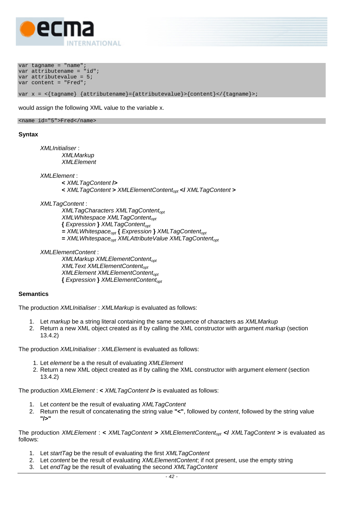

var tagname = "name"; var attributename = "id"; var attributevalue = 5; var content = "Fred";

var  $x = \frac{1}{\tan x}$  {attributename}={attributevalue}>{content}</{tagname}>;

would assign the following XML value to the variable x.

<name id="5">Fred</name>

#### **Syntax**

*XMLInitialiser* : *XMLMarkup XMLElement* 

*XMLElement* :

- **<** *XMLTagContent* **/>**
- **<** *XMLTagContent* **>** *XMLElementContentopt* **</** *XMLTagContent* **>**

#### *XMLTagContent* :

*XMLTagCharacters XMLTagContent<sub>opt</sub> XMLWhitespace XMLTagContent*<sub>opt</sub> **{** *Expression* **}** *XMLTagContentopt*  $=$  *XMLWhitespace<sub>opt</sub>* { *Expression* } *XMLTagContent<sub>ont</sub>*  $=$  *XMLWhitespace<sub>opt</sub> XMLAttributeValue XMLTagContent<sub>opt</sub>* 

*XMLElementContent* :

*XMLMarkup XMLElementContent<sub>opt</sub> XMLText XMLElementContent*<sub>opt</sub> *XMLElement XMLElementContent<sub>opt</sub>* **{** *Expression* **}** *XMLElementContentopt*

#### **Semantics**

The production *XMLInitialiser* : *XMLMarkup* is evaluated as follows:

- 1. Let *markup* be a string literal containing the same sequence of characters as *XMLMarkup*
- 2. Return a new XML object created as if by calling the XML constructor with argument *markup* (section [13.4.2\)](#page-79-0)

The production *XMLInitialiser* : *XMLElement* is evaluated as follows:

- 1. Let *element* be a the result of evaluating *XMLElement*
- 2. Return a new XML object created as if by calling the XML constructor with argument *element* (section [13.4.2\)](#page-79-0)

The production *XMLElement* : **<** *XMLTagContent* **/>** is evaluated as follows:

- 1. Let *content* be the result of evaluating *XMLTagContent*
- 2. Return the result of concatenating the string value **"<"**, followed by *content*, followed by the string value **"/>"**

The production *XMLElement* : **<** *XMLTagContent* **>** *XMLElementContentopt* **</** *XMLTagContent* **>** is evaluated as follows:

- 1. Let *startTag* be the result of evaluating the first *XMLTagContent*
- 2. Let *content* be the result of evaluating *XMLElementContent*; if not present, use the empty string
- 3. Let *endTag* be the result of evaluating the second *XMLTagContent*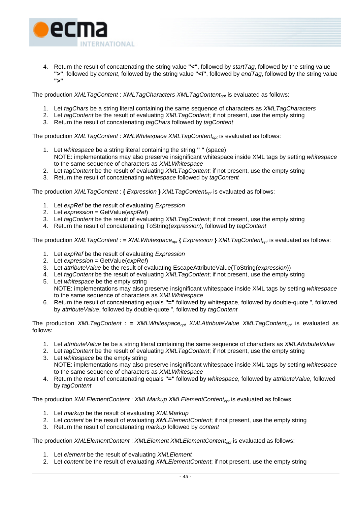

4. Return the result of concatenating the string value **"<"**, followed by *startTag*, followed by the string value **">"**, followed by *content*, followed by the string value **"</"**, followed by *endTag*, followed by the string value **">"**

The production *XMLTagContent* : *XMLTagCharacters XMLTagContent<sub>opt</sub>* is evaluated as follows:

- 1. Let *tagChars* be a string literal containing the same sequence of characters as *XMLTagCharacters*
- 2. Let *tagContent* be the result of evaluating *XMLTagContent*; if not present, use the empty string
- 3. Return the result of concatenating *tagChars* followed by *tagContent*

The production *XMLTagContent* : *XMLWhitespace XMLTagContent<sub>opt</sub>* is evaluated as follows:

- 1. Let *whitespace* be a string literal containing the string **" "** (space) NOTE: implementations may also preserve insignificant whitespace inside XML tags by setting *whitespace* to the same sequence of characters as *XMLWhitespace*
- 2. Let *tagContent* be the result of evaluating *XMLTagContent*; if not present, use the empty string
- 3. Return the result of concatenating *whitespace* followed by *tagContent*

The production *XMLTagContent* : **{** *Expression* **}** *XMLTagContentopt* is evaluated as follows:

- 1. Let *expRef* be the result of evaluating *Expression*
- 2. Let *expression* = GetValue(*expRef*)
- 3. Let *tagContent* be the result of evaluating *XMLTagContent*; if not present, use the empty string
- 4. Return the result of concatenating ToString(*expression*), followed by *tagContent*

The production *XMLTagContent* : = *XMLWhitespace<sub>opt</sub>* { *Expression* } *XMLTagContent<sub>opt</sub>* is evaluated as follows:

- 1. Let *expRef* be the result of evaluating *Expression*
- 2. Let *expression* = GetValue(*expRef*)
- 3. Let *attributeValue* be the result of evaluating EscapeAttributeValue(ToString(*expression*))
- 4. Let *tagContent* be the result of evaluating *XMLTagContent*; if not present, use the empty string
- 5. Let *whitespace* be the empty string NOTE: implementations may also preserve insignificant whitespace inside XML tags by setting *whitespace* to the same sequence of characters as *XMLWhitespace*
- 6. Return the result of concatenating equals **"="** followed by whitespace, followed by double-quote ", followed by *attributeValue*, followed by double-quote ", followed by *tagContent*

The production *XMLTagContent* : = *XMLWhitespace<sub>opt</sub> XMLAttributeValue XMLTagContent<sub>opt</sub> is evaluated as* follows:

- 1. Let *attributeValue* be be a string literal containing the same sequence of characters as *XMLAttributeValue*
- 2. Let *tagContent* be the result of evaluating *XMLTagContent*; if not present, use the empty string
- 3. Let *whitespace* be the empty string NOTE: implementations may also preserve insignificant whitespace inside XML tags by setting *whitespace* to the same sequence of characters as *XMLWhitespace*
- 4. Return the result of concatenating equals **"="** followed by *whitespace*, followed by *attributeValue,* followed by *tagContent*

The production *XMLElementContent* : *XMLMarkup XMLElementContentopt* is evaluated as follows:

- 1. Let *markup* be the result of evaluating *XMLMarkup*
- 2. Let *content* be the result of evaluating *XMLElementContent*; if not present, use the empty string
- 3. Return the result of concatenating *markup* followed by *content*

The production *XMLElementContent* : *XMLElement XMLElementContentopt* is evaluated as follows:

- 1. Let *element* be the result of evaluating *XMLElement*
- 2. Let *content* be the result of evaluating *XMLElementContent*; if not present, use the empty string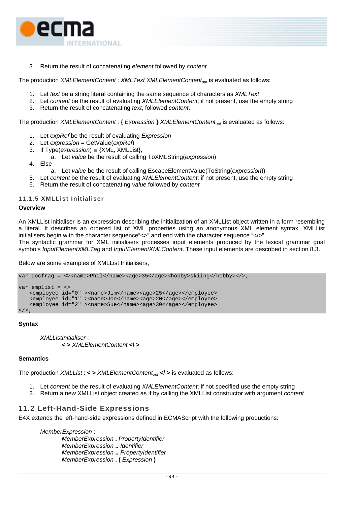

3. Return the result of concatenating *element* followed by *content*

The production *XMLElementContent* : *XMLText XMLElementContentopt* is evaluated as follows:

- 1. Let *text* be a string literal containing the same sequence of characters as *XMLText*
- 2. Let *content* be the result of evaluating *XMLElementContent*; if not present, use the empty string
- 3. Return the result of concatenating *text*, followed *content*.

The production *XMLElementContent* : **{** *Expression* **}** *XMLElementContentopt* is evaluated as follows:

- 1. Let *expRef* be the result of evaluating *Expression*
- 2. Let *expression* = GetValue(*expRef*)
- 3. If Type(*expression*) ∈ {XML, XMLList},
- a. Let *value* be the result of calling ToXMLString(*expression*)
- 4. Else
	- a. Let *value* be the result of calling EscapeElementValue(ToString(*expression*))
- 5. Let *content* be the result of evaluating *XMLElementContent*; if not present, use the empty string
- 6. Return the result of concatenating *value* followed by *content*

#### **11.1.5 XMLList Initialiser**

### **Overview**

An XMLList initialiser is an expression describing the initialization of an XMLList object written in a form resembling a literal. It describes an ordered list of XML properties using an anonymous XML element syntax. XMLList initialisers begin with the character sequence"<>" and end with the character sequence "</>". The syntactic grammar for XML initialisers processes input elements produced by the lexical grammar goal symbols *InputElementXMLTag* and *InputElementXMLContent*. These input elements are described in section [8.3.](#page-18-0)

Below are some examples of XMLList Initialisers,

```
var docfrag = <><name>Phil</name><age>35</age><hobby>skiing</hobby></>></>>;
```

```
var emplist = <> 
   <employee id="0" ><name>Jim</name><age>25</age></employee> 
   <employee id="1" ><name>Joe</name><age>20</age></employee> 
   <employee id="2" ><name>Sue</name><age>30</age></employee> 
\langle / > ;
```
**Syntax** 

```
XMLListInitialiser : 
         < > XMLElementContent </ >
```
#### **Semantics**

The production *XMLList* : < > *XMLElementContent<sub>opt</sub>* </ > is evaluated as follows:

- 1. Let *content* be the result of evaluating *XMLElementContent*; if not specified use the empty string
- 2. Return a new XMLList object created as if by calling the XMLList constructor with argument *content*

# **11.2 Left-Hand-Side Expressions**

E4X extends the left-hand-side expressions defined in ECMAScript with the following productions:

*MemberExpression* : *MemberExpression* **.** *PropertyIdentifier MemberExpression* **..** *Identifier MemberExpression* **..** *PropertyIdentifier MemberExpression* **. (** *Expression* **)**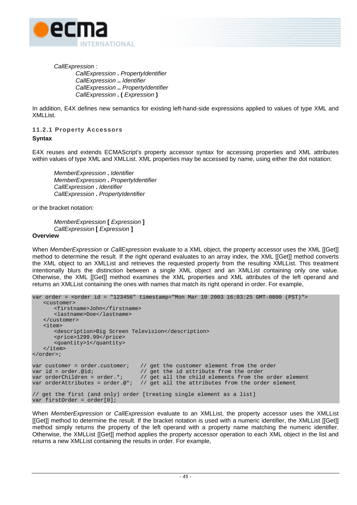

*CallExpression* : *CallExpression* **.** *PropertyIdentifier CallExpression* **..** *Identifier CallExpression* **..** *PropertyIdentifier CallExpression* **. (** *Expression* **)**

In addition, E4X defines new semantics for existing left-hand-side expressions applied to values of type XML and XMLList.

# **11.2.1 Property Accessors Syntax**

E4X reuses and extends ECMAScript's property accessor syntax for accessing properties and XML attributes within values of type XML and XMLList. XML properties may be accessed by name, using either the dot notation:

*MemberExpression* **.** *Identifier MemberExpression* **.** *PropertyIdentifier CallExpression* **.** *Identifier CallExpression* **.** *PropertyIdentifier* 

or the bracket notation:

*MemberExpression* **[** *Expression* **]** *CallExpression* **[** *Expression* **]**

### **Overview**

When *MemberExpression* or *CallExpression* evaluate to a XML object, the property accessor uses the XML [[Get]] method to determine the result. If the right operand evaluates to an array index, the XML [[Get]] method converts the XML object to an XMLList and retrieves the requested property from the resulting XMLList. This treatment intentionally blurs the distinction between a single XML object and an XMLList containing only one value. Otherwise, the XML [[Get]] method examines the XML properties and XML attributes of the left operand and returns an XMLList containing the ones with names that match its right operand in order. For example,

```
var order = <order id = "123456" timestamp="Mon Mar 10 2003 16:03:25 GMT-0800 (PST)"> 
     <customer> 
          <firstname>John</firstname> 
          <lastname>Doe</lastname> 
     </customer> 
     <item> 
          <description>Big Screen Television</description> 
          <price>1299.99</price> 
          <quantity>1</quantity> 
     </item> 
</order>; 
var customer = order.customer; \frac{1}{2} // get the customer element from the order var id = order.@id; \frac{1}{2} // get the id attribute from the order
var id = order.@id; \frac{1}{2} // get the id attribute from the order var orderChildren = order.*; // get all the child elements from the
var orderChildren = order.*; \frac{1}{2} get all the child elements from the order element var orderAttributes = order.@*; \frac{1}{2} get all the attributes from the order element
                                             v_1 qet all the attributes from the order element
// get the first (and only) order [treating single element as a list] 
var firstOrder = order[0];
```
When *MemberExpression* or *CallExpression* evaluate to an XMLList, the property accessor uses the XMLList [[Get]] method to determine the result. If the bracket notation is used with a numeric identifier, the XMLList [[Get]] method simply returns the property of the left operand with a property name matching the numeric identifier. Otherwise, the XMLList [[Get]] method applies the property accessor operation to each XML object in the list and returns a new XMLList containing the results in order. For example,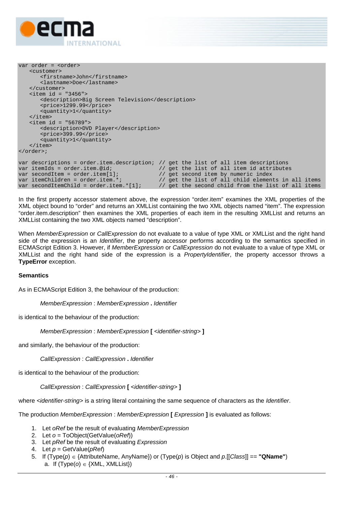

```
var order = <order> 
     <customer> 
         <firstname>John</firstname> 
         <lastname>Doe</lastname> 
     </customer> 
    \text{d} = "3456" <description>Big Screen Television</description> 
         <price>1299.99</price> 
         <quantity>1</quantity> 
     </item> 
    \text{d} = "56789" <description>DVD Player</description> 
         <price>399.99</price> 
         <quantity>1</quantity> 
     </item> 
</order>; 
var descriptions = order.item.description; // get the list of all item descriptions var itemIds = order.item.@id; \frac{1}{2} // get the list of all item id attribute
var itemIds = order.item.@id; // get the list of all item id attributes 
var secondItem = order.item[1]; // get second item by numeric index
var itemChildren = order.item.*; \frac{1}{2} // get the list of all child elements in all items var secondItemChild = order.item.*[1]; // get the second child from the list of all items
                                                   \frac{1}{2} yet the second child from the list of all items
```
In the first property accessor statement above, the expression "order.item" examines the XML properties of the XML object bound to "order" and returns an XMLList containing the two XML objects named "item". The expression "order.item.description" then examines the XML properties of each item in the resulting XMLList and returns an XMLList containing the two XML objects named "description".

When *MemberExpression* or *CallExpression* do not evaluate to a value of type XML or XMLList and the right hand side of the expression is an *Identifier*, the property accessor performs according to the semantics specified in ECMAScript Edition 3. However, if *MemberExpression* or *CallExpression* do not evaluate to a value of type XML or XMLList and the right hand side of the expression is a *PropertyIdentifier*, the property accessor throws a **TypeError** exception.

#### **Semantics**

As in ECMAScript Edition 3, the behaviour of the production:

*MemberExpression* : *MemberExpression* **.** *Identifier*

is identical to the behaviour of the production:

*MemberExpression* : *MemberExpression* **[** *<identifier-string>* **]**

and similarly, the behaviour of the production:

*CallExpression* : *CallExpression* **.** *Identifier* 

is identical to the behaviour of the production:

*CallExpression* : *CallExpression* **[** *<identifier-string>* **]**

where *<identifier-string>* is a string literal containing the same sequence of characters as the *Identifier*.

The production *MemberExpression* : *MemberExpression* **[** *Expression* **]** is evaluated as follows:

- 1. Let *oRef* be the result of evaluating *MemberExpression*
- 2. Let *o* = ToObject(GetValue(*oRef*))
- 3. Let *pRef* be the result of evaluating *Expression*
- 4. Let *p* = GetValue(*pRef*)
- 5. If (Type(*p*) ∈ {AttributeName, AnyName}) or (Type(*p*) is Object and *p*.[[*Class*]] == **"QName"**) a. If  $(Type(o) \in \{XML, XMLList\})$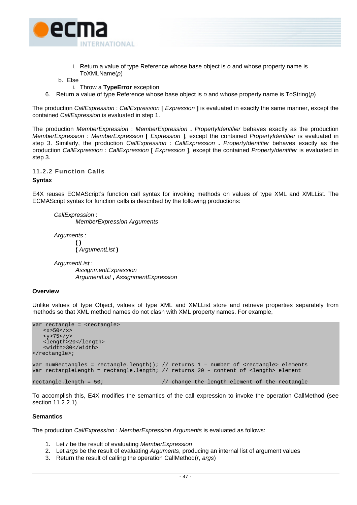

i. Return a value of type Reference whose base object is *o* and whose property name is ToXMLName(*p*)

b. Else

- i. Throw a **TypeError** exception
- 6. Return a value of type Reference whose base object is *o* and whose property name is ToString(*p*)

The production *CallExpression* : *CallExpression* **[** *Expression* **]** is evaluated in exactly the same manner, except the contained *CallExpression* is evaluated in step 1.

The production *MemberExpression* : *MemberExpression* **.** *PropertyIdentifier* behaves exactly as the production *MemberExpression* : *MemberExpression* **[** *Expression* **]**, except the contained *PropertyIdentifier* is evaluated in step 3. Similarly, the production *CallExpression* : *CallExpression* **.** *PropertyIdentifier* behaves exactly as the production *CallExpression* : *CallExpression* **[** *Expression* **]**, except the contained *PropertyIdentifier* is evaluated in step 3.

**11.2.2 Function Calls** 

#### **Syntax**

E4X reuses ECMAScript's function call syntax for invoking methods on values of type XML and XMLList. The ECMAScript syntax for function calls is described by the following productions:

*CallExpression* : *MemberExpression Arguments*

*Arguments* : **( ) (** *ArgumentList* **)**

*ArgumentList* : *AssignmentExpression ArgumentList* **,** *AssignmentExpression*

#### **Overview**

Unlike values of type Object, values of type XML and XMLList store and retrieve properties separately from methods so that XML method names do not clash with XML property names. For example,

```
var rectangle = < rectangle>
   <x>50</x><y>75</sup> <length>20</length> 
    <width>30</width> 
</rectangle>; 
var numRectangles = rectangle.length(); // returns 1 - number of <rectangle> elements
var rectangleLength = rectangle.length; // returns 20 – content of <length> element 
rectangle.length = 50; \frac{1}{2} // change the length element of the rectangle
```
To accomplish this, E4X modifies the semantics of the call expression to invoke the operation CallMethod (see section [11.2.2.1\)](#page-57-0).

#### **Semantics**

The production *CallExpression* : *MemberExpression Arguments* is evaluated as follows:

- 1. Let *r* be the result of evaluating *MemberExpression*
- 2. Let *args* be the result of evaluating *Arguments*, producing an internal list of argument values
- 3. Return the result of calling the operation CallMethod(*r*, *args*)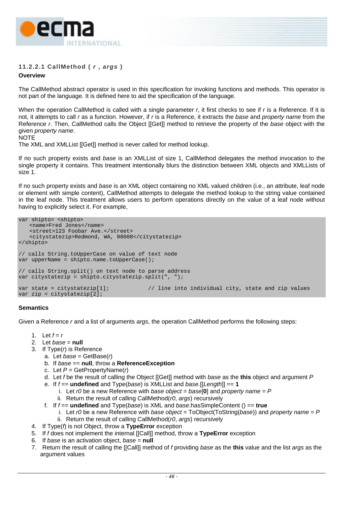

# <span id="page-57-0"></span>**11.2.2.1 CallMethod (** *r* **,** *args* **)**

### **Overview**

The CallMethod abstract operator is used in this specification for invoking functions and methods. This operator is not part of the language. It is defined here to aid the specification of the language.

When the operation CallMethod is called with a single parameter *r*, it first checks to see if *r* is a Reference. If it is not, it attempts to call *r* as a function. However, if *r* is a Reference, it extracts the *base* and *property name* from the Reference *r*. Then, CallMethod calls the Object [[Get]] method to retrieve the property of the *base* object with the given *property name*.

#### NOTE

The XML and XMLList [[Get]] method is never called for method lookup.

If no such property exists and *base* is an XMLList of size 1, CallMethod delegates the method invocation to the single property it contains. This treatment intentionally blurs the distinction between XML objects and XMLLists of size 1.

If no such property exists and *base* is an XML object containing no XML valued children (i.e., an attribute, leaf node or element with simple content), CallMethod attempts to delegate the method lookup to the string value contained in the leaf node. This treatment allows users to perform operations directly on the value of a leaf node without having to explicitly select it. For example,

```
var shipto= <shipto> 
    <name>Fred Jones</name> 
   <street>123 Foobar Ave.</street> 
   <citystatezip>Redmond, WA, 98008</citystatezip> 
</shipto> 
// calls String.toUpperCase on value of text node 
var upperName = shipto.name.toUpperCase();
// calls String.split() on text node to parse address 
var citystatezip = shipto.citystatezip.split(", "); 
var state = citystatezip[1]; \qquad // line into individual city, state and zip values
var zip = citystatezip[2];
```
### **Semantics**

Given a Reference *r* and a list of arguments *args*, the operation CallMethod performs the following steps:

- 1. Let  $f = r$
- 2. Let *base* = **null**
- 3. If Type(*r*) is Reference
	- a. Let *base* = GetBase(*r*)
	- b. If *base* == **null**, throw a **ReferenceException**
	- c. Let *P* = GetPropertyName(*r*)
	- d. Let *f* be the result of calling the Object [[Get]] method with *base* as the **this** object and argument *P*
	- e. If *f* == **undefined** and Type(*base*) is XMLList and *base*.[[*Length*]] == **1**
		- i. Let *r0* be a new Reference with *base object* = *base*[**0**] and *property name* = *P*
		- ii. Return the result of calling CallMethod(*r0*, *args*) recursively
	- f. If *f* == **undefined** and Type(*base*) is XML and *base*.hasSimpleContent () == **true**
		- i. Let *r0* be a new Reference with *base object* = ToObject(ToString(*base*)) and *property name* = *P*
		- ii. Return the result of calling CallMethod(*r0*, *args*) recursively
- 4. If Type(*f*) is not Object, throw a **TypeError** exception
- 5. If *f* does not implement the internal [[Call]] method, throw a **TypeError** exception
- 6. If *base* is an activation object, *base* = **null**
- 7. Return the result of calling the [[Call]] method of *f* providing *base* as the **this** value and the list *args* as the argument values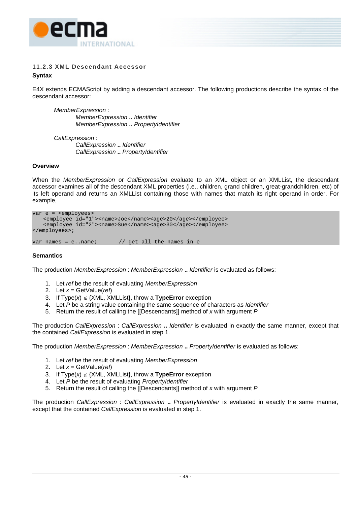

# **11.2.3 XML Descendant Accessor Syntax**

E4X extends ECMAScript by adding a descendant accessor. The following productions describe the syntax of the descendant accessor:

*MemberExpression* : *MemberExpression* **..** *Identifier MemberExpression* **..** *PropertyIdentifier* 

*CallExpression* : *CallExpression* **..** *Identifier CallExpression* **..** *PropertyIdentifier*

#### **Overview**

When the *MemberExpression* or *CallExpression* evaluate to an XML object or an XMLList, the descendant accessor examines all of the descendant XML properties (i.e., children, grand children, great-grandchildren, etc) of its left operand and returns an XMLList containing those with names that match its right operand in order. For example,

```
var e = <employees> 
    <employee id="1"><name>Joe</name><age>20</age></employee> 
    <employee id="2"><name>Sue</name><age>30</age></employee> 
</employees>; 
var names = e..name; \frac{1}{2} // get all the names in e
```
#### **Semantics**

The production *MemberExpression* : *MemberExpression* **..** *Identifier* is evaluated as follows:

- 1. Let *ref* be the result of evaluating *MemberExpression*
- 2. Let *x* = GetValue(*ref*)
- 3. If Type(*x*) ∉ {XML, XMLList}, throw a **TypeError** exception
- 4. Let *P* be a string value containing the same sequence of characters as *Identifier*
- 5. Return the result of calling the [[Descendants]] method of *x* with argument *P*

The production *CallExpression* : *CallExpression* **..** *Identifier* is evaluated in exactly the same manner, except that the contained *CallExpression* is evaluated in step 1.

The production *MemberExpression* : *MemberExpression* **..** *PropertyIdentifier* is evaluated as follows:

- 1. Let *ref* be the result of evaluating *MemberExpression*
- 2. Let *x* = GetValue(*ref*)
- 3. If Type(*x*) ∉ {XML, XMLList}, throw a **TypeError** exception
- 4. Let *P* be the result of evaluating *PropertyIdentifier*
- 5. Return the result of calling the [[Descendants]] method of *x* with argument *P*

The production *CallExpression* : *CallExpression* **..** *PropertyIdentifier* is evaluated in exactly the same manner, except that the contained *CallExpression* is evaluated in step 1.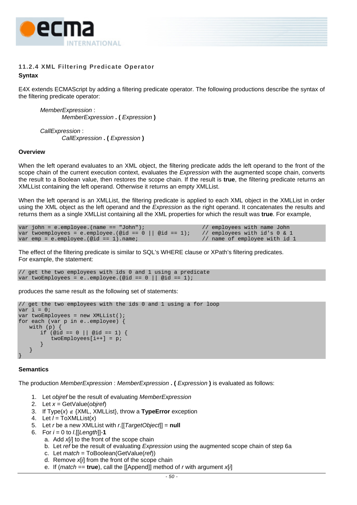

# **11.2.4 XML Filtering Predicate Operator Syntax**

E4X extends ECMAScript by adding a filtering predicate operator. The following productions describe the syntax of the filtering predicate operator:

*MemberExpression* : *MemberExpression* **. (** *Expression* **)**

*CallExpression* : *CallExpression* **. (** *Expression* **)**

#### **Overview**

When the left operand evaluates to an XML object, the filtering predicate adds the left operand to the front of the scope chain of the current execution context, evaluates the *Expression* with the augmented scope chain, converts the result to a Boolean value, then restores the scope chain. If the result is **true**, the filtering predicate returns an XMLList containing the left operand. Otherwise it returns an empty XMLList.

When the left operand is an XMLList, the filtering predicate is applied to each XML object in the XMLList in order using the XML object as the left operand and the *Expression* as the right operand. It concatenates the results and returns them as a single XMLList containing all the XML properties for which the result was **true**. For example,

```
var john = e.employee.(name == "John"); <br>var twoemployees = e.employee.(@id == 0 || @id == 1); // employees with id's 0 & 1
var twoemployees = e.employee.(@id == 0 || @id == 1); // employees with id's 0 & 1 var emp = e.employee.(@id == 1).name; // name of employee with id 1
var emp = e.employee.(@id == 1).name;
```
The effect of the filtering predicate is similar to SQL's WHERE clause or XPath's filtering predicates. For example, the statement:

// get the two employees with ids 0 and 1 using a predicate var twoEmployees = e..employee.(@id ==  $0$  || @id == 1);

produces the same result as the following set of statements:

```
// get the two employees with the ids 0 and 1 using a for loop 
var i = 0;
var twoEmployees = new XMLList(); 
for each (var p in e..employee) { 
     with (p) { 
         if (\text{oid} == 0 || \text{oid} == 1)twoEmployees[i++] = pi\left\{\begin{array}{c} \end{array}\right\}\left\{\begin{array}{c} \end{array}\right\}}
```
#### **Semantics**

The production *MemberExpression* : *MemberExpression* **. (** *Expression* **)** is evaluated as follows:

- 1. Let *objref* be the result of evaluating *MemberExpression*
- 2. Let *x* = GetValue(*objref*)
- 3. If Type(*x*) ∉ {XML, XMLList}, throw a **TypeError** exception
- 4. Let *l* = ToXMLList(*x*)
- 5. Let *r* be a new XMLList with *r*.[[*TargetObject*]] = **null**
- 6. For *i* = 0 to *l*.[[*Length*]]-**1**
	- a. Add *x*[*i*] to the front of the scope chain
	- b. Let *ref* be the result of evaluating *Expression* using the augmented scope chain of step 6a
	- c. Let *match* = ToBoolean(GetValue(*ref*))
	- d. Remove *x*[*i*] from the front of the scope chain
	- e. If (*match* == **true**), call the [[Append]] method of *r* with argument *x*[*i*]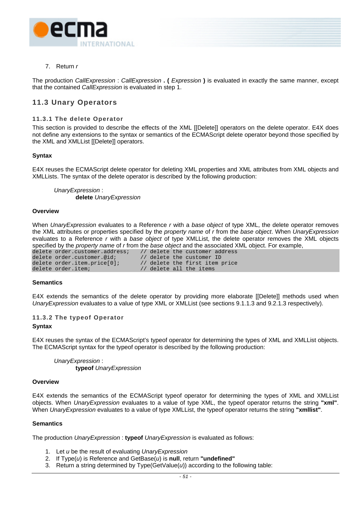

# 7. Return *r*

The production *CallExpression* : *CallExpression* **. (** *Expression* **)** is evaluated in exactly the same manner, except that the contained *CallExpression* is evaluated in step 1.

# **11.3 Unary Operators**

#### **11.3.1 The delete Operator**

This section is provided to describe the effects of the XML [[Delete]] operators on the delete operator. E4X does not define any extensions to the syntax or semantics of the ECMAScript delete operator beyond those specified by the XML and XMLList [[Delete]] operators.

#### **Syntax**

E4X reuses the ECMAScript delete operator for deleting XML properties and XML attributes from XML objects and XMLLists. The syntax of the delete operator is described by the following production:

*UnaryExpression* : **delete** *UnaryExpression*

#### **Overview**

When *UnaryExpression* evaluates to a Reference *r* with a *base object* of type XML, the delete operator removes the XML attributes or properties specified by the *property name* of *r* from the *base object*. When *UnaryExpression* evaluates to a Reference *r* with a *base object* of type XMLList, the delete operator removes the XML objects specified by the *property name* of *r* from the *base object* and the associated XML object. For example,

| delete order.customer.address; |  | // delete the customer address |
|--------------------------------|--|--------------------------------|
| delete order.customer.@id;     |  | // delete the customer ID      |
| delete order.item.price[0];    |  | // delete the first item price |
| delete order.item;             |  | // delete all the items        |

#### **Semantics**

E4X extends the semantics of the delete operator by providing more elaborate [[Delete]] methods used when *UnaryExpression* evaluates to a value of type XML or XMLList (see sections [9.1.1.3](#page-23-0) and [9.2.1.3](#page-32-0) respectively).

### **11.3.2 The typeof Operator**

#### **Syntax**

E4X reuses the syntax of the ECMAScript's typeof operator for determining the types of XML and XMLList objects. The ECMAScript syntax for the typeof operator is described by the following production:

*UnaryExpression* : **typeof** *UnaryExpression*

#### **Overview**

E4X extends the semantics of the ECMAScript typeof operator for determining the types of XML and XMLList objects. When *UnaryExpression* evaluates to a value of type XML, the typeof operator returns the string **"xml"**. When *UnaryExpression* evaluates to a value of type XMLList, the typeof operator returns the string **"xmllist"**.

#### **Semantics**

The production *UnaryExpression* : **typeof** *UnaryExpression* is evaluated as follows:

- 1. Let *u* be the result of evaluating *UnaryExpression*
- 2. If Type(*u*) is Reference and GetBase(*u*) is **null**, return **"undefined"**
- 3. Return a string determined by Type(GetValue(*u*)) according to the following table: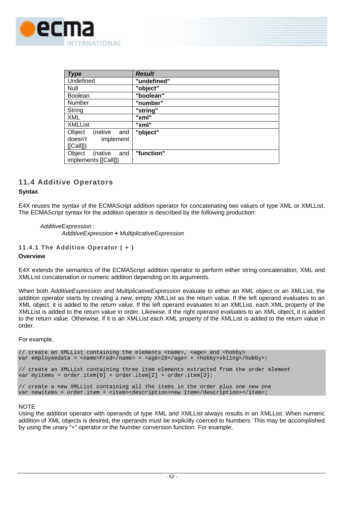

| <b>Type</b>              | <b>Result</b> |
|--------------------------|---------------|
| Undefined                | "undefined"   |
| Null                     | "object"      |
| <b>Boolean</b>           | "boolean"     |
| Number                   | "number"      |
| String                   | "string"      |
| <b>XML</b>               | "xml"         |
| <b>XMLList</b>           | "xml"         |
| Object<br>(native<br>and | "object"      |
| doesn't<br>implement     |               |
| [[Call]])                |               |
| Object<br>(native<br>and | "function"    |
| implements [[Call]])     |               |

# **11.4 Additive Operators**

### **Syntax**

E4X reuses the syntax of the ECMAScript addition operator for concatenating two values of type XML or XMLList. The ECMAScript syntax for the addition operator is described by the following production:

*AdditiveExpression* : *AdditiveExpression* **+** *MultiplicativeExpression*

#### **11.4.1 The Addition Operator ( + )**

#### **Overview**

E4X extends the semantics of the ECMAScript addition operator to perform either string concatenation, XML and XMLList concatenation or numeric addition depending on its arguments.

When both *AdditiveExpression* and *MultiplicativeExpression* evaluate to either an XML object or an XMLList, the addition operator starts by creating a new, empty XMLList as the return value. If the left operand evaluates to an XML object, it is added to the return value. If the left operand evaluates to an XMLList, each XML property of the XMLList is added to the return value in order. Likewise, if the right operand evaluates to an XML object, it is added to the return value. Otherwise, if it is an XMLList each XML property of the XMLList is added to the return value in order.

For example,

```
// create an XMLList containing the elements <name>, <age> and <hobby>
var employeedata = <name>Fred</name> + <age>28</age> + <hobby>skiing</hobby>;
// create an XMLList containing three item elements extracted from the order element 
var myitems = order.item[0] + order.item[2] + order.item[3]; 
// create a new XMLList containing all the items in the order plus one new one 
var newitems = order.item + <item><description>new item</description></item>;
```
### **NOTE**

Using the addition operator with operands of type XML and XMLList always results in an XMLList. When numeric addition of XML objects is desired, the operands must be explicitly coerced to Numbers. This may be accomplished by using the unary "+" operator or the Number conversion function. For example,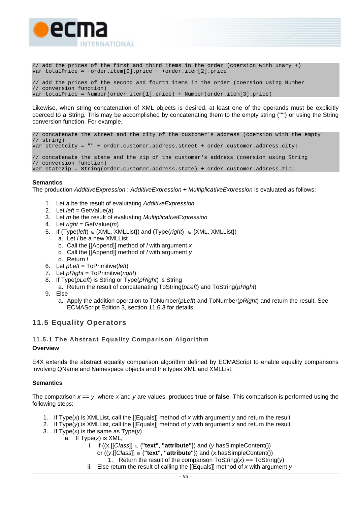

// add the prices of the first and third items in the order (coersion with unary +) var totalPrice = +order.item[0].price + +order.item[2].price

// add the prices of the second and fourth items in the order (coersion using Number // conversion function) var totalPrice = Number(order.item[1].price) + Number(order.item[3].price)

Likewise, when string concatenation of XML objects is desired, at least one of the operands must be explicitly coerced to a String. This may be accomplished by concatenating them to the empty string (**""**) or using the String conversion function. For example,

// concatenate the street and the city of the customer's address (coersion with the empty // string) var streetcity = "" + order.customer.address.street + order.customer.address.city; // concatenate the state and the zip of the customer's address (coersion using String // conversion function) var statezip = String(order.customer.address.state) + order.customer.address.zip;

### **Semantics**

The production *AdditiveExpression* : *AdditiveExpression* **+** *MultiplicativeExpression* is evaluated as follows:

- 1. Let *a* be the result of evalutating *AdditiveExpression*
- 2. Let *left* = GetValue(*a*)
- 3. Let *m* be the result of evaluating *MultiplicativeExpression*
- 4. Let *right* = GetValue(*m*)
- 5. If (Type(*left*) ∈ {XML, XMLList}) and (Type(*right*) ∈ {XML, XMLList})
	- a. Let *l* be a new XMLList
		- b. Call the [[Append]] method of *l* with argument *x*
		- c. Call the [[Append]] method of *l* with argument *y*
		- d. Return *l*
- 6. Let *pLeft* = ToPrimitive(*left*)
- 7. Let *pRight* = ToPrimitive(*right*)
- 8. If Type(*pLeft*) is String or Type(*pRight*) is String
	- a. Return the result of concatenating ToString(*pLeft*) and ToString(*pRight*)
- 9. Else
	- a. Apply the addition operation to ToNumber(*pLeft*) and ToNumber(*pRight*) and return the result. See ECMAScript Edition 3, section 11.6.3 for details.

# **11.5 Equality Operators**

### **11.5.1 The Abstract Equality Comparison Algorithm**

#### **Overview**

E4X extends the abstract equality comparison algorithm defined by ECMAScript to enable equality comparisons involving QName and Namespace objects and the types XML and XMLList.

#### **Semantics**

The comparison  $x = y$ , where x and y are values, produces **true** or **false**. This comparison is performed using the following steps:

- 1. If Type(*x*) is XMLList, call the [[Equals]] method of *x* with argument *y* and return the result
- 2. If Type(*y*) is XMLList, call the [[Equals]] method of *y* with argument *x* and return the result
- 3. If Type(*x*) is the same as Type(*y*)
	- a. If Type(*x*) is XML,
		- i. If ((x.[[*Class*]] ∈ {**"text"**, **"attribute"**}) and (*y*.hasSimpleContent())
			- or ((*y*.[[*Class*]] ∈ {**"text"**, **"attribute"**}) and (*x*.hasSimpleContent())
				- 1. Return the result of the comparison  $T$ oString(*x*) ==  $T$ oString(*y*)
		- ii. Else return the result of calling the [[Equals]] method of *x* with argument *y*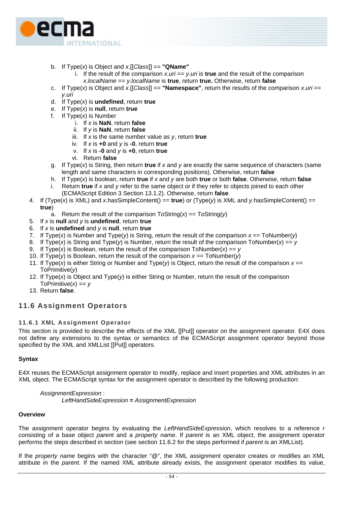

- b. If Type(*x*) is Object and *x*.[[*Class*]] == **"QName"**
	- i. If the result of the comparison  $x \cdot \textit{uri} == y \cdot \textit{unit}$  is **true** and the result of the comparison *x*.*localName* == *y*.*localName* is **true**, return **true.** Otherwise, return **false**
- c. If Type(x) is Object and  $x$ . [[Class]] == "**Namespace**", return the results of the comparison  $x.$ *uri* == *y*.*uri*
- d. If Type(*x*) is **undefined**, return **true**
- e. If Type(*x*) is **null**, return **true**
- f. If Type(*x*) is Number
	- i. If *x* is **NaN**, return **false**
	- ii. If *y* is **NaN**, return **false**
	- iii. If *x* is the same number value as *y*, return **true**
	- iv. If *x* is **+0** and *y* is **-0**, return **true**
	- v. If *x* is **-0** and *y* is **+0**, return **true**
	- vi. Return **false**
- g. If Type(*x*) is String, then return **true** if *x* and *y* are exactly the same sequence of characters (same length and same characters in corresponding positions). Otherwise, return **false**
- h. If Type(*x*) is boolean, return **true** if *x* and *y* are both **true** or both **false**. Otherwise, return **false**
- i. Return **true** if *x* and *y* refer to the same object or if they refer to objects joined to each other (ECMAScript Edition 3 Section 13.1.2). Otherwise, return **false**
- 4. If (Type(*x*) is XML) and *x*.hasSimpleContent() == **true**) or (Type(*y*) is XML and *y*.hasSimpleContent() == **true**)
	- a. Return the result of the comparison ToString(*x*) == ToString(*y*)
- 5. If *x* is **null** and *y* is **undefined**, return **true**
- 6. If *x* is **undefined** and *y* is **null**, return **true**
- 7. If Type(x) is Number and Type(y) is String, return the result of the comparison  $x ==$  ToNumber(y)
- 8. If Type(*x*) is String and Type(*y*) is Number, return the result of the comparison ToNumber(*x*) == *y*
- 9. If Type(*x*) is Boolean, return the result of the comparison ToNumber(*x*) == *y*
- 10. If Type(*y*) is Boolean, return the result of the comparison *x* == ToNumber(*y*)
- 11. If Type(*x*) is either String or Number and Type(*y*) is Object, return the result of the comparison *x* == ToPrimitive(*y*)
- 12. If Type(*x*) is Object and Type(*y*) is either String or Number, return the result of the comparison ToPrimitive $(x) == y$
- 13. Return **false**.

# **11.6 Assignment Operators**

# <span id="page-63-0"></span>**11.6.1 XML Assignment Operator**

This section is provided to describe the effects of the XML [[Put]] operator on the assignment operator. E4X does not define any extensions to the syntax or semantics of the ECMAScript assignment operator beyond those specified by the XML and XMLList [[Put]] operators.

# **Syntax**

E4X reuses the ECMAScript assignment operator to modify, replace and insert properties and XML attributes in an XML object. The ECMAScript syntax for the assignment operator is described by the following production:

*AssignmentExpression* : *LeftHandSideExpression* **=** *AssignmentExpression*

### **Overview**

The assignment operator begins by evaluating the *LeftHandSideExpression*, which resolves to a reference *r*  consisting of a base object *parent* and a *property name*. If *parent* is an XML object, the assignment operator performs the steps described in section (see section [11.6.2](#page-64-0) for the steps performed if *parent* is an XMLList).

If the *property name* begins with the character "@", the XML assignment operator creates or modifies an XML attribute in the *parent*. If the named XML attribute already exists, the assignment operator modifies its value,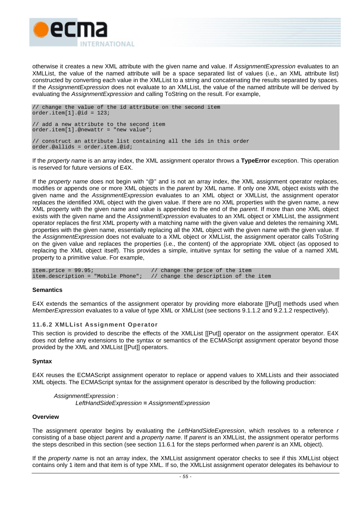

otherwise it creates a new XML attribute with the given name and value. If *AssignmentExpression* evaluates to an XMLList, the value of the named attribute will be a space separated list of values (i.e., an XML attribute list) constructed by converting each value in the XMLList to a string and concatenating the results separated by spaces. If the *AssignmentExpression* does not evaluate to an XMLList, the value of the named attribute will be derived by evaluating the *AssignmentExpression* and calling ToString on the result. For example,

// change the value of the id attribute on the second item order.item[1].@id = 123; // add a new attribute to the second item order.item[1].@newattr = "new value"; // construct an attribute list containing all the ids in this order order.@allids = order.item.@id;

If the *property name* is an array index, the XML assignment operator throws a **TypeError** exception. This operation is reserved for future versions of E4X.

If the *property name* does not begin with "@" and is not an array index, the XML assignment operator replaces, modifies or appends one or more XML objects in the *parent* by XML name. If only one XML object exists with the given name and the *AssignmentExpression* evaluates to an XML object or XMLList, the assignment operator replaces the identified XML object with the given value. If there are no XML properties with the given name, a new XML property with the given name and value is appended to the end of the *parent*. If more than one XML object exists with the given name and the *AssignmentExpression* evaluates to an XML object or XMLList, the assignment operator replaces the first XML property with a matching name with the given value and deletes the remaining XML properties with the given name, essentially replacing all the XML object with the given name with the given value. If the *AssignmentExpression* does not evaluate to a XML object or XMLList, the assignment operator calls ToString on the given value and replaces the properties (i.e., the content) of the appropriate XML object (as opposed to replacing the XML object itself). This provides a simple, intuitive syntax for setting the value of a named XML property to a primitive value. For example,

item.price = 99.95;<br>item.description = "Mobile Phone"; // change the description of the  $//$  change the description of the item

#### **Semantics**

E4X extends the semantics of the assignment operator by providing more elaborate [[Put]] methods used when *MemberExpression* evaluates to a value of type XML or XMLList (see sections [9.1.1.2](#page-22-0) and [9.2.1.2](#page-30-0) respectively).

#### <span id="page-64-0"></span>**11.6.2 XMLList Assignment Operator**

This section is provided to describe the effects of the XMLList [[Put]] operator on the assignment operator. E4X does not define any extensions to the syntax or semantics of the ECMAScript assignment operator beyond those provided by the XML and XMLList [[Put]] operators.

#### **Syntax**

E4X reuses the ECMAScript assignment operator to replace or append values to XMLLists and their associated XML objects. The ECMAScript syntax for the assignment operator is described by the following production:

*AssignmentExpression* : *LeftHandSideExpression* **=** *AssignmentExpression*

#### **Overview**

The assignment operator begins by evaluating the *LeftHandSideExpression*, which resolves to a reference *r*  consisting of a base object *parent* and a *property name*. If *parent* is an XMLList, the assignment operator performs the steps described in this section (see section [11.6.1](#page-63-0) for the steps performed when *parent* is an XML object).

If the *property name* is not an array index, the XMLList assignment operator checks to see if this XMLList object contains only 1 item and that item is of type XML. If so, the XMLList assignment operator delegates its behaviour to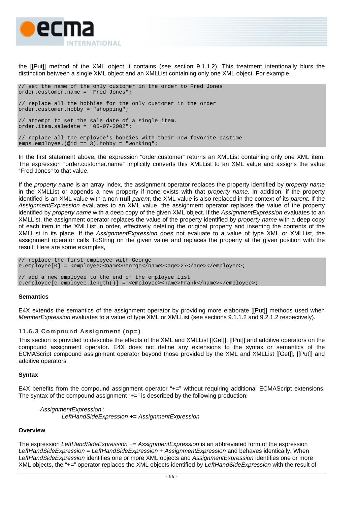

the [[Put]] method of the XML object it contains (see section [9.1.1.2\)](#page-22-0). This treatment intentionally blurs the distinction between a single XML object and an XMLList containing only one XML object. For example,

```
// set the name of the only customer in the order to Fred Jones 
order.customer.name = "Fred Jones";
```
// replace all the hobbies for the only customer in the order order.customer.hobby = "shopping";

// attempt to set the sale date of a single item. order.item.saledate =  $"05-07-2002"$ ;

// replace all the employee's hobbies with their new favorite pastime emps.employee.(@id ==  $3)$ .hobby = "working";

In the first statement above, the expression "order.customer" returns an XMLList containing only one XML item. The expression "order.customer.name" implicitly converts this XMLList to an XML value and assigns the value "Fred Jones" to that value.

If the *property name* is an array index, the assignment operator replaces the property identified by *property name*  in the XMLList or appends a new property if none exists with that *property name*. In addition, if the property identified is an XML value with a non-**null** *parent*, the XML value is also replaced in the context of its *parent*. If the *AssignmentExpression* evaluates to an XML value, the assignment operator replaces the value of the property identified by *property name* with a deep copy of the given XML object. If the *AssignmentExpression* evaluates to an XMLList, the assignment operator replaces the value of the property identified by *property name* with a deep copy of each item in the XMLList in order, effectively deleting the original property and inserting the contents of the XMLList in its place. If the *AssignmentExpression* does not evaluate to a value of type XML or XMLList, the assignment operator calls ToString on the given value and replaces the property at the given position with the result. Here are some examples,

// replace the first employee with George e.employee[0] = <employee><name>George</name><age>27</age></employee>; // add a new employee to the end of the employee list e.employee[e.employee.length()] = <employee><name>Frank</name></employee>;

#### **Semantics**

E4X extends the semantics of the assignment operator by providing more elaborate [[Put]] methods used when *MemberExpression* evaluates to a value of type XML or XMLList (see sections [9.1.1.2](#page-22-0) and [9.2.1.2](#page-30-0) respectively).

#### **11.6.3 Compound Assignment (op=)**

This section is provided to describe the effects of the XML and XMLList [[Get]], [[Put]] and additive operators on the compound assignment operator. E4X does not define any extensions to the syntax or semantics of the ECMAScript compound assignment operator beyond those provided by the XML and XMLList [[Get]], [[Put]] and additive operators.

#### **Syntax**

E4X benefits from the compound assignment operator "+=" without requiring additional ECMAScript extensions. The syntax of the compound assignment "+=" is described by the following production:

*AssignmentExpression* : *LeftHandSideExpression* **+=** *AssignmentExpression* 

#### **Overview**

The expression *LeftHandSideExpression* += *AssignmentExpression* is an abbreviated form of the expression *LeftHandSideExpression* = *LeftHandSideExpression* + *AssignmentExpression* and behaves identically. When *LeftHandSideExpression* identifies one or more XML objects and *AssignmentExpression* identifies one or more XML objects, the "+=" operator replaces the XML objects identified by *LeftHandSideExpression* with the result of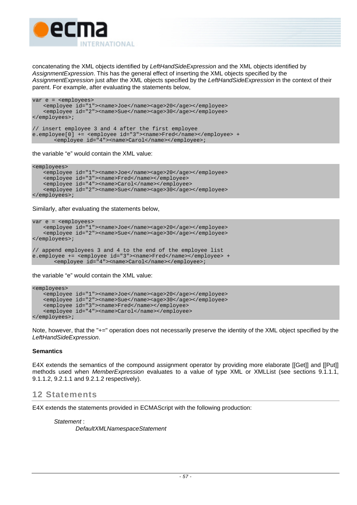

concatenating the XML objects identified by *LeftHandSideExpression* and the XML objects identified by *AssignmentExpression*. This has the general effect of inserting the XML objects specified by the *AssignmentExpression* just after the XML objects specified by the *LeftHandSideExpression* in the context of their parent. For example, after evaluating the statements below,

```
var e = <employees> 
    <employee id="1"><name>Joe</name><age>20</age></employee> 
   <employee id="2"><name>Sue</name><age>30</age></employee>
</employees>; 
// insert employee 3 and 4 after the first employee 
e.employee[0] += <employee id="3"><name>Fred</name></employee> + 
       <employee id="4"><name>Carol</name></employee>;
```
the variable "e" would contain the XML value:

```
<employees> 
    <employee id="1"><name>Joe</name><age>20</age></employee> 
    <employee id="3"><name>Fred</name></employee> 
    <employee id="4"><name>Carol</name></employee> 
    <employee id="2"><name>Sue</name><age>30</age></employee> 
</employees>;
```
Similarly, after evaluating the statements below,

```
var e = <employees> 
    <employee id="1"><name>Joe</name><age>20</age></employee> 
    <employee id="2"><name>Sue</name><age>30</age></employee> 
</employees>; 
// append employees 3 and 4 to the end of the employee list 
e.employee += <employee id="3"><name>Fred</name></employee> + 
       <employee id="4"><name>Carol</name></employee>;
```
the variable "e" would contain the XML value:

```
<employees> 
    <employee id="1"><name>Joe</name><age>20</age></employee> 
    <employee id="2"><name>Sue</name><age>30</age></employee> 
    <employee id="3"><name>Fred</name></employee> 
    <employee id="4"><name>Carol</name></employee> 
</employees>;
```
Note, however, that the "+=" operation does not necessarily preserve the identity of the XML object specified by the *LeftHandSideExpression*.

### **Semantics**

E4X extends the semantics of the compound assignment operator by providing more elaborate [[Get]] and [[Put]] methods used when *MemberExpression* evaluates to a value of type XML or XMLList (see sections [9.1.1.1,](#page-21-0) [9.1.1.2,](#page-22-0) [9.2.1.1](#page-30-1) and [9.2.1.2](#page-30-0) respectively).

# **12 Statements**

E4X extends the statements provided in ECMAScript with the following production:

*Statement* :

 *DefaultXMLNamespaceStatement*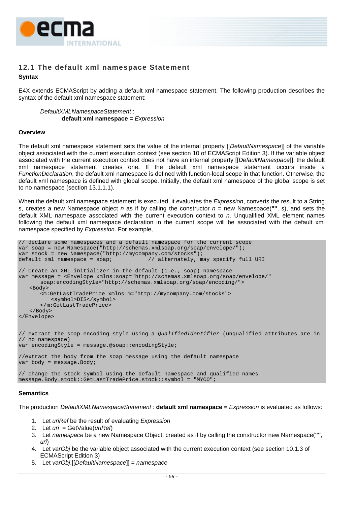

# **12.1 The default xml namespace Statement**

# **Syntax**

E4X extends ECMAScript by adding a default xml namespace statement. The following production describes the syntax of the default xml namespace statement:

*DefaultXMLNamespaceStatement* : **default xml namespace =** *Expression*

#### **Overview**

The default xml namespace statement sets the value of the internal property [[*DefaultNamespace*]] of the variable object associated with the current execution context (see section 10 of ECMAScript Edition 3). If the variable object associated with the current execution context does not have an internal property [[*DefaultNamespace*]], the default xml namespace statement creates one. If the default xml namespace statement occurs inside a *FunctionDeclaration*, the default xml namespace is defined with function-local scope in that function. Otherwise, the default xml namespace is defined with global scope. Initially, the default xml namespace of the global scope is set to no namespace (section [13.1.1.1\)](#page-71-0).

When the default xml namespace statement is executed, it evaluates the *Expression*, converts the result to a String *s*, creates a new Namespace object *n* as if by calling the constructor *n* = new Namespace(**""**, *s*), and sets the default XML namespace associated with the current execution context to *n*. Unqualified XML element names following the default xml namespace declaration in the current scope will be associated with the default xml namespace specified by *Expression*. For example,

```
// declare some namespaces and a default namespace for the current scope 
var soap = new Namespace("http://schemas.xmlsoap.org/soap/envelope/"); 
var stock = new Namespace("http://mycompany.com/stocks");<br>default xml namespace = soap; // alternately, m
                                           // alternately, may specify full URI
// Create an XML initializer in the default (i.e., soap) namespace 
var message = <Envelope xmlns:soap="http://schemas.xmlsoap.org/soap/envelope/" 
       soap:encodingStyle="http://schemas.xmlsoap.org/soap/encoding/"> 
    <Body> 
        <m:GetLastTradePrice xmlns:m="http://mycompany.com/stocks"> 
            <symbol>DIS</symbol> 
        </m:GetLastTradePrice> 
    </Body> 
</Envelope> 
// extract the soap encoding style using a QualifiedIdentifier (unqualified attributes are in 
// no namespace) 
var encodingStyle = message.@soap::encodingStyle; 
//extract the body from the soap message using the default namespace 
var body = message.Body; 
// change the stock symbol using the default namespace and qualified names 
message.Body.stock::GetLastTradePrice.stock::symbol = "MYCO";
```
### **Semantics**

The production *DefaultXMLNamespaceStatement* : **default xml namespace =** *Expression* is evaluated as follows:

- 1. Let *uriRef* be the result of evaluating *Expression*
- 2. Let *uri* = GetValue(*uriRef*)
- 3. Let *namespace* be a new Namespace Object, created as if by calling the constructor new Namespace(**""**, *uri*)
- 4. Let *varObj* be the variable object associated with the current execution context (see section 10.1.3 of ECMAScript Edition 3)
- 5. Let *varObj*.[[*DefaultNamespace*]] = *namespace*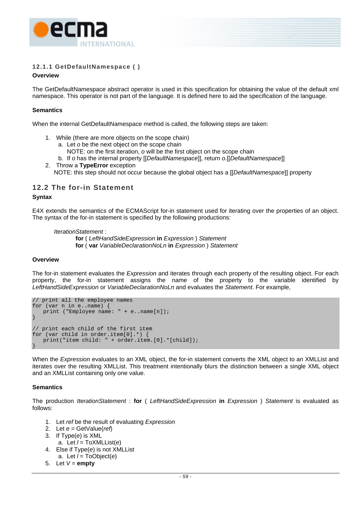

# **12.1.1 GetDefaultNamespace ( )**

### **Overview**

The GetDefaultNamespace abstract operator is used in this specification for obtaining the value of the default xml namespace. This operator is not part of the language. It is defined here to aid the specification of the language.

# **Semantics**

When the internal GetDefaultNamespace method is called, the following steps are taken:

- 1. While (there are more objects on the scope chain)
	- a. Let *o* be the next object on the scope chain
		- NOTE: on the first iteration, *o* will be the first object on the scope chain
	- b. If *o* has the internal property [[*DefaultNamespace*]], return *o*.[[*DefaultNamespace*]]
- 2. Throw a **TypeError** exception NOTE: this step should not occur because the global object has a [[*DefaultNamespace*]] property

# **12.2 The for-in Statement**

#### **Syntax**

E4X extends the semantics of the ECMAScript for-in statement used for iterating over the properties of an object. The syntax of the for-in statement is specified by the following productions:

 *IterationStatement* :

**for** ( *LeftHandSideExpression* **in** *Expression* ) *Statement*  **for** ( **var** *VariableDeclarationNoLn* **in** *Expression* ) *Statement*

#### **Overview**

The for-in statement evaluates the *Expression* and iterates through each property of the resulting object. For each property, the for-in statement assigns the name of the property to the variable identified by *LeftHandSideExpression* or *VariableDeclarationNoLn* and evaluates the *Statement*. For example,

```
// print all the employee names 
for (var n in e..name) { 
   print ("Employee name: " + e..name[n]); 
} 
// print each child of the first item 
for (var child in order.item[0].*) { 
   print("item child: " + order.item.[0].*[child]); 
}
```
When the *Expression* evaluates to an XML object, the for-in statement converts the XML object to an XMLList and iterates over the resulting XMLList. This treatment intentionally blurs the distinction between a single XML object and an XMLList containing only one value.

### **Semantics**

The production *IterationStatement* : **for** ( *LeftHandSideExpression* **in** *Expression* ) *Statement* is evaluated as follows:

- 1. Let *ref* be the result of evaluating *Expression*
- 2. Let *e* = GetValue(*ref*)
- 3. If Type(*e*) is XML a. Let *l* = ToXMLList(*e*)
- 4. Else if Type(*e*) is not XMLList a. Let *l* = ToObject(*e*)
- 5. Let  $V =$ **empty**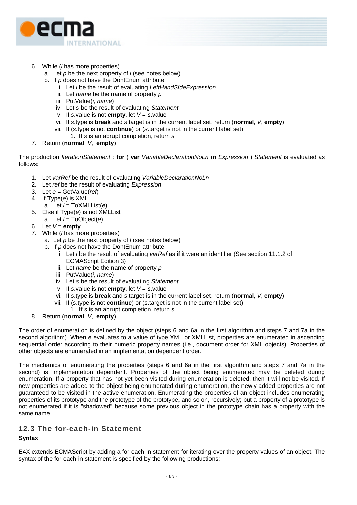

- 6. While (*l* has more properties)
	- a. Let *p* be the next property of *l* (see notes below)
	- b. If *p* does not have the DontEnum attribute
		- i. Let *i* be the result of evaluating *LeftHandSideExpression*
		- ii. Let *name* be the name of property *p*
		- iii. PutValue(*i*, *name*)
		- iv. Let *s* be the result of evaluating *Statement*
		- v. If *s*.value is not **empty**, let *V* = *s*.value
		- vi. If *s*.type is **break** and *s*.target is in the current label set, return (**normal**, *V*, **empty**)
		- vii. If (*s*.type is not **continue**) or (*s*.target is not in the current label set)
		- 1. If *s* is an abrupt completion, return *s*
- 7. Return (**normal**, *V*, **empty**)

The production *IterationStatement* : **for** ( **var** *VariableDeclarationNoLn* **in** *Expression* ) *Statement* is evaluated as follows:

- 1. Let *varRef* be the result of evaluating *VariableDeclarationNoLn*
- 2. Let *ref* be the result of evaluating *Expression*
- 3. Let *e* = GetValue(*ref*)
- 4. If Type(*e*) is XML
	- a. Let *l* = ToXMLList(*e*)
- 5. Else if Type(*e*) is not XMLList a. Let *l* = ToObject(*e*)
- 6. Let  $V =$ **empty**
- 7. While (*l* has more properties)
	- a. Let *p* be the next property of *l* (see notes below)
	- b. If *p* does not have the DontEnum attribute
		- i. Let *i* be the result of evaluating *varRef* as if it were an identifier (See section 11.1.2 of ECMAScript Edition 3)
		- ii. Let *name* be the name of property *p*
		- iii. PutValue(*i*, *name*)
		- iv. Let *s* be the result of evaluating *Statement*
		- v. If *s*.value is not **empty**, let *V* = *s*.value
		- vi. If *s*.type is **break** and *s*.target is in the current label set, return (**normal**, *V*, **empty**)
		- vii. If (*s*.type is not **continue**) or (*s*.target is not in the current label set)
			- 1. If *s* is an abrupt completion, return *s*
- 8. Return (**normal**, *V*, **empty**)

The order of enumeration is defined by the object (steps 6 and 6a in the first algorithm and steps 7 and 7a in the second algorithm). When *e* evaluates to a value of type XML or XMLList, properties are enumerated in ascending sequential order according to their numeric property names (i.e., document order for XML objects). Properties of other objects are enumerated in an implementation dependent order.

The mechanics of enumerating the properties (steps 6 and 6a in the first algorithm and steps 7 and 7a in the second) is implementation dependent. Properties of the object being enumerated may be deleted during enumeration. If a property that has not yet been visited during enumeration is deleted, then it will not be visited. If new properties are added to the object being enumerated during enumeration, the newly added properties are not guaranteed to be visited in the active enumeration. Enumerating the properties of an object includes enumerating properties of its prototype and the prototype of the prototype, and so on, recursively; but a property of a prototype is not enumerated if it is "shadowed" because some previous object in the prototype chain has a property with the same name.

# **12.3 The for-each-in Statement**

### **Syntax**

E4X extends ECMAScript by adding a for-each-in statement for iterating over the property values of an object. The syntax of the for-each-in statement is specified by the following productions: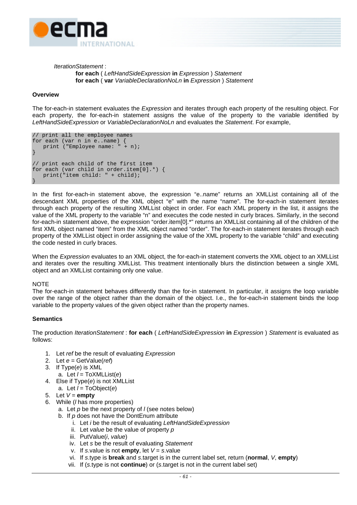

#### *IterationStatement* : **for each** ( *LeftHandSideExpression* **in** *Expression* ) *Statement*  **for each** ( **var** *VariableDeclarationNoLn* **in** *Expression* ) *Statement*

#### **Overview**

The for-each-in statement evaluates the *Expression* and iterates through each property of the resulting object. For each property, the for-each-in statement assigns the value of the property to the variable identified by *LeftHandSideExpression* or *VariableDeclarationNoLn* and evaluates the *Statement*. For example,

```
// print all the employee names 
for each (var n in e..name) { 
   print ("Employee name: " + n); 
} 
// print each child of the first item 
for each (var child in order.item[0].*) { 
   print("item child: " + child); 
}
```
In the first for-each-in statement above, the expression "e..name" returns an XMLList containing all of the descendant XML properties of the XML object "e" with the name "name". The for-each-in statement iterates through each property of the resulting XMLList object in order. For each XML property in the list, it assigns the value of the XML property to the variable "n" and executes the code nested in curly braces. Similarly, in the second for-each-in statement above, the expression "order.item[0].\*" returns an XMLList containing all of the children of the first XML object named "item" from the XML object named "order". The for-each-in statement iterates through each property of the XMLList object in order assigning the value of the XML property to the variable "child" and executing the code nested in curly braces.

When the *Expression* evaluates to an XML object, the for-each-in statement converts the XML object to an XMLList and iterates over the resulting XMLList. This treatment intentionally blurs the distinction between a single XML object and an XMLList containing only one value.

#### NOTE

The for-each-in statement behaves differently than the for-in statement. In particular, it assigns the loop variable over the range of the object rather than the domain of the object. I.e., the for-each-in statement binds the loop variable to the property values of the given object rather than the property names.

#### **Semantics**

The production *IterationStatement* : **for each** ( *LeftHandSideExpression* **in** *Expression* ) *Statement* is evaluated as follows:

- 1. Let *ref* be the result of evaluating *Expression*
- 2. Let *e* = GetValue(*ref*)
- 3. If Type(*e*) is XML
	- a. Let *l* = ToXMLList(*e*)
- 4. Else if Type(*e*) is not XMLList
	- a. Let *l* = ToObject(*e*)
- 5. Let  $V =$ **empty**
- 6. While (*l* has more properties)
	- a. Let *p* be the next property of *l* (see notes below)
	- b. If *p* does not have the DontEnum attribute
		- i. Let *i* be the result of evaluating *LeftHandSideExpression*
		- ii. Let *value* be the value of property *p*
		- iii. PutValue(*i*, *value*)
		- iv. Let *s* be the result of evaluating *Statement*
		- v. If *s*.value is not **empty**, let *V* = *s*.value
		- vi. If *s*.type is **break** and *s*.target is in the current label set, return (**normal**, *V*, **empty**)
		- vii. If (*s*.type is not **continue**) or (*s*.target is not in the current label set)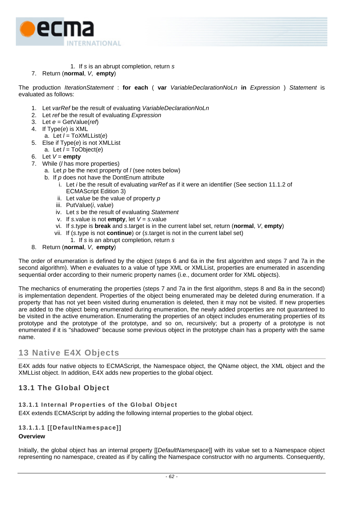

- 1. If *s* is an abrupt completion, return *s*
- 7. Return (**normal**, *V*, **empty**)

The production *IterationStatement* : **for each** ( **var** *VariableDeclarationNoLn* **in** *Expression* ) *Statement* is evaluated as follows:

- 1. Let *varRef* be the result of evaluating *VariableDeclarationNoLn*
- 2. Let *ref* be the result of evaluating *Expression*
- 3. Let *e* = GetValue(*ref*)
- 4. If Type(*e*) is XML
- a. Let *l* = ToXMLList(*e*)
- 5. Else if Type(*e*) is not XMLList
	- a. Let *l* = ToObject(*e*)
- 6. Let  $V =$ **empty**
- 7. While (*l* has more properties)
	- a. Let *p* be the next property of *l* (see notes below)
	- b. If *p* does not have the DontEnum attribute
		- i. Let *i* be the result of evaluating *varRef* as if it were an identifier (See section 11.1.2 of ECMAScript Edition 3)
		- ii. Let *value* be the value of property *p*
		- iii. PutValue(*i*, *value*)
		- iv. Let *s* be the result of evaluating *Statement*
		- v. If *s*.value is not **empty**, let *V* = *s*.value
		- vi. If *s*.type is **break** and *s*.target is in the current label set, return (**normal**, *V*, **empty**)
		- vii. If (*s*.type is not **continue**) or (*s*.target is not in the current label set)
		- 1. If *s* is an abrupt completion, return *s*
- 8. Return (**normal**, *V*, **empty**)

The order of enumeration is defined by the object (steps 6 and 6a in the first algorithm and steps 7 and 7a in the second algorithm). When *e* evaluates to a value of type XML or XMLList, properties are enumerated in ascending sequential order according to their numeric property names (i.e., document order for XML objects).

The mechanics of enumerating the properties (steps 7 and 7a in the first algorithm, steps 8 and 8a in the second) is implementation dependent. Properties of the object being enumerated may be deleted during enumeration. If a property that has not yet been visited during enumeration is deleted, then it may not be visited. If new properties are added to the object being enumerated during enumeration, the newly added properties are not guaranteed to be visited in the active enumeration. Enumerating the properties of an object includes enumerating properties of its prototype and the prototype of the prototype, and so on, recursively; but a property of a prototype is not enumerated if it is "shadowed" because some previous object in the prototype chain has a property with the same name.

# **13 Native E4X Objects**

E4X adds four native objects to ECMAScript, the Namespace object, the QName object, the XML object and the XMLList object. In addition, E4X adds new properties to the global object.

# **13.1 The Global Object**

# **13.1.1 Internal Properties of the Global Object**

E4X extends ECMAScript by adding the following internal properties to the global object.

# <span id="page-71-0"></span>**13.1.1.1 [[DefaultNamespace]]**

# **Overview**

Initially, the global object has an internal property [[*DefaultNamespace*]] with its value set to a Namespace object representing no namespace, created as if by calling the Namespace constructor with no arguments. Consequently,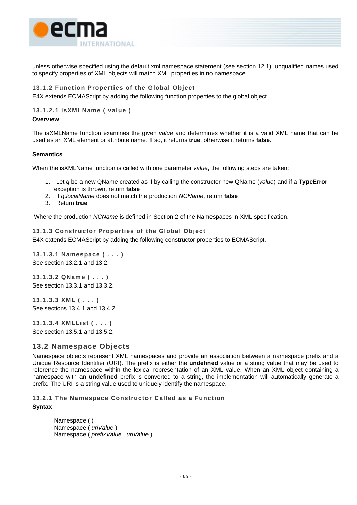

unless otherwise specified using the default xml namespace statement (see section [12.1\)](#page-67-0), unqualified names used to specify properties of XML objects will match XML properties in no namespace.

## **13.1.2 Function Properties of the Global Object**

E4X extends ECMAScript by adding the following function properties to the global object.

## **13.1.2.1 isXMLName ( value )**

#### **Overview**

The isXMLName function examines the given *value* and determines whether it is a valid XML name that can be used as an XML element or attribute name. If so, it returns **true**, otherwise it returns **false**.

#### **Semantics**

When the isXMLName function is called with one parameter *value*, the following steps are taken:

- 1. Let *q* be a new QName created as if by calling the constructor new QName (*value*) and if a **TypeError** exception is thrown, return **false**
- 2. If *q*.*localName* does not match the production *NCName*, return **false**
- 3. Return **true**

Where the production *NCName* is defined in Section 2 of the Namespaces in XML specification.

## **13.1.3 Constructor Properties of the Global Object**

E4X extends ECMAScript by adding the following constructor properties to ECMAScript.

**13.1.3.1 Namespace ( . . . )**  See section [13.2.1](#page-72-0) and [13.2.](#page-73-0)

**13.1.3.2 QName ( . . . )**  See section [13.3.1](#page-75-0) and [13.3.2.](#page-76-0)

**13.1.3.3 XML ( . . . )**  See sections [13.4.1](#page-78-0) and [13.4.2.](#page-79-0)

**13.1.3.4 XMLList ( . . . )**  See section [13.5.1](#page-95-0) and [13.5.2.](#page-96-0)

## **13.2 Namespace Objects**

Namespace objects represent XML namespaces and provide an association between a namespace prefix and a Unique Resource Identifier (URI). The prefix is either the **undefined** value or a string value that may be used to reference the namespace within the lexical representation of an XML value. When an XML object containing a namespace with an **undefined** prefix is converted to a string, the implementation will automatically generate a prefix. The URI is a string value used to uniquely identify the namespace.

<span id="page-72-0"></span>**13.2.1 The Namespace Constructor Called as a Function Syntax** 

> Namespace ( ) Namespace ( *uriValue* ) Namespace ( *prefixValue* , *uriValue* )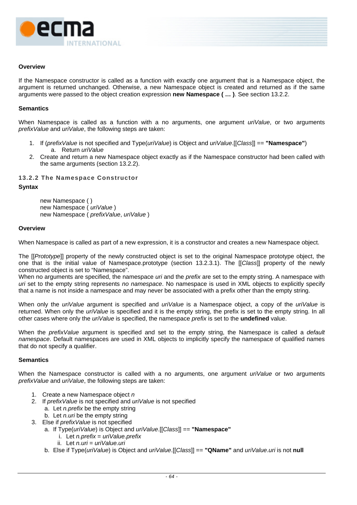

#### **Overview**

If the Namespace constructor is called as a function with exactly one argument that is a Namespace object, the argument is returned unchanged. Otherwise, a new Namespace object is created and returned as if the same arguments were passed to the object creation expression **new Namespace ( … )**. See section [13.2.2.](#page-73-1)

#### **Semantics**

When Namespace is called as a function with a no arguments, one argument *uriValue*, or two arguments *prefixValue* and *uriValue*, the following steps are taken:

- 1. If (*prefixValue* is not specified and Type(*uriValue*) is Object and *uriValue*.[[*Class*]] == **"Namespace"**) a. Return *uriValue*
- 2. Create and return a new Namespace object exactly as if the Namespace constructor had been called with the same arguments (section [13.2.2\)](#page-73-1).

#### <span id="page-73-1"></span>**13.2.2 The Namespace Constructor**

#### **Syntax**

new Namespace ( ) new Namespace ( *uriValue* ) new Namespace ( *prefixValue*, *uriValue* )

#### **Overview**

When Namespace is called as part of a new expression, it is a constructor and creates a new Namespace object.

The [[*Prototype*]] property of the newly constructed object is set to the original Namespace prototype object, the one that is the initial value of Namespace.prototype (section [13.2.3.1\)](#page-74-0). The [[*Class*]] property of the newly constructed object is set to "Namespace".

When no arguments are specified, the namespace *uri* and the *prefix* are set to the empty string. A namespace with *uri* set to the empty string represents *no namespace*. No namespace is used in XML objects to explicitly specify that a name is not inside a namespace and may never be associated with a prefix other than the empty string.

When only the *uriValue* argument is specified and *uriValue* is a Namespace object, a copy of the *uriValue* is returned. When only the *uriValue* is specified and it is the empty string, the prefix is set to the empty string. In all other cases where only the *uriValue* is specified, the namespace *prefix* is set to the **undefined** value.

<span id="page-73-0"></span>When the *prefixValue* argument is specified and set to the empty string, the Namespace is called a *default namespace*. Default namespaces are used in XML objects to implicitly specify the namespace of qualified names that do not specify a qualifier.

#### **Semantics**

When the Namespace constructor is called with a no arguments, one argument *uriValue* or two arguments *prefixValue* and *uriValue*, the following steps are taken:

- 1. Create a new Namespace object *n*
- 2. If *prefixValue* is not specified and *uriValue* is not specified
	- a. Let *n.prefix* be the empty string
	- b. Let *n.uri* be the empty string
- 3. Else if *prefixValue* is not specified
	- a. If Type(*uriValue*) is Object and *uriValue*.[[*Class*]] == **"Namespace"**
		- i. Let *n.prefix* = *uriValue.prefix*
		- ii. Let *n.uri* = *uriValue.uri*
		- b. Else if Type(*uriValue*) is Object and *uriValue*.[[*Class*]] == **"QName"** and *uriValue*.*uri* is not **null**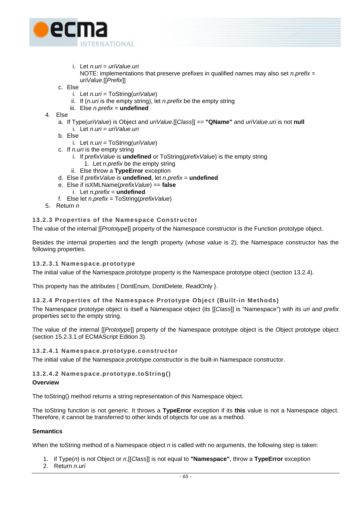- e **INTERNATIONAL** 
	- i. Let *n.uri* = *uriValue*.*uri*

NOTE: implementations that preserve prefixes in qualified names may also set *n*.*prefix* = *uriValue*.[[*Prefix*]]

- c. Else
	- i. Let *n.uri* = ToString(*uriValue*)
	- ii. If (*n.uri* is the empty string), let *n.prefix* be the empty string
	- iii. Else *n.prefix* = **undefined**
- 4. Else
	- a. If Type(*uriValue*) is Object and *uriValue*.[[*Class*]] == **"QName"** and *uriValue*.*uri* is not **null** i. Let *n*.*uri* = *uriValue*.*uri*
	- b. Else
		- i. Let *n.uri* = ToString(*uriValue*)
	- c. If *n.uri* is the empty string
		- i. If *prefixValue* is **undefined** or ToString(*prefixValue*) is the empty string
			- 1. Let *n.prefix* be the empty string
		- ii. Else throw a **TypeError** exception
	- d. Else if *prefixValue* is **undefined**, let *n.prefix* = **undefined**
	- e. Else if isXMLName(*prefixValue*) == **false**
		- i. Let *n*.*prefix* = **undefined**
	- f. Else let *n.prefix* = ToString(*prefixValue*)
- 5. Return *n*

# **13.2.3 Properties of the Namespace Constructor**

The value of the internal [[*Prototype*]] property of the Namespace constructor is the Function prototype object.

Besides the internal properties and the length property (whose value is 2), the Namespace constructor has the following properties.

# <span id="page-74-0"></span>**13.2.3.1 Namespace.prototype**

The initial value of the Namespace.prototype property is the Namespace prototype object (section [13.2.4\)](#page-74-1).

This property has the attributes { DontEnum, DontDelete, ReadOnly }.

# <span id="page-74-1"></span>**13.2.4 Properties of the Namespace Prototype Object (Built-in Methods)**

The Namespace prototype object is itself a Namespace object (its [[*Class*]] is "Namespace") with its *uri* and *prefix* properties set to the empty string.

The value of the internal [[*Prototype*]] property of the Namespace prototype object is the Object prototype object (section 15.2.3.1 of ECMAScript Edition 3).

# **13.2.4.1 Namespace.prototype.constructor**

The initial value of the Namespace.prototype.constructor is the built-in Namespace constructor.

# **13.2.4.2 Namespace.prototype.toString()**

# **Overview**

The toString() method returns a string representation of this Namespace object.

The toString function is not generic. It throws a **TypeError** exception if its **this** value is not a Namespace object. Therefore, it cannot be transferred to other kinds of objects for use as a method.

# **Semantics**

When the toString method of a Namespace object *n* is called with no arguments, the following step is taken:

- 1. if Type(*n*) is not Object or *n*.[[*Class*]] is not equal to **"Namespace"**, throw a **TypeError** exception
- 2. Return *n*.*uri*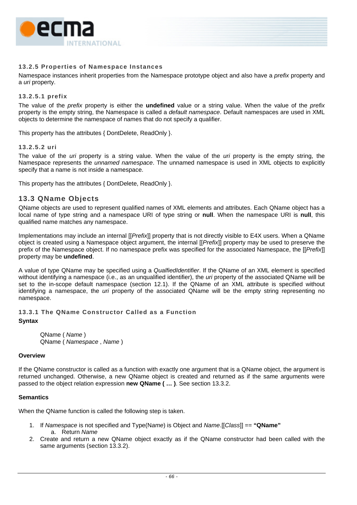

## **13.2.5 Properties of Namespace Instances**

Namespace instances inherit properties from the Namespace prototype object and also have a *prefix* property and a *uri* property.

#### **13.2.5.1 prefix**

The value of the *prefix* property is either the **undefined** value or a string value. When the value of the *prefix* property is the empty string, the Namespace is called a *default namespace*. Default namespaces are used in XML objects to determine the namespace of names that do not specify a qualifier.

This property has the attributes { DontDelete, ReadOnly }.

#### **13.2.5.2 uri**

The value of the *uri* property is a string value. When the value of the *uri* property is the empty string, the Namespace represents the *unnamed namespace*. The unnamed namespace is used in XML objects to explicitly specify that a name is not inside a namespace.

This property has the attributes { DontDelete, ReadOnly }.

## **13.3 QName Objects**

QName objects are used to represent qualified names of XML elements and attributes. Each QName object has a local name of type string and a namespace URI of type string or **null**. When the namespace URI is **null**, this qualified name matches any namespace.

Implementations may include an internal [[*Prefix*]] property that is not directly visible to E4X users. When a QName object is created using a Namespace object argument, the internal [[*Prefix*]] property may be used to preserve the prefix of the Namespace object. If no namespace prefix was specified for the associated Namespace, the [[*Prefix*]] property may be **undefined**.

A value of type QName may be specified using a *QualfiedIdentifier*. If the QName of an XML element is specified without identifying a namespace (i.e., as an unqualified identifier), the *uri* property of the associated QName will be set to the in-scope default namespace (section [12.1\)](#page-67-0). If the QName of an XML attribute is specified without identifying a namespace, the *uri* property of the associated QName will be the empty string representing no namespace.

<span id="page-75-0"></span>**13.3.1 The QName Constructor Called as a Function** 

#### **Syntax**

 QName ( *Name* ) QName ( *Namespace* , *Name* )

#### **Overview**

If the QName constructor is called as a function with exactly one argument that is a QName object, the argument is returned unchanged. Otherwise, a new QName object is created and returned as if the same arguments were passed to the object relation expression **new QName ( … )**. See section [13.3.2.](#page-76-0)

#### **Semantics**

When the QName function is called the following step is taken.

- 1. If *Namespace* is not specified and Type(N*ame*) is Object and *Name*.[[*Class*]] == **"QName"** a. Return *Name*
- 2. Create and return a new QName object exactly as if the QName constructor had been called with the same arguments (section [13.3.2\)](#page-76-0).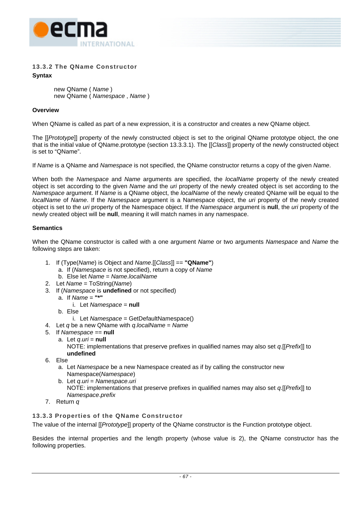

## **13.3.2 The QName Constructor Syntax**

<span id="page-76-0"></span>new QName ( *Name* ) new QName ( *Namespace* , *Name* )

## **Overview**

When QName is called as part of a new expression, it is a constructor and creates a new QName object.

The [[*Prototype*]] property of the newly constructed object is set to the original QName prototype object, the one that is the initial value of QName.prototype (section [13.3.3.1\)](#page-77-0). The [[*Class*]] property of the newly constructed object is set to "QName".

If *Name* is a QName and *Namespace* is not specified, the QName constructor returns a copy of the given *Name*.

When both the *Namespace* and *Name* arguments are specified, the *localName* property of the newly created object is set according to the given *Name* and the *uri* property of the newly created object is set according to the *Namespace* argument. If *Name* is a QName object, the *localName* of the newly created QName will be equal to the *localName* of *Name*. If the *Namespace* argument is a Namespace object, the *uri* property of the newly created object is set to the *uri* property of the Namespace object. If the *Namespace* argument is **null**, the *uri* property of the newly created object will be **null**, meaning it will match names in any namespace.

## **Semantics**

When the QName constructor is called with a one argument *Name* or two arguments *Namespace* and *Name* the following steps are taken:

- 1. If (Type(*Name*) is Object and *Name*.[[*Class*]] == **"QName"**)
	- a. If (*Namespace* is not specified), return a copy of *Name*
	- b. Else let *Name* = *Name*.*localName*
- 2. Let *Name* = ToString(*Name*)
- 3. If (*Namespace* is **undefined** or not specified)
	- a. If *Name* = **"\*"**
		- i. Let *Namespace* = **null**
	- b. Else
	- i. Let *Namespace* = GetDefaultNamespace()
- 4. Let *q* be a new QName with *q*.*localName* = *Name*
- 5. If *Namespace* == **null**
	- a. Let *q*.*uri* = **null**

NOTE: implementations that preserve prefixes in qualified names may also set *q*.[[*Prefix*]] to **undefined**

- 6. Else
	- a. Let *Namespace* be a new Namespace created as if by calling the constructor new Namespace(*Namespace*)
	- b. Let *q*.*uri* = *Namespace*.*uri* NOTE: implementations that preserve prefixes in qualified names may also set *q*.[[*Prefix*]] to *Namespace*.*prefix*
- 7. Return *q*

## **13.3.3 Properties of the QName Constructor**

The value of the internal [[*Prototype*]] property of the QName constructor is the Function prototype object.

Besides the internal properties and the length property (whose value is 2), the QName constructor has the following properties.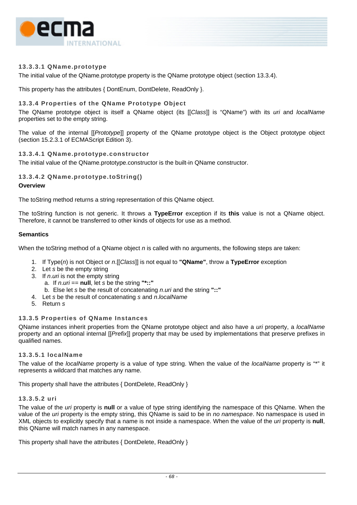

## <span id="page-77-0"></span>**13.3.3.1 QName.prototype**

The initial value of the QName.prototype property is the QName prototype object (section [13.3.4\)](#page-77-1).

This property has the attributes { DontEnum, DontDelete, ReadOnly }.

## <span id="page-77-1"></span>**13.3.4 Properties of the QName Prototype Object**

The QName prototype object is itself a QName object (its [[*Class*]] is "QName") with its *uri* and *localName* properties set to the empty string.

The value of the internal [[*Prototype*]] property of the QName prototype object is the Object prototype object (section 15.2.3.1 of ECMAScript Edition 3).

#### **13.3.4.1 QName.prototype.constructor**

The initial value of the QName.prototype.constructor is the built-in QName constructor.

## **13.3.4.2 QName.prototype.toString()**

#### **Overview**

The toString method returns a string representation of this QName object.

The toString function is not generic. It throws a **TypeError** exception if its **this** value is not a QName object. Therefore, it cannot be transferred to other kinds of objects for use as a method.

#### **Semantics**

When the toString method of a QName object *n* is called with no arguments, the following steps are taken:

- 1. If Type(*n*) is not Object or *n*.[[*Class*]] is not equal to **"QName"**, throw a **TypeError** exception
- 2. Let *s* be the empty string
- 3. If *n*.*uri* is not the empty string
	- a. If *n*.*uri* == **null**, let *s* be the string **"\*::"**
	- b. Else let *s* be the result of concatenating *n*.*uri* and the string **"::"**
- 4. Let *s* be the result of concatenating *s* and *n*.*localName*
- 5. Return *s*

## **13.3.5 Properties of QName Instances**

QName instances inherit properties from the QName prototype object and also have a *uri* property, a *localName* property and an optional internal [[*Prefix*]] property that may be used by implementations that preserve prefixes in qualified names.

#### **13.3.5.1 localName**

The value of the *localName* property is a value of type string. When the value of the *localName* property is "\*" it represents a wildcard that matches any name.

This property shall have the attributes { DontDelete, ReadOnly }

#### **13.3.5.2 uri**

The value of the *uri* property is **null** or a value of type string identifying the namespace of this QName. When the value of the *uri* property is the empty string, this QName is said to be in *no namespace*. No namespace is used in XML objects to explicitly specify that a name is not inside a namespace. When the value of the *uri* property is **null**, this QName will match names in any namespace.

This property shall have the attributes { DontDelete, ReadOnly }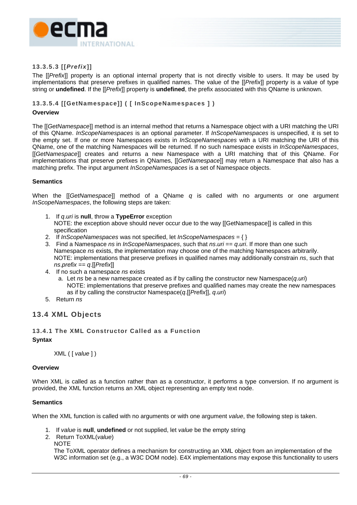

## **13.3.5.3 [[***Prefix***]]**

The [[*Prefix*]] property is an optional internal property that is not directly visible to users. It may be used by implementations that preserve prefixes in qualified names. The value of the [[*Prefix*]] property is a value of type string or **undefined**. If the [[*Prefix*]] property is **undefined**, the prefix associated with this QName is unknown.

## **13.3.5.4 [[GetNamespace]] ( [ InScopeNamespaces ] )**

#### **Overview**

The [[*GetNamespace*]] method is an internal method that returns a Namespace object with a URI matching the URI of this QName. *InScopeNamespaces* is an optional parameter. If *InScopeNamespaces* is unspecified, it is set to the empty set. If one or more Namespaces exists in *InScopeNamespaces* with a URI matching the URI of this QName, one of the matching Namespaces will be returned. If no such namespace exists in *InScopeNamespaces*, [[*GetNamespace*]] creates and returns a new Namespace with a URI matching that of this QName. For implementations that preserve prefixes in QNames, [[*GetNamespace*]] may return a Namespace that also has a matching prefix. The input argument *InScopeNamespaces* is a set of Namespace objects.

#### **Semantics**

When the [[*GetNamespace*]] method of a QName *q* is called with no arguments or one argument *InScopeNamespaces*, the following steps are taken:

1. If *q*.*uri* is **null**, throw a **TypeError** exception

NOTE: the exception above should never occur due to the way [[GetNamespace]] is called in this specification

- 2. If *InScopeNamespaces* was not specified, let *InScopeNamespaces* = { }
- 3. Find a Namespace *ns* in *InScopeNamespaces*, such that *ns*.*uri* == *q*.*uri*. If more than one such Namespace *ns* exists, the implementation may choose one of the matching Namespaces arbitrarily. NOTE: implementations that preserve prefixes in qualified names may additionally constrain *ns*, such that *ns*.*prefix* == *q*.[[*Prefix*]]
- 4. If no such a namespace *ns* exists
	- a. Let *ns* be a new namespace created as if by calling the constructor new Namespace(*q*.*uri*) NOTE: implementations that preserve prefixes and qualified names may create the new namespaces as if by calling the constructor Namespace(*q*.[[*Prefix*]], *q*.*uri*)
- 5. Return *ns*

## **13.4 XML Objects**

## <span id="page-78-0"></span>**13.4.1 The XML Constructor Called as a Function Syntax**

XML ( [ *value* ] )

#### **Overview**

When XML is called as a function rather than as a constructor, it performs a type conversion. If no argument is provided, the XML function returns an XML object representing an empty text node.

#### **Semantics**

When the XML function is called with no arguments or with one argument *value*, the following step is taken.

- 1. If *value* is **null**, **undefined** or not supplied, let *value* be the empty string
- 2. Return ToXML(*value*)
	- **NOTE**

The ToXML operator defines a mechanism for constructing an XML object from an implementation of the W3C information set (e.g., a W3C DOM node). E4X implementations may expose this functionality to users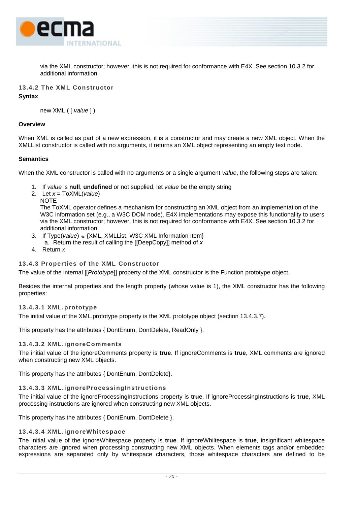

<span id="page-79-0"></span>via the XML constructor; however, this is not required for conformance with E4X. See section [10.3.2](#page-42-0) for additional information.

## **13.4.2 The XML Constructor Syntax**

new XML ( [ *value* ] )

#### **Overview**

When XML is called as part of a new expression, it is a constructor and may create a new XML object. When the XMLList constructor is called with no arguments, it returns an XML object representing an empty text node.

## **Semantics**

When the XML constructor is called with no arguments or a single argument *value*, the following steps are taken:

- 1. If *value* is **null**, **undefined** or not supplied, let *value* be the empty string
- 2. Let *x* = ToXML(*value*)

**NOTE** The ToXML operator defines a mechanism for constructing an XML object from an implementation of the W3C information set (e.g., a W3C DOM node). E4X implementations may expose this functionality to users via the XML constructor; however, this is not required for conformance with E4X. See section [10.3.2](#page-42-0) for additional information.

- 3. If Type(*value*) ∈ {XML, XMLList, W3C XML Information Item} a. Return the result of calling the [[DeepCopy]] method of *x*
- 4. Return *x*

## **13.4.3 Properties of the XML Constructor**

The value of the internal [[*Prototype*]] property of the XML constructor is the Function prototype object.

Besides the internal properties and the length property (whose value is 1), the XML constructor has the following properties:

## **13.4.3.1 XML.prototype**

The initial value of the XML.prototype property is the XML prototype object (section [13.4.3.7\)](#page-82-0).

This property has the attributes { DontEnum, DontDelete, ReadOnly }.

#### <span id="page-79-1"></span>**13.4.3.2 XML.ignoreComments**

The initial value of the ignoreComments property is **true**. If ignoreComments is **true**, XML comments are ignored when constructing new XML objects.

This property has the attributes { DontEnum, DontDelete}.

## **13.4.3.3 XML.ignoreProcessingInstructions**

The initial value of the ignoreProcessingInstructions property is **true**. If ignoreProcessingInstructions is **true**, XML processing instructions are ignored when constructing new XML objects.

This property has the attributes { DontEnum, DontDelete }.

## **13.4.3.4 XML.ignoreWhitespace**

The initial value of the ignoreWhitespace property is **true**. If ignoreWhiltespace is **true**, insignificant whitespace characters are ignored when processing constructing new XML objects. When elements tags and/or embedded expressions are separated only by whitespace characters, those whitespace characters are defined to be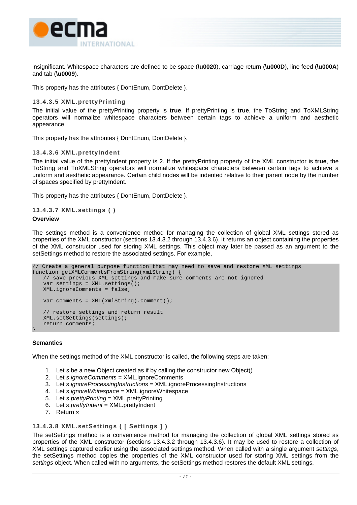

insignificant. Whitespace characters are defined to be space (**\u0020**), carriage return (**\u000D**), line feed (**\u000A**) and tab (**\u0009**).

This property has the attributes { DontEnum, DontDelete }.

#### **13.4.3.5 XML.prettyPrinting**

The initial value of the prettyPrinting property is **true**. If prettyPrinting is **true**, the ToString and ToXMLString operators will normalize whitespace characters between certain tags to achieve a uniform and aesthetic appearance.

This property has the attributes { DontEnum, DontDelete }.

#### <span id="page-80-0"></span>**13.4.3.6 XML.prettyIndent**

The initial value of the prettyIndent property is 2. If the prettyPrinting property of the XML constructor is **true**, the ToString and ToXMLString operators will normalize whitespace characters between certain tags to achieve a uniform and aesthetic appearance. Certain child nodes will be indented relative to their parent node by the number of spaces specified by prettyIndent.

This property has the attributes { DontEnum, DontDelete }.

```
13.4.3.7 XML.settings ( )
```
#### **Overview**

The settings method is a convenience method for managing the collection of global XML settings stored as properties of the XML constructor (sections [13.4.3.2](#page-79-1) through [13.4.3.6\)](#page-80-0). It returns an object containing the properties of the XML constructor used for storing XML settings. This object may later be passed as an argument to the setSettings method to restore the associated settings. For example,

```
// Create a general purpose function that may need to save and restore XML settings 
function getXMLCommentsFromString(xmlString) { 
   // save previous XML settings and make sure comments are not ignored 
   var settings = XML.settings(); 
   XML.ignoreComments = false; 
   var comments = XML(xmlString).comment(); 
   // restore settings and return result 
    XML.setSettings(settings); 
    return comments; 
}
```
#### **Semantics**

When the settings method of the XML constructor is called, the following steps are taken:

- 1. Let *s* be a new Object created as if by calling the constructor new Object()
- 2. Let *s*.*ignoreComments* = XML.ignoreComments
- 3. Let *s*.*ignoreProcessingInstructions* = XML.ignoreProcessingInstructions
- 4. Let *s*.*ignoreWhitespace* = XML.ignoreWhitespace
- 5. Let *s*.*prettyPrinting* = XML.prettyPrinting
- 6. Let *s*.*prettyIndent* = XML.prettyIndent
- 7. Return *s*

#### **13.4.3.8 XML.setSettings ( [ Settings ] )**

The setSettings method is a convenience method for managing the collection of global XML settings stored as properties of the XML constructor (sections [13.4.3.2](#page-79-1) through [13.4.3.6\)](#page-80-0). It may be used to restore a collection of XML settings captured earlier using the associated settings method. When called with a single argument *settings*, the setSettings method copies the properties of the XML constructor used for storing XML settings from the *settings* object. When called with no arguments, the setSettings method restores the default XML settings.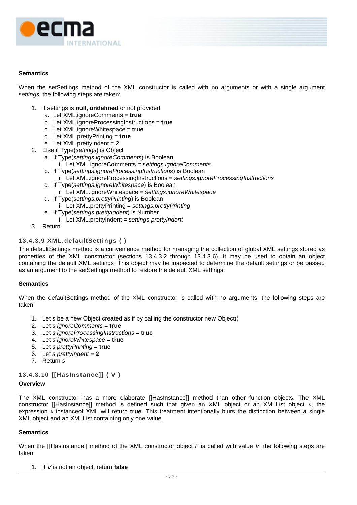

When the setSettings method of the XML constructor is called with no arguments or with a single argument *settings*, the following steps are taken:

- 1. If settings is **null, undefined** or not provided
	- a. Let XML.ignoreComments = **true**
	- b. Let XML.ignoreProcessingInstructions = **true**
	- c. Let XML.ignoreWhitespace = **true**
	- d. Let XML.prettyPrinting = **true**
	- e. Let XML.prettyIndent = **2**
- 2. Else if Type(*settings*) is Object
	- a. If Type(*settings*.*ignoreComments*) is Boolean,
		- i. Let XML.ignoreComments = *settings*.*ignoreComments*
		- b. If Type(*settings.ignoreProcessingInstructions*) is Boolean i. Let XML.ignoreProcessingInstructions = *settings.ignoreProcessingInstructions*
		- c. If Type(*settings.ignoreWhitespace*) is Boolean
			- i. Let XML.ignoreWhitespace = *settings.ignoreWhitespace*
		- d. If Type(*settings.prettyPrinting*) is Boolean
		- i. Let XML.prettyPrinting = *settings.prettyPrinting*
		- e. If Type(*settings.prettyIndent*) is Number
		- i. Let XML.prettyIndent = *settings.prettyIndent*
- 3. Return

## **13.4.3.9 XML.defaultSettings ( )**

The defaultSettings method is a convenience method for managing the collection of global XML settings stored as properties of the XML constructor (sections [13.4.3.2](#page-79-1) through [13.4.3.6\)](#page-80-0). It may be used to obtain an object containing the default XML settings. This object may be inspected to determine the default settings or be passed as an argument to the setSettings method to restore the default XML settings.

#### **Semantics**

When the defaultSettings method of the XML constructor is called with no arguments, the following steps are taken:

- 1. Let *s* be a new Object created as if by calling the constructor new Object()
- 2. Let *s.ignoreComments* = **true**
- 3. Let *s.ignoreProcessingInstructions* = **true**
- 4. Let *s.ignoreWhitespace* = **true**
- 5. Let *s.prettyPrinting* = **true**
- 6. Let *s.prettyIndent* = **2**
- 7. Return *s*

## **13.4.3.10 [[HasInstance]] ( V )**

#### **Overview**

The XML constructor has a more elaborate [[HasInstance]] method than other function objects. The XML constructor [[HasInstance]] method is defined such that given an XML object or an XMLList object *x*, the expression *x* instanceof XML will return **true**. This treatment intentionally blurs the distinction between a single XML object and an XMLList containing only one value.

#### **Semantics**

When the [[HasInstance]] method of the XML constructor object *F* is called with value *V*, the following steps are taken:

1. If *V* is not an object, return **false**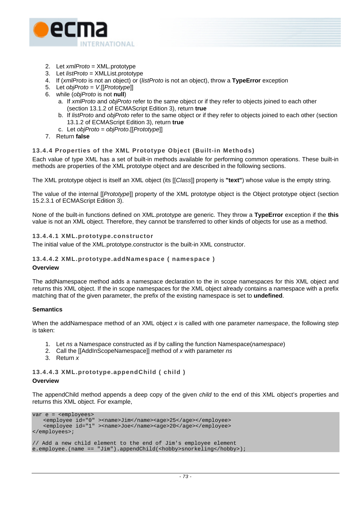

- 2. Let *xmlProto* = XML.prototype
- 3. Let *listProto* = XMLList.prototype
- 4. If (*xmlProto* is not an object) or (*listProto* is not an object), throw a **TypeError** exception
- 5. Let *objProto* = *V*.[[*Prototype*]]
- 6. while (*objProto* is not **null**)
	- a. If *xmlProto* and *objProto* refer to the same object or if they refer to objects joined to each other (section 13.1.2 of ECMAScript Edition 3), return **true**
	- b. If *listProto* and *objProto* refer to the same object or if they refer to objects joined to each other (section 13.1.2 of ECMAScript Edition 3), return **true**
	- c. Let *objProto* = *objProto*.[[*Prototype*]]
- 7. Return **false**

## **13.4.4 Properties of the XML Prototype Object (Built-in Methods)**

Each value of type XML has a set of built-in methods available for performing common operations. These built-in methods are properties of the XML prototype object and are described in the following sections.

The XML prototype object is itself an XML object (its [[*Class*]] property is **"text"**) whose value is the empty string.

The value of the internal [[*Prototype*]] property of the XML prototype object is the Object prototype object (section 15.2.3.1 of ECMAScript Edition 3).

<span id="page-82-0"></span>None of the built-in functions defined on XML.prototype are generic. They throw a **TypeError** exception if the **this** value is not an XML object. Therefore, they cannot be transferred to other kinds of objects for use as a method.

#### **13.4.4.1 XML.prototype.constructor**

The initial value of the XML.prototype.constructor is the built-in XML constructor.

## **13.4.4.2 XML.prototype.addNamespace ( namespace )**

#### **Overview**

The addNamespace method adds a namespace declaration to the in scope namespaces for this XML object and returns this XML object. If the in scope namespaces for the XML object already contains a namespace with a prefix matching that of the given parameter, the prefix of the existing namespace is set to **undefined**.

#### **Semantics**

When the addNamespace method of an XML object *x* is called with one parameter *namespace*, the following step is taken:

- 1. Let *ns* a Namespace constructed as if by calling the function Namespace(*namespace*)
- 2. Call the [[AddInScopeNamespace]] method of *x* with parameter *ns*
- 3. Return *x*

## **13.4.4.3 XML.prototype.appendChild ( child )**

#### **Overview**

The appendChild method appends a deep copy of the given *child* to the end of this XML object's properties and returns this XML object. For example,

```
var e = <employees> 
   <employee id="0" ><name>Jim</name><age>25</age></employee> 
   <employee id="1" ><name>Joe</name><age>20</age></employee> 
</employees>; 
// Add a new child element to the end of Jim's employee element 
e.employee.(name == "Jim").appendChild(<hobby>snorkeling</hobby>);
```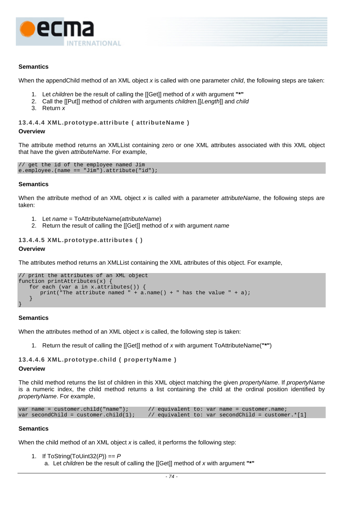

When the appendChild method of an XML object *x* is called with one parameter *child*, the following steps are taken:

- 1. Let *children* be the result of calling the [[Get]] method of *x* with argument **"\*"**
- 2. Call the [[Put]] method of *children* with arguments *children*.[[*Length*]] and *child*
- 3. Return *x*

#### **13.4.4.4 XML.prototype.attribute ( attributeName )**

#### **Overview**

The attribute method returns an XMLList containing zero or one XML attributes associated with this XML object that have the given *attributeName*. For example,

```
// get the id of the employee named Jim 
e.employee.(name == "Jim").attribute("id");
```
#### **Semantics**

When the attribute method of an XML object *x* is called with a parameter *attributeName*, the following steps are taken:

- 1. Let *name* = ToAttributeName(*attributeName*)
- 2. Return the result of calling the [[Get]] method of *x* with argument *name*

## **13.4.4.5 XML.prototype.attributes ( )**

#### **Overview**

The attributes method returns an XMLList containing the XML attributes of this object. For example,

```
// print the attributes of an XML object 
function printAttributes(x) { 
    for each (var a in x.attributes()) { 
        print("The attribute named " + \alpha.name() + " has the value " + \alpha);
\left\{\begin{array}{c} \end{array}\right\}}
```
#### **Semantics**

When the attributes method of an XML object *x* is called, the following step is taken:

1. Return the result of calling the [[Get]] method of *x* with argument ToAttributeName(**"\*"**)

```
13.4.4.6 XML.prototype.child ( propertyName ) 
Overview
```
The child method returns the list of children in this XML object matching the given *propertyName*. If *propertyName* is a numeric index, the child method returns a list containing the child at the ordinal position identified by *propertyName*. For example,

| var name = $\text{customer.child("name");}$ |  | // equivalent to: var name = customer.name;          |  |
|---------------------------------------------|--|------------------------------------------------------|--|
| var secondChild = customer.child $(1)$ ;    |  | // equivalent to: var secondChild = customer. $*[1]$ |  |

#### **Semantics**

When the child method of an XML object *x* is called, it performs the following step:

```
1. If ToString(ToUint32(P)) == P
```
a. Let *children* be the result of calling the [[Get]] method of *x* with argument **"\*"**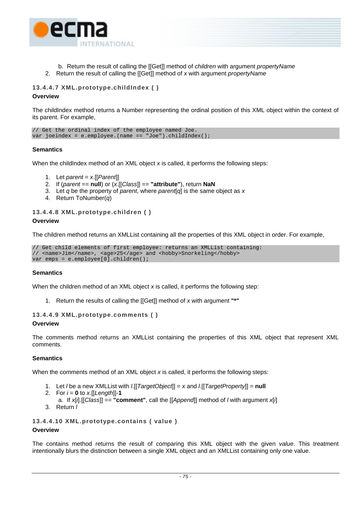

b. Return the result of calling the [[Get]] method of *children* with argument *propertyName* 2. Return the result of calling the [[Get]] method of *x* with argument *propertyName*

## **13.4.4.7 XML.prototype.childIndex ( ) Overview**

The childIndex method returns a Number representing the ordinal position of this XML object within the context of its parent. For example,

// Get the ordinal index of the employee named Joe. var joeindex = e.employee.(name == "Joe").childIndex();

## **Semantics**

When the childIndex method of an XML object x is called, it performs the following steps:

- 1. Let *parent* = *x*.[[*Parent*]]
- 2. If (*parent* == **null**) or (*x*.[[*Class*]] == **"attribute"**), return **NaN**
- 3. Let *q* be the property of *parent*, where *parent*[*q*] is the same object as *x*
- 4. Return ToNumber(*q*)

## **13.4.4.8 XML.prototype.children ( )**

## **Overview**

The children method returns an XMLList containing all the properties of this XML object in order. For example,

// Get child elements of first employee: returns an XMLList containing: // <name>Jim</name>, <age>25</age> and <hobby>Snorkeling</hobby> var emps = e.employee[0].children();

## **Semantics**

When the children method of an XML object *x* is called, it performs the following step:

1. Return the results of calling the [[Get]] method of *x* with argument **"\*"**

```
13.4.4.9 XML.prototype.comments ( )
```
## **Overview**

The comments method returns an XMLList containing the properties of this XML object that represent XML comments.

## **Semantics**

When the comments method of an XML object *x* is called, it performs the following steps:

- 1. Let *l* be a new XMLList with *l*.[[*TargetObject*]] = *x* and *l*.[[*TargetProperty*]] = **null**
- 2. For  $i = 0$  to  $x$ . [[Length]]-1
- a. If *x*[*i*].[[*Class*]] == **"comment"**, call the [[*Append*]] method of *l* with argument *x*[*i*]
- 3. Return *l*

**13.4.4.10 XML.prototype.contains ( value )** 

## **Overview**

The contains method returns the result of comparing this XML object with the given *value*. This treatment intentionally blurs the distinction between a single XML object and an XMLList containing only one value.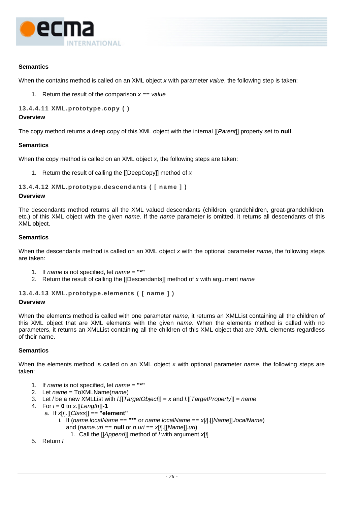

When the contains method is called on an XML object *x* with parameter *value*, the following step is taken:

1. Return the result of the comparison *x* == *value*

**13.4.4.11 XML.prototype.copy ( )** 

#### **Overview**

The copy method returns a deep copy of this XML object with the internal [[*Parent*]] property set to **null**.

#### **Semantics**

When the copy method is called on an XML object *x*, the following steps are taken:

1. Return the result of calling the [[DeepCopy]] method of *x*

## **13.4.4.12 XML.prototype.descendants ( [ name ] )**

#### **Overview**

The descendants method returns all the XML valued descendants (children, grandchildren, great-grandchildren, etc.) of this XML object with the given *name*. If the *name* parameter is omitted, it returns all descendants of this XML object.

## **Semantics**

When the descendants method is called on an XML object *x* with the optional parameter *name*, the following steps are taken:

- 1. If *name* is not specified, let *name* = **"\*"**
- 2. Return the result of calling the [[Descendants]] method of *x* with argument *name*

## **13.4.4.13 XML.prototype.elements ( [ name ] )**

## **Overview**

When the elements method is called with one parameter *name*, it returns an XMLList containing all the children of this XML object that are XML elements with the given *name*. When the elements method is called with no parameters, it returns an XMLList containing all the children of this XML object that are XML elements regardless of their name.

## **Semantics**

When the elements method is called on an XML object *x* with optional parameter *name*, the following steps are taken:

- 1. If *name* is not specified, let *name* = **"\*"**
- 2. Let *name* = ToXMLName(*name*)
- 3. Let *l* be a new XMLList with *l*.[[*TargetObject*]] = *x* and *l*.[[*TargetProperty*]] = *name*
- 4. For *i* = **0** to *x*.[[*Length*]]-**1**
	- a. If *x*[*i*].[[*Class*]] == **"element"**
		- i. If (*name*.*localName* == **"\*"** or *name*.*localName* == *x*[*i*].[[*Name*]].*localName*) and (*name*.*uri* == **null** or *n*.*uri* == *x*[*i*].[[*Name*]].*uri*)
			- 1. Call the [[*Append*]] method of *l* with argument *x*[*i*]
- 5. Return *l*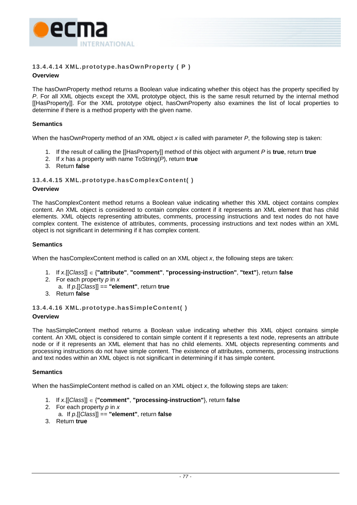

## **13.4.4.14 XML.prototype.hasOwnProperty ( P )**

## **Overview**

The hasOwnProperty method returns a Boolean value indicating whether this object has the property specified by *P*. For all XML objects except the XML prototype object, this is the same result returned by the internal method [[HasProperty]]. For the XML prototype object, hasOwnProperty also examines the list of local properties to determine if there is a method property with the given name.

## **Semantics**

When the hasOwnProperty method of an XML object *x* is called with parameter *P*, the following step is taken:

- 1. If the result of calling the [[HasProperty]] method of this object with argument *P* is **true**, return **true**
- 2. If *x* has a property with name ToString(*P*), return **true**
- 3. Return **false**

## **13.4.4.15 XML.prototype.hasComplexContent( )**

## **Overview**

The hasComplexContent method returns a Boolean value indicating whether this XML object contains complex content. An XML object is considered to contain complex content if it represents an XML element that has child elements. XML objects representing attributes, comments, processing instructions and text nodes do not have complex content. The existence of attributes, comments, processing instructions and text nodes within an XML object is not significant in determining if it has complex content.

## **Semantics**

When the hasComplexContent method is called on an XML object *x*, the following steps are taken:

- 1. If *x*.[[*Class*]] ∈ {**"attribute"**, **"comment"**, **"processing-instruction"**, **"text"**}, return **false**
- 2. For each property *p* in *x*
- a. If *p*.[[*Class*]] == **"element"**, return **true**
- 3. Return **false**

## **13.4.4.16 XML.prototype.hasSimpleContent( )**

## **Overview**

The hasSimpleContent method returns a Boolean value indicating whether this XML object contains simple content. An XML object is considered to contain simple content if it represents a text node, represents an attribute node or if it represents an XML element that has no child elements. XML objects representing comments and processing instructions do not have simple content. The existence of attributes, comments, processing instructions and text nodes within an XML object is not significant in determining if it has simple content.

## **Semantics**

When the hasSimpleContent method is called on an XML object *x*, the following steps are taken:

- 1. If *x*.[[*Class*]] ∈ {**"comment"**, **"processing-instruction"**}, return **false**
- 2. For each property *p* in *x*
	- a. If *p*.[[*Class*]] == **"element"**, return **false**
- 3. Return **true**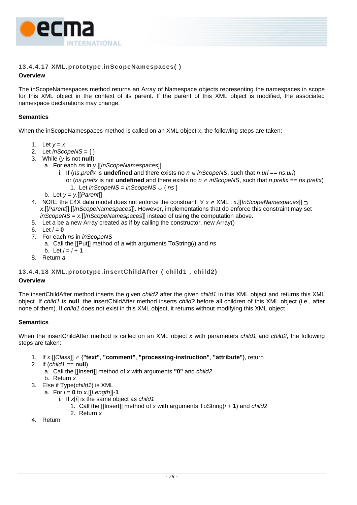

## **13.4.4.17 XML.prototype.inScopeNamespaces( )**

## **Overview**

The inScopeNamespaces method returns an Array of Namespace objects representing the namespaces in scope for this XML object in the context of its parent. If the parent of this XML object is modified, the associated namespace declarations may change.

## **Semantics**

When the inScopeNamespaces method is called on an XML object *x*, the following steps are taken:

- 1. Let  $v = x$
- 2. Let *inScopeNS* = { }
- 3. While (*y* is not **null**)
	- a. For each *ns* in *y*.[[*InScopeNamespaces*]]
		- i. If (*ns*.*prefix* is **undefined** and there exists no *n* ∈ *inScopeNS*, such that *n*.*uri* == *ns*.*uri*) or (*ns.prefix* is not **undefined** and there exists no  $n \in i$  *nScopeNS*, such that *n.prefix* == *ns.prefix*) 1. Let *inScopeNS* = *inScopeNS* ∪ { *ns* }
		- b. Let *y* = *y*.[[*Parent*]]
- 4. NOTE: the E4X data model does not enforce the constraint: ∀ *x* ∈ XML : *x*.[[*InScopeNamespaces*]] ⊇ *x*.[[*Parent*]].[[*InScopeNamespaces*]]. However, implementations that do enforce this constraint may set *inScopeNS* = *x*.[[*InScopeNamespaces*]] instead of using the computation above.
- 5. Let *a* be a new Array created as if by calling the constructor, new Array()
- 6. Let  $i = 0$
- 7. For each *ns* in *inScopeNS*
	- a. Call the [[Put]] method of *a* with arguments ToString(*i*) and *ns*
- b. Let  $i = i + 1$
- 8. Return *a*

## **13.4.4.18 XML.prototype.insertChildAfter ( child1 , child2)**

## **Overview**

The insertChildAfter method inserts the given *child2* after the given *child1* in this XML object and returns this XML object. If *child1* is **null**, the insertChildAfter method inserts *child2* before all children of this XML object (i.e., after none of them). If *child1* does not exist in this XML object, it returns without modifying this XML object.

## **Semantics**

When the insertChildAfter method is called on an XML object *x* with parameters *child1* and *child2*, the following steps are taken:

- 1. If *x*.[[*Class*]] ∈ {**"text"**, **"comment"**, **"processing-instruction"**, **"attribute"**}, return
- 2. If (*child1* == **null**)
	- a. Call the [[Insert]] method of *x* with arguments **"0"** and *child2*
	- b. Return *x*
- 3. Else if Type(*child1*) is XML
	- a. For  $i = 0$  to  $x$ . [[Length]]-1
		- i. If *x*[*i*] is the same object as *child1*
			- 1. Call the [[Insert]] method of *x* with arguments ToString(*i* + **1**) and *child2*
			- 2. Return *x*
- 4. Return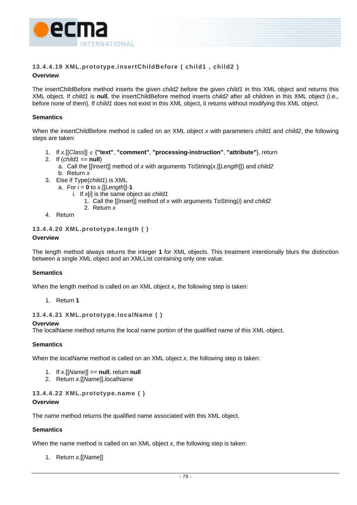

# **13.4.4.19 XML.prototype.insertChildBefore ( child1 , child2 )**

## **Overview**

The insertChildBefore method inserts the given *child2* before the given *child1* in this XML object and returns this XML object. If *child1* is **null**, the insertChildBefore method inserts *child2* after all children in this XML object (i.e., before none of them). If *child1* does not exist in this XML object, it returns without modifying this XML object.

## **Semantics**

When the insertChildBefore method is called on an XML object *x* with parameters *child1* and *child2*, the following steps are taken:

- 1. If *x*.[[*Class*]] ∈ {**"text"**, **"comment"**, **"processing-instruction"**, **"attribute"**}, return
- 2. If  $\left(\frac{child1}{\right)} = null$ 
	- a. Call the [[Insert]] method of *x* with arguments ToString(*x*.[[*Length*]]) and *child2*
	- b. Return *x*
- 3. Else if Type(*child1*) is XML
	- a. For  $i = 0$  to  $x$ . [[Length]]-1
		- i. If *x*[*i*] is the same object as *child1*
			- 1. Call the [[Insert]] method of *x* with arguments ToString(*i*) and *child2*
			- 2. Return *x*
- 4. Return

## **13.4.4.20 XML.prototype.length ( )**

## **Overview**

The length method always returns the integer **1** for XML objects. This treatment intentionally blurs the distinction between a single XML object and an XMLList containing only one value.

## **Semantics**

When the length method is called on an XML object *x*, the following step is taken:

1. Return **1**

## **13.4.4.21 XML.prototype.localName ( )**

## **Overview**

The localName method returns the local name portion of the qualified name of this XML object.

## **Semantics**

When the localName method is called on an XML object *x*, the following step is taken:

- 1. If *x*.[[*Name*]] == **null**, return **null**
- 2. Return *x*.[[*Name*]].*localName*

## **13.4.4.22 XML.prototype.name ( )**

## **Overview**

The name method returns the qualified name associated with this XML object.

## **Semantics**

When the name method is called on an XML object *x*, the following step is taken:

1. Return *x*.[[*Name*]]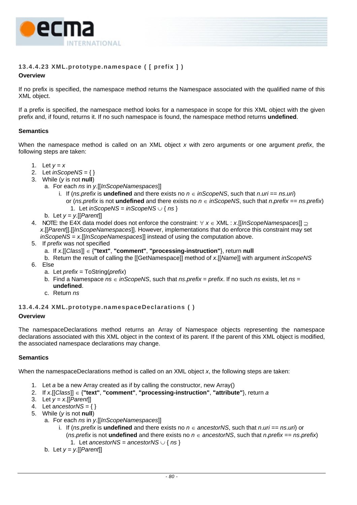

# **13.4.4.23 XML.prototype.namespace ( [ prefix ] )**

## **Overview**

If no prefix is specified, the namespace method returns the Namespace associated with the qualified name of this XML object.

If a prefix is specified, the namespace method looks for a namespace in scope for this XML object with the given prefix and, if found, returns it. If no such namespace is found, the namespace method returns **undefined**.

## **Semantics**

When the namespace method is called on an XML object *x* with zero arguments or one argument *prefix*, the following steps are taken:

- 1. Let  $y = x$
- 2. Let *inScopeNS* = { }
- 3. While (*y* is not **null**)
	- a. For each *ns* in *y*.[[*InScopeNamespaces*]]
		- i. If (*ns.prefix* is **undefined** and there exists no  $n \in in$  ScopeNS, such that *n.uri* == *ns.uri*) or (*ns*.*prefix* is not **undefined** and there exists no *n* ∈ *inScopeNS*, such that *n*.*prefix* == *ns*.*prefix*) 1. Let *inScopeNS* = *inScopeNS* ∪ { *ns* }
	- b. Let  $y = y$ . [[*Parent*]]
- 4. NOTE: the E4X data model does not enforce the constraint: ∀ *x* ∈ XML : *x*.[[*InScopeNamespaces*]] ⊇ *x*.[[*Parent*]].[[*InScopeNamespaces*]]. However, implementations that do enforce this constraint may set *inScopeNS* = *x*.[[*InScopeNamespaces*]] instead of using the computation above.
- 5. If *prefix* was not specified
	- a. If *x*.[[*Class*]] ∈ {**"text"**, **"comment"**, **"processing-instruction"**}, return **null**
	- b. Return the result of calling the [[GetNamespace]] method of *x*.[[*Name*]] with argument *inScopeNS*
- 6. Else
	- a. Let *prefix* = ToString(*prefix*)
	- b. Find a Namespace  $ns ∈ inScopeNS$ , such that  $ns.prefix = prefix$ . If no such  $ns$  exists, let  $ns =$ **undefined**.
	- c. Return *ns*

## **13.4.4.24 XML.prototype.namespaceDeclarations ( )**

## **Overview**

The namespaceDeclarations method returns an Array of Namespace objects representing the namespace declarations associated with this XML object in the context of its parent. If the parent of this XML object is modified, the associated namespace declarations may change.

## **Semantics**

When the namespaceDeclarations method is called on an XML object *x*, the following steps are taken:

- 1. Let *a* be a new Array created as if by calling the constructor, new Array()
- 2. If *x*.[[*Class*]] ∈ {**"text"**, **"comment"**, **"processing-instruction"**, **"attribute"**}, return *a*
- 3. Let *y* = *x*.[[*Parent*]]
- 4. Let  $\angle$ *ancestorNS* = { }
- 5. While (*y* is not **null**)
	- a. For each *ns* in *y*.[[*InScopeNamespaces*]]
		- i. If (*ns*.*prefix* is **undefined** and there exists no *n* ∈ *ancestorNS*, such that *n*.*uri* == *ns*.*uri*) or (*ns*.*prefix* is not **undefined** and there exists no  $n \in$  *ancestorNS*, such that *n*.*prefix* == *ns.prefix*) 1. Let *ancestorNS* = *ancestorNS* ∪ { *ns* }
		- b. Let  $y = y$ . [[*Parent*]]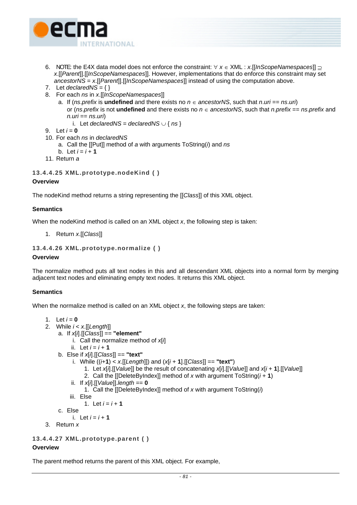

- 6. NOTE: the E4X data model does not enforce the constraint: ∀ *x* ∈ XML : *x*.[[*InScopeNamespaces*]] ⊇ *x*.[[*Parent*]].[[*InScopeNamespaces*]]. However, implementations that do enforce this constraint may set *ancestorNS* = *x*.[[*Parent*]].[[*InScopeNamespaces*]] instead of using the computation above.
- 7. Let  $\text{declared} \setminus \overline{S} = \{\}$
- 8. For each *ns* in *x*.[[*InScopeNamespaces*]]
	- a. If (*ns*.*prefix* is **undefined** and there exists no *n* ∈ *ancestorNS*, such that *n*.*uri* == *ns*.*uri*) or (*ns*.*prefix* is not **undefined** and there exists no *n* ∈ *ancestorNS*, such that *n*.*prefix* == *ns*.*prefix* and *n.uri* == *ns*.*uri*)
		- i. Let *declaredNS* = *declaredNS* ∪ {  $ns$  }
- 9. Let  $i = 0$
- 10. For each *ns* in *declaredNS*

a. Call the [[Put]] method of *a* with arguments ToString(*i*) and *ns*

- b. Let  $i = i + 1$
- 11. Return *a*

### **13.4.4.25 XML.prototype.nodeKind ( ) Overview**

The nodeKind method returns a string representing the [[*Class*]] of this XML object.

## **Semantics**

When the nodeKind method is called on an XML object *x*, the following step is taken:

1. Return *x*.[[*Class*]]

## **13.4.4.26 XML.prototype.normalize ( )**

## **Overview**

The normalize method puts all text nodes in this and all descendant XML objects into a normal form by merging adjacent text nodes and eliminating empty text nodes. It returns this XML object.

## **Semantics**

When the normalize method is called on an XML object *x*, the following steps are taken:

```
1. Let i = 0
```
- 2. While *i* < *x*.[[*Length*]]
	- a. If *x*[*i*].[[*Class*]] == **"element"**
		- i. Call the normalize method of *x*[*i*]
		- ii. Let  $i = i + 1$
	- b. Else if *x*[*i*].[[*Class*]] == **"text"**
		- i. While  $((i+1) < x$ . [[Length]]) and  $(x[i+1]$ . [[Class]] == "text")
			- 1. Let *x*[*i*].[[*Value*]] be the result of concatenating *x*[*i*].[[*Value*]] and *x*[*i* + **1**].[[*Value*]]
			- 2. Call the [[DeleteByIndex]] method of *x* with argument ToString(*i* + **1**)
		- ii. If *x*[*i*].[[*Value*]].*length* == **0**
			- 1. Call the [[DeleteByIndex]] method of *x* with argument ToString(*i*)
		- iii. Else

```
1. Let i = i + 1
```
- c. Else
	- i. Let  $i = i + 1$
- 3. Return *x*

```
13.4.4.27 XML.prototype.parent ( )
```
## **Overview**

The parent method returns the parent of this XML object. For example,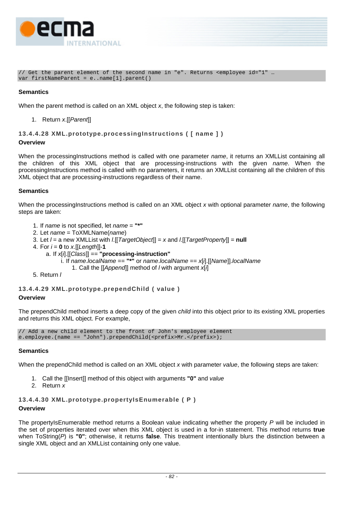

// Get the parent element of the second name in "e". Returns <employee id="1" … var firstNameParent = e..name[1].parent()

## **Semantics**

When the parent method is called on an XML object *x*, the following step is taken:

1. Return *x*.[[*Parent*]]

## **13.4.4.28 XML.prototype.processingInstructions ( [ name ] )**

#### **Overview**

When the processingInstructions method is called with one parameter *name*, it returns an XMLList containing all the children of this XML object that are processing-instructions with the given *name*. When the processingInstructions method is called with no parameters, it returns an XMLList containing all the children of this XML object that are processing-instructions regardless of their name.

#### **Semantics**

When the processingInstructions method is called on an XML object *x* with optional parameter *name*, the following steps are taken:

- 1. If *name* is not specified, let *name* = **"\*"**
- 2. Let *name* = ToXMLName(*name*)
- 3. Let *l* = a new XMLList with *l*.[[*TargetObject*]] = *x* and *l*.[[*TargetProperty*]] = **null**
- 4. For  $i = 0$  to  $x$ . [[Length]]-1
	- a. If *x*[*i*].[[*Class*]] == **"processing-instruction"**
		- i. If *name*.*localName* == **"\*"** or *name*.*localName* == *x*[*i*].[[*Name*]].*localName*
			- 1. Call the [[*Append*]] method of *l* with argument *x*[*i*]
- 5. Return *l*

## **13.4.4.29 XML.prototype.prependChild ( value )**

#### **Overview**

The prependChild method inserts a deep copy of the given *child* into this object prior to its existing XML properties and returns this XML object. For example,

// Add a new child element to the front of John's employee element e.employee.(name == "John").prependChild(<prefix>Mr.</prefix>);

## **Semantics**

When the prependChild method is called on an XML object *x* with parameter *value*, the following steps are taken:

- 1. Call the [[Insert]] method of this object with arguments **"0"** and *value*
- 2. Return *x*

## **13.4.4.30 XML.prototype.propertyIsEnumerable ( P )**

#### **Overview**

The propertyIsEnumerable method returns a Boolean value indicating whether the property *P* will be included in the set of properties iterated over when this XML object is used in a for-in statement. This method returns **true** when ToString(*P*) is **"0"**; otherwise, it returns **false**. This treatment intentionally blurs the distinction between a single XML object and an XMLList containing only one value.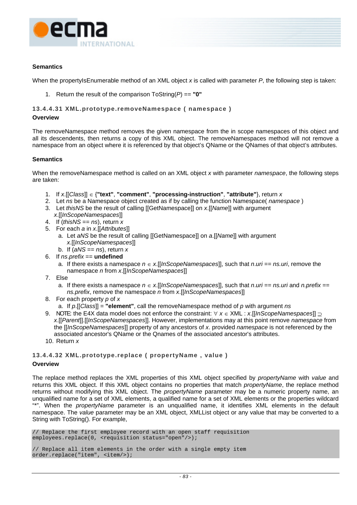

When the propertyIsEnumerable method of an XML object x is called with parameter P, the following step is taken:

1. Return the result of the comparison ToString(*P*) == **"0"**

#### **13.4.4.31 XML.prototype.removeNamespace ( namespace )**

#### **Overview**

The removeNamespace method removes the given namespace from the in scope namespaces of this object and all its descendents, then returns a copy of this XML object. The removeNamespaces method will not remove a namespace from an object where it is referenced by that object's QName or the QNames of that object's attributes.

#### **Semantics**

When the removeNamespace method is called on an XML object *x* with parameter *namespace*, the following steps are taken:

- 1. If *x*.[[*Class*]] ∈ {**"text"**, **"comment"**, **"processing-instruction"**, **"attribute"**}, return *x*
- 2. Let *ns* be a Namespace object created as if by calling the function Namespace( *namespace* )
- 3. Let *thisNS* be the result of calling [[GetNamespace]] on *x*.[[*Name*]] with argument *x*.[[*InScopeNamespaces*]]
- 4. If (*thisNS* == *ns*), return *x*
- 5. For each *a* in *x*.[[*Attributes*]]
	- a. Let *aNS* be the result of calling [[GetNamespace]] on *a*.[[*Name*]] with argument *x*.[[*InScopeNamespaces*]]
	- b. If (*aNS* == *ns*), return *x*
- 6. If *ns*.*prefix* == **undefined**
	- a. If there exists a namespace *n* ∈ *x*.[[*InScopeNamespaces*]], such that *n*.*uri* == *ns.uri*, remove the namespace *n* from *x*.[[*InScopeNamespaces*]]
- 7. Else
	- a. If there exists a namespace  $n \in x$ . [[*InScopeNamespaces*]], such that  $n.uri == ns.uri$  and  $n.prefix ==$ *ns.prefix*, remove the namespace *n* from *x*.[[*InScopeNamespaces*]]
- 8. For each property *p* of *x*
	- a. If *p*.[[*Class*]] = **"element"**, call the removeNamespace method of *p* with argument *ns*
- 9. NOTE: the E4X data model does not enforce the constraint: ∀ *x* ∈ XML : *x*.[[*InScopeNamespaces*]] ⊇ *x*.[[*Parent*]].[[*InScopeNamespaces*]]. However, implementations may at this point remove *namespace* from the [[*InScopeNamespaces*]] property of any ancestors of *x*. provided *namespace* is not referenced by the associated ancestor's QName or the Qnames of the associated ancestor's attributes.
- 10. Return *x*

# **13.4.4.32 XML.prototype.replace ( propertyName , value )**

## **Overview**

The replace method replaces the XML properties of this XML object specified by *propertyName* with *value* and returns this XML object. If this XML object contains no properties that match *propertyName*, the replace method returns without modifying this XML object. The *propertyName* parameter may be a numeric property name, an unqualified name for a set of XML elements, a qualified name for a set of XML elements or the properties wildcard "\*". When the *propertyName* parameter is an unqualified name, it identifies XML elements in the default namespace. The *value* parameter may be an XML object, XMLList object or any value that may be converted to a String with ToString(). For example,

// Replace the first employee record with an open staff requisition employees.replace(0, <requisition status="open"/>);

```
// Replace all item elements in the order with a single empty item 
order.replace("item", <item/>);
```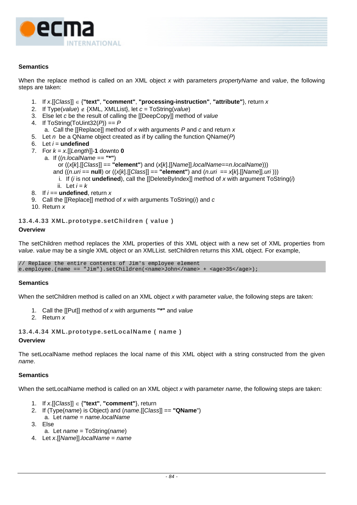

When the replace method is called on an XML object *x* with parameters *propertyName* and *value*, the following steps are taken:

- 1. If *x*.[[*Class*]] ∈ {**"text"**, **"comment"**, **"processing-instruction"**, **"attribute"**}, return *x*
- 2. If Type(*value*) ∉ {XML, XMLList}, let *c* = ToString(*value*)
- 3. Else let *c* be the result of calling the [[DeepCopy]] method of *value*
- 4. If ToString(ToUint32(*P*)) == *P*
	- a. Call the [[Replace]] method of *x* with arguments *P* and *c* and return *x*
- 5. Let *n* be a QName object created as if by calling the function QName(*P*)
- 6. Let *i* = **undefined**
- 7. For  $k = x$ . [[Length]] -1 downto 0
	- a. If ((*n.localName* == **"\*"**)
		- or ((*x*[*k*].[[*Class*]] == **"element"**) and (*x*[*k*].[[*Name*]].*localName*==*n*.*localName*)))
		- and ((*n*.*uri* == **null**) or ((*x*[*k*].[[*Class*]] == **"element"**) and (*n*.*uri* == *x*[*k*].[[*Name*]]*.uri* )))
		- i. If (*i* is not **undefined**), call the [[DeleteByIndex]] method of *x* with argument ToString(*i*)
		- ii. Let  $i = k$
- 8. If *i* == **undefined**, return *x*
- 9. Call the [[Replace]] method of *x* with arguments ToString(*i*) and *c*
- 10. Return *x*

#### **13.4.4.33 XML.prototype.setChildren ( value )**

#### **Overview**

The setChildren method replaces the XML properties of this XML object with a new set of XML properties from *value*. *value* may be a single XML object or an XMLList. setChildren returns this XML object. For example,

// Replace the entire contents of Jim's employee element e.employee.(name == "Jim").setChildren(<name>John</name> + <age>35</age>);

#### **Semantics**

When the setChildren method is called on an XML object *x* with parameter *value*, the following steps are taken:

- 1. Call the [[Put]] method of *x* with arguments **"\*"** and *value*
- 2. Return *x*

**13.4.4.34 XML.prototype.setLocalName ( name )** 

#### **Overview**

The setLocalName method replaces the local name of this XML object with a string constructed from the given *name*.

#### **Semantics**

When the setLocalName method is called on an XML object *x* with parameter *name*, the following steps are taken:

- 1. If *x*.[[*Class*]] ∈ {**"text"**, **"comment"**}, return
- 2. If (Type(*name*) is Object) and (*name*.[[*Class*]] == **"QName**") a. Let *name* = *name*.*localName*
- 3. Else
- a. Let *name* = ToString(*name*)
- 4. Let *x*.[[*Name*]].*localName* = *name*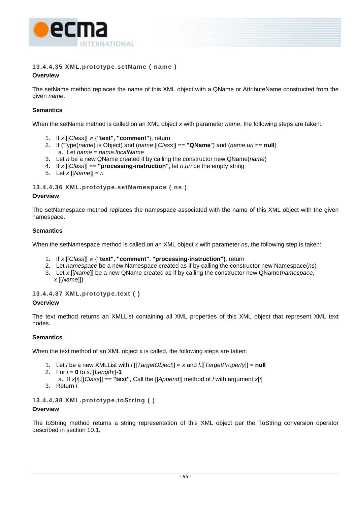

## **13.4.4.35 XML.prototype.setName ( name )**

## **Overview**

The setName method replaces the name of this XML object with a QName or AttributeName constructed from the given *name*.

## **Semantics**

When the setName method is called on an XML object *x* with parameter *name*, the following steps are taken:

- 1. If *x*.[[*Class*]] ∈ {**"text"**, **"comment"**}, return
- 2. If (Type(*name*) is Object) and (*name*.[[*Class*]] == **"QName**") and (*name*.*uri* == **null**) a. Let *name* = *name*.*localName*
- 3. Let *n* be a new QName created if by calling the constructor new QName(*name*)
- 4. If *x*.[[*Class*]] == **"processing-instruction"**, let *n*.*uri* be the empty string
- 5. Let *x*.[[*Name*]] = *n*

## **13.4.4.36 XML.prototype.setNamespace ( ns )**

## **Overview**

The setNamespace method replaces the namespace associated with the name of this XML object with the given namespace.

## **Semantics**

When the setNamespace method is called on an XML object *x* with parameter *ns*, the following step is taken:

- 1. If *x*.[[*Class*]] ∈ {**"text"**, **"comment"**, **"processing-instruction"**}, return
- 2. Let *namespace* be a new Namespace created as if by calling the constructor new Namespace(*ns*)
- 3. Let *x*.[[*Name*]] be a new QName created as if by calling the constructor new QName(*namespace*, *x*.[[*Name*]])

## **13.4.4.37 XML.prototype.text ( )**

## **Overview**

The text method returns an XMLList containing all XML properties of this XML object that represent XML text nodes.

## **Semantics**

When the text method of an XML object *x* is called, the following steps are taken:

- 1. Let *l* be a new XMLList with *l*.[[*TargetObject*]] = *x* and *l*.[[*TargetProperty*]] = **null**
- 2. For  $i = 0$  to  $x$ . [[Length]]-1
- a. If *x*[*i*].[[*Class*]] == **"text"**, Call the [[*Append*]] method of *l* with argument *x*[*i*]
- 3. Return *l*

## **13.4.4.38 XML.prototype.toString ( )**

## **Overview**

The toString method returns a string representation of this XML object per the ToString conversion operator described in section [10.1.](#page-36-0)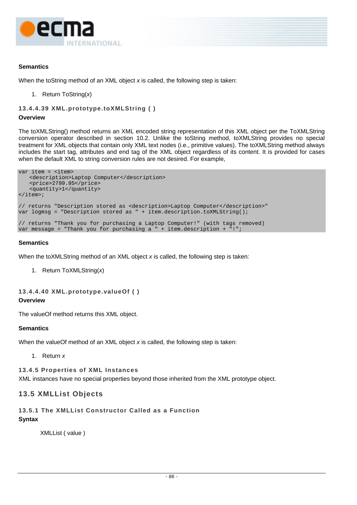

When the toString method of an XML object *x* is called, the following step is taken:

1. Return ToString(*x*)

```
13.4.4.39 XML.prototype.toXMLString ( )
```
#### **Overview**

The toXMLString() method returns an XML encoded string representation of this XML object per the ToXMLString conversion operator described in section [10.2.](#page-38-0) Unlike the toString method, toXMLString provides no special treatment for XML objects that contain only XML text nodes (i.e., primitive values). The toXMLString method always includes the start tag, attributes and end tag of the XML object regardless of its content. It is provided for cases when the default XML to string conversion rules are not desired. For example,

```
var item = <item>
    <description>Laptop Computer</description> 
    <price>2799.95</price> 
    <quantity>1</quantity> 
</item>; 
// returns "Description stored as <description>Laptop Computer</description>" 
var logmsg = "Description stored as " + item.description.toXMLString(); 
// returns "Thank you for purchasing a Laptop Computer!" (with tags removed) 
var message = "Thank you for purchasing a " + item.description + "!";
```
#### **Semantics**

When the toXMLString method of an XML object *x* is called, the following step is taken:

1. Return ToXMLString(*x*)

```
13.4.4.40 XML.prototype.valueOf ( ) 
Overview
```
The valueOf method returns this XML object.

## **Semantics**

When the valueOf method of an XML object *x* is called, the following step is taken:

1. Return *x*

## **13.4.5 Properties of XML Instances**

XML instances have no special properties beyond those inherited from the XML prototype object.

## **13.5 XMLList Objects**

## <span id="page-95-0"></span>**13.5.1 The XMLList Constructor Called as a Function**

**Syntax** 

XMLList ( value )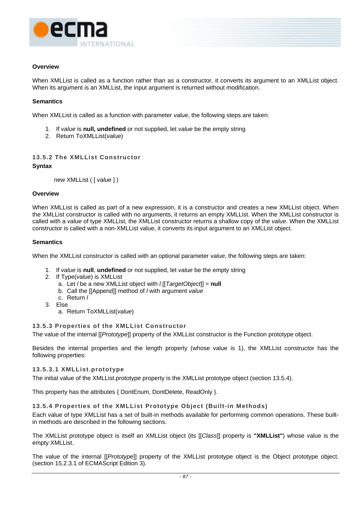

## **Overview**

When XMLList is called as a function rather than as a constructor, it converts its argument to an XMLList object. When its argument is an XMLList, the input argument is returned without modification.

## **Semantics**

When XMLList is called as a function with parameter *value*, the following steps are taken:

- 1. If *value* is **null, undefined** or not supplied, let *value* be the empty string
- 2. Return ToXMLList(*value*)

## **13.5.2 The XMLList Constructor**

#### **Syntax**

<span id="page-96-0"></span>new XMLList ( [ *value* ] )

#### **Overview**

When XMLList is called as part of a new expression, it is a constructor and creates a new XMLList object. When the XMLList constructor is called with no arguments, it returns an empty XMLList. When the XMLList constructor is called with a *value* of type XMLList, the XMLList constructor returns a shallow copy of the *value*. When the XMLList constructor is called with a non-XMLList value, it converts its input argument to an XMLList object.

#### **Semantics**

When the XMLList constructor is called with an optional parameter *value*, the following steps are taken:

- 1. If *value* is **null**, **undefined** or not supplied, let *value* be the empty string
- 2. If Type(*value*) is XMLList
	- a. Let *l* be a new XMLList object with *l*.[[*TargetObject*]] = **null**
	- b. Call the [[Append]] method of *l* with argument *value*
	- c. Return *l*
- 3. Else
	- a. Return ToXMLList(*value*)

## **13.5.3 Properties of the XMLList Constructor**

The value of the internal [[*Prototype*]] property of the XMLList constructor is the Function prototype object.

Besides the internal properties and the length property (whose value is 1), the XMLList constructor has the following properties:

#### **13.5.3.1 XMLList.prototype**

The initial value of the XMLList.prototype property is the XMLList prototype object (section [13.5.4\)](#page-96-1).

This property has the attributes { DontEnum, DontDelete, ReadOnly }.

## <span id="page-96-1"></span>**13.5.4 Properties of the XMLList Prototype Object (Built-in Methods)**

Each value of type XMLList has a set of built-in methods available for performing common operations. These builtin methods are described in the following sections.

The XMLList prototype object is itself an XMLList object (its [[*Class*]] property is **"XMLList"**) whose value is the empty XMLList.

The value of the internal [[*Prototype*]] property of the XMLList prototype object is the Object prototype object. (section 15.2.3.1 of ECMAScript Edition 3).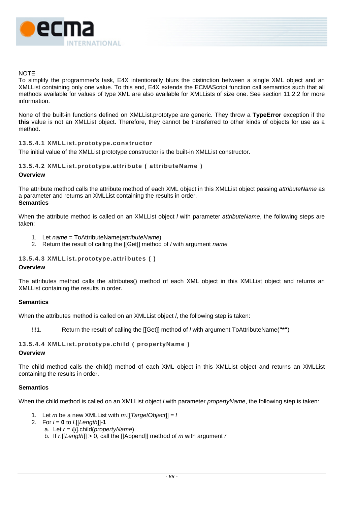

## **NOTE**

To simplify the programmer's task, E4X intentionally blurs the distinction between a single XML object and an XMLList containing only one value. To this end, E4X extends the ECMAScript function call semantics such that all methods available for values of type XML are also available for XMLLists of size one. See section [11.2.2](#page-56-0) for more information.

None of the built-in functions defined on XMLList.prototype are generic. They throw a **TypeError** exception if the **this** value is not an XMLList object. Therefore, they cannot be transferred to other kinds of objects for use as a method.

## **13.5.4.1 XMLList.prototype.constructor**

The initial value of the XMLList prototype constructor is the built-in XMLList constructor.

## **13.5.4.2 XMLList.prototype.attribute ( attributeName )**

#### **Overview**

The attribute method calls the attribute method of each XML object in this XMLList object passing *attributeName* as a parameter and returns an XMLList containing the results in order. **Semantics**

When the attribute method is called on an XMLList object *l* with parameter *attributeName*, the following steps are taken:

- 1. Let *name* = ToAttributeName(*attributeName*)
- 2. Return the result of calling the [[Get]] method of *l* with argument *name*

## **13.5.4.3 XMLList.prototype.attributes ( )**

#### **Overview**

The attributes method calls the attributes() method of each XML object in this XMLList object and returns an XMLList containing the results in order.

#### **Semantics**

When the attributes method is called on an XMLList object *l*, the following step is taken:

!!!1. Return the result of calling the [[Get]] method of *l* with argument ToAttributeName(**"\*"**)

## **13.5.4.4 XMLList.prototype.child ( propertyName )**

#### **Overview**

The child method calls the child() method of each XML object in this XMLList object and returns an XMLList containing the results in order.

#### **Semantics**

When the child method is called on an XMLList object *l* with parameter *propertyName*, the following step is taken:

- 1. Let *m* be a new XMLList with *m*.[[*TargetObject*]] = *l*
- 2. For *i* = **0** to *l*.[[*Length*]]-**1**
	- a. Let *r* = *l*[*i*].child(*propertyName*)
	- b. If *r*.[[*Length*]] > 0, call the [[Append]] method of *m* with argument *r*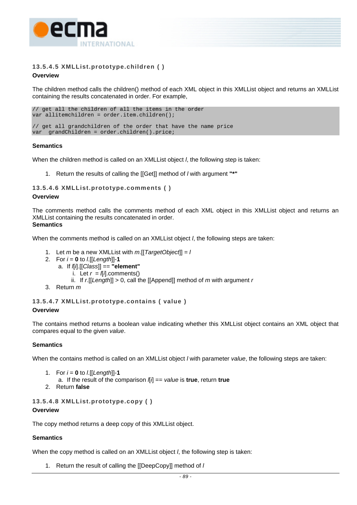

## **13.5.4.5 XMLList.prototype.children ( )**

## **Overview**

The children method calls the children() method of each XML object in this XMLList object and returns an XMLList containing the results concatenated in order. For example,

```
// get all the children of all the items in the order 
var allitemchildren = order.item.children(); 
// get all grandchildren of the order that have the name price 
var grandChildren = order.children().price;
```
## **Semantics**

When the children method is called on an XMLList object *l*, the following step is taken:

1. Return the results of calling the [[Get]] method of *l* with argument **"\*"**

## **13.5.4.6 XMLList.prototype.comments ( )**

#### **Overview**

The comments method calls the comments method of each XML object in this XMLList object and returns an XMLList containing the results concatenated in order. **Semantics** 

When the comments method is called on an XMLList object *l*, the following steps are taken:

- 1. Let *m* be a new XMLList with *m*.[[*TargetObject*]] = *l*
- 2. For *i* = **0** to *l*.[[*Length*]]-**1**
	- a. If *l*[*i*].[[*Class*]] == **"element"**
		- i. Let  $r = \sqrt{l}$ .comments()
		- ii. If *r*.[[*Length*]] > 0, call the [[Append]] method of *m* with argument *r*
- 3. Return *m*

## **13.5.4.7 XMLList.prototype.contains ( value )**

## **Overview**

The contains method returns a boolean value indicating whether this XMLList object contains an XML object that compares equal to the given *value*.

## **Semantics**

When the contains method is called on an XMLList object *l* with parameter *value*, the following steps are taken:

- 1. For  $i = 0$  to  $l$ . [[*Length*]]-1
	- a. If the result of the comparison *l*[*i*] == *value* is **true**, return **true**
- 2. Return **false**

## **13.5.4.8 XMLList.prototype.copy ( )**

#### **Overview**

The copy method returns a deep copy of this XMLList object.

## **Semantics**

When the copy method is called on an XMLList object *l*, the following step is taken:

1. Return the result of calling the [[DeepCopy]] method of *l*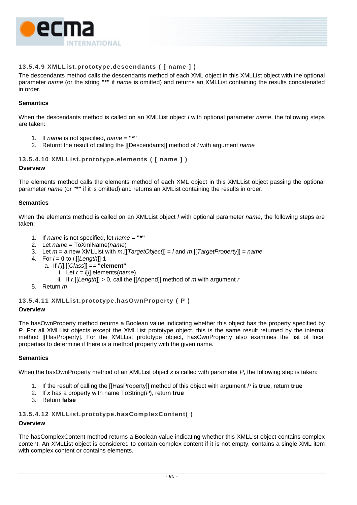

## **13.5.4.9 XMLList.prototype.descendants ( [ name ] )**

The descendants method calls the descendants method of each XML object in this XMLList object with the optional parameter *name* (or the string **"\*"** if *name* is omitted) and returns an XMLList containing the results concatenated in order.

## **Semantics**

When the descendants method is called on an XMLList object *l* with optional parameter *name*, the following steps are taken:

- 1. If *name* is not specified, *name* = **"\*"**
- 2. Returnt the result of calling the [[Descendants]] method of *l* with argument *name*

## **13.5.4.10 XMLList.prototype.elements ( [ name ] )**

#### **Overview**

The elements method calls the elements method of each XML object in this XMLList object passing the optional parameter *name* (or **"\*"** if it is omitted) and returns an XMList containing the results in order.

#### **Semantics**

When the elements method is called on an XMLList object *l* with optional parameter *name*, the following steps are taken:

- 1. If *name* is not specified, let *name* = **"\*"**
- 2. Let *name* = ToXmlName(*name*)
- 3. Let *m* = a new XMLList with *m*.[[*TargetObject*]] = *l* and *m*.[[*TargetProperty*]] = *name*
- 4. For *i* = **0** to *l*.[[*Length*]]-**1**
	- a. If *l*[*i*].[[*Class*]] == **"element"**
		- i. Let *r* = *l*[*i*].elements(*name*)
		- ii. If  $r$ . [[Length]]  $> 0$ , call the [[Append]] method of  $m$  with argument  $r$
- 5. Return *m*

## **13.5.4.11 XMLList.prototype.hasOwnProperty ( P )**

#### **Overview**

The hasOwnProperty method returns a Boolean value indicating whether this object has the property specified by *P*. For all XMLList objects except the XMLList prototype object, this is the same result returned by the internal method [[HasProperty]. For the XMLList prototype object, hasOwnProperty also examines the list of local properties to determine if there is a method property with the given name.

#### **Semantics**

When the hasOwnProperty method of an XMLList object *x* is called with parameter *P*, the following step is taken:

- 1. If the result of calling the [[HasProperty]] method of this object with argument *P* is **true**, return **true**
- 2. If *x* has a property with name ToString(*P*), return **true**
- 3. Return **false**

## **13.5.4.12 XMLList.prototype.hasComplexContent( )**

## **Overview**

The hasComplexContent method returns a Boolean value indicating whether this XMLList object contains complex content. An XMLList object is considered to contain complex content if it is not empty, contains a single XML item with complex content or contains elements.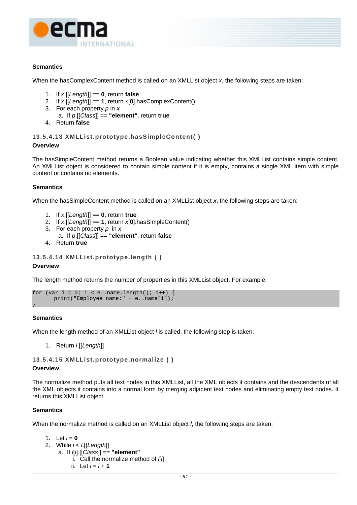

When the hasComplexContent method is called on an XMLList object *x*, the following steps are taken:

- 1. If *x*.[[*Length*]] == **0**, return **false**
- 2. If *x*.[[*Length*]] == **1**, return *x*[**0**].hasComplexContent()
- 3. For each property *p* in *x*
- a. If *p*.[[*Class*]] == **"element"**, return **true**
- 4. Return **false**

**13.5.4.13 XMLList.prototype.hasSimpleContent( )** 

#### **Overview**

The hasSimpleContent method returns a Boolean value indicating whether this XMLList contains simple content. An XMLList object is considered to contain simple content if it is empty, contains a single XML item with simple content or contains no elements.

## **Semantics**

When the hasSimpleContent method is called on an XMLList object *x*, the following steps are taken:

- 1. If *x*.[[*Length*]] == **0**, return **true**
- 2. If *x*.[[*Length*]] == **1**, return *x*[**0**].hasSimpleContent()
- 3. For each property *p* in *x*
	- a. If *p*.[[*Class*]] == **"element"**, return **false**
- 4. Return **true**

```
13.5.4.14 XMLList.prototype.length ( )
```
#### **Overview**

The length method returns the number of properties in this XMLList object. For example,

```
for (var i = 0; i < e..name.length(); i++) {
      print("Employee name:" + e..name[i]); 
}
```
## **Semantics**

When the length method of an XMLList object *l* is called, the following step is taken:

1. Return *l*.[[*Length*]]

**13.5.4.15 XMLList.prototype.normalize ( )** 

#### **Overview**

The normalize method puts all text nodes in this XMLList, all the XML objects it contains and the descendents of all the XML objects it contains into a normal form by merging adjacent text nodes and eliminating empty text nodes. It returns this XMLList object.

## **Semantics**

When the normalize method is called on an XMLList object *l*, the following steps are taken:

```
1. Let i = 0
```
- 2. While *i* < *l*.[[*Length*]]
	- a. If *l*[*i*].[[*Class*]] == **"element"**
		- i. Call the normalize method of *l*[*i*]
			- ii. Let  $i = i + 1$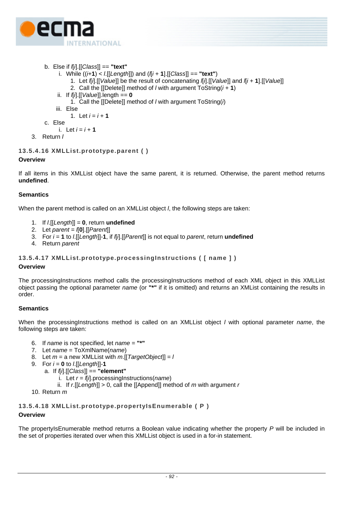

- b. Else if *l*[*i*].[[*Class*]] == **"text"**
	- i. While ((*i*+**1**) < *l*.[[*Length*]]) and (*l*[*i* + **1**].[[*Class*]] == **"text"**)
		- 1. Let *l*[*i*].[[*Value*]] be the result of concatenating *l*[*i*].[[*Value*]] and *l*[*i* + **1**].[[*Value*]]
		- 2. Call the [[Delete]] method of *l* with argument ToString(*i* + **1**)
	- ii. If *l*[*i*].[[*Value*]].length == **0**
		- 1. Call the [[Delete]] method of *l* with argument ToString(*i*)
	- iii. Else

1. Let  $i = i + 1$ 

c. Else

i. Let  $i = i + 1$ 

3. Return *l*

## **13.5.4.16 XMLList.prototype.parent ( )**

## **Overview**

If all items in this XMLList object have the same parent, it is returned. Otherwise, the parent method returns **undefined**.

## **Semantics**

When the parent method is called on an XMLList object *l*, the following steps are taken:

- 1. If *l*.[[*Length*]] = **0**, return **undefined**
- 2. Let *parent* = *l*[**0**].[[*Parent*]]
- 3. For *i* = **1** to *l*.[[*Length*]]-**1**, if *l*[*i*].[[*Parent*]] is not equal to *parent*, return **undefined**
- 4. Return *parent*

## **13.5.4.17 XMLList.prototype.processingInstructions ( [ name ] )**

## **Overview**

The processingInstructions method calls the processingInstructions method of each XML object in this XMLList object passing the optional parameter *name* (or **"\*"** if it is omitted) and returns an XMList containing the results in order.

## **Semantics**

When the processingInstructions method is called on an XMLList object *l* with optional parameter *name*, the following steps are taken:

- 6. If *name* is not specified, let *name* = **"\*"**
- 7. Let *name* = ToXmlName(*name*)
- 8. Let *m* = a new XMLList with *m*.[[*TargetObject*]] = *l*
- 9. For *i* = **0** to *l*.[[*Length*]]-**1**
	- a. If *l*[*i*].[[*Class*]] == **"element"**
		- i. Let *r* = *l*[*i*].processingInstructions(*name*)
		- ii. If *r*.[[*Length*]] > 0, call the [[Append]] method of *m* with argument *r*
- 10. Return *m*

## **13.5.4.18 XMLList.prototype.propertyIsEnumerable ( P ) Overview**

The propertyIsEnumerable method returns a Boolean value indicating whether the property *P* will be included in the set of properties iterated over when this XMLList object is used in a for-in statement.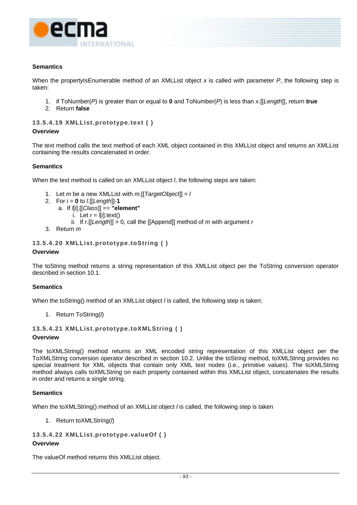

When the propertyIsEnumerable method of an XMLList object x is called with parameter P, the following step is taken:

- 1. if ToNumber(*P*) is greater than or equal to **0** and ToNumber(*P*) is less than *x*.[[*Length*]], return **true**
- 2. Return **false**

#### **13.5.4.19 XMLList.prototype.text ( )**

#### **Overview**

The text method calls the text method of each XML object contained in this XMLList object and returns an XMLList containing the results concatenated in order.

## **Semantics**

When the text method is called on an XMLList object *l*, the following steps are taken:

- 1. Let *m* be a new XMLList with *m*.[[*TargetObject*]] = *l*
- 2. For  $i = 0$  to  $l$ . [[Length]]-1
	- a. If *l*[*i*].[[*Class*]] == **"element"**
		- i. Let  $r = \sqrt{l}$ *l*.text()
		- ii. If *r*.[[*Length*]] > 0, call the [[Append]] method of *m* with argument *r*
- 3. Return *m*

## **13.5.4.20 XMLList.prototype.toString ( )**

#### **Overview**

The toString method returns a string representation of this XMLList object per the ToString conversion operator described in section [10.1.](#page-36-0)

## **Semantics**

When the toString() method of an XMLList object *l* is called, the following step is taken:

1. Return ToString(*l*)

## **13.5.4.21 XMLList.prototype.toXMLString ( )**

#### **Overview**

The toXMLString() method returns an XML encoded string representation of this XMLList object per the ToXMLString conversion operator described in section [10.2.](#page-38-0) Unlike the toString method, toXMLString provides no special treatment for XML objects that contain only XML text nodes (i.e., primitive values). The toXMLString method always calls toXMLString on each property contained within this XMLList object, concatenates the results in order and returns a single string.

## **Semantics**

When the toXMLString() method of an XMLList object *l* is called, the following step is taken

1. Return toXMLString(*l*)

**13.5.4.22 XMLList.prototype.valueOf ( ) Overview**

The valueOf method returns this XMLList object.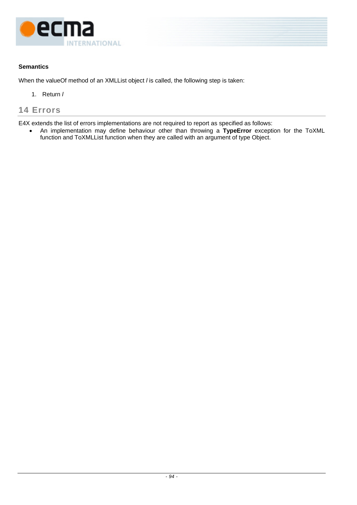

When the valueOf method of an XMLList object *l* is called, the following step is taken:

1. Return *l*

# **14 Errors**

E4X extends the list of errors implementations are not required to report as specified as follows:

• An implementation may define behaviour other than throwing a **TypeError** exception for the ToXML function and ToXMLList function when they are called with an argument of type Object.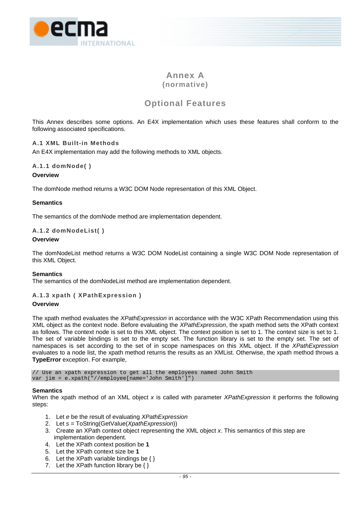

# **Annex A (normative)**

# **Optional Features**

This Annex describes some options. An E4X implementation which uses these features shall conform to the following associated specifications.

## **A.1 XML Built-in Methods**

An E4X implementation may add the following methods to XML objects.

# **A.1.1 domNode( )**

## **Overview**

The domNode method returns a W3C DOM Node representation of this XML Object.

## **Semantics**

The semantics of the domNode method are implementation dependent.

## **A.1.2 domNodeList( )**

#### **Overview**

The domNodeList method returns a W3C DOM NodeList containing a single W3C DOM Node representation of this XML Object.

#### **Semantics**

The semantics of the domNodeList method are implementation dependent.

## **A.1.3 xpath ( XPathExpression )**

## **Overview**

The xpath method evaluates the *XPathExpression* in accordance with the W3C XPath Recommendation using this XML object as the context node. Before evaluating the *XPathExpression*, the xpath method sets the XPath context as follows. The context node is set to this XML object. The context position is set to 1. The context size is set to 1. The set of variable bindings is set to the empty set. The function library is set to the empty set. The set of namespaces is set according to the set of in scope namespaces on this XML object. If the *XPathExpression* evaluates to a node list, the xpath method returns the results as an XMList. Otherwise, the xpath method throws a **TypeError** exception. For example,

// Use an xpath expression to get all the employees named John Smith var jim = e.xpath("//employee[name='John Smith']")

#### **Semantics**

When the xpath method of an XML object *x* is called with parameter *XPathExpression* it performs the following steps:

- 1. Let *e* be the result of evaluating *XPathExpression*
- 2. Let *s* = ToString(GetValue(*XpathExpression*))
- 3. Create an XPath context object representing the XML object *x*. This semantics of this step are implementation dependent.
- 4. Let the XPath context position be **1**
- 5. Let the XPath context size be **1**
- 6. Let the XPath variable bindings be  $\{\}$
- 7. Let the XPath function library be  $\{\}$